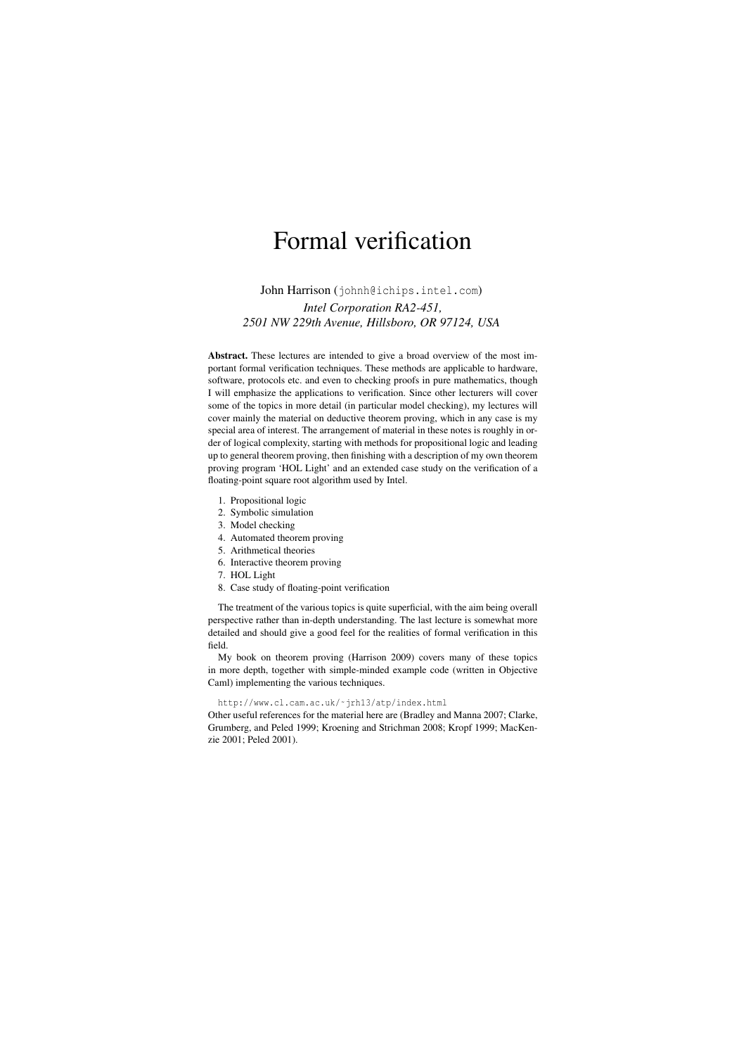# Formal verification

John Harrison (johnh@ichips.intel.com) *Intel Corporation RA2-451, 2501 NW 229th Avenue, Hillsboro, OR 97124, USA*

Abstract. These lectures are intended to give a broad overview of the most important formal verification techniques. These methods are applicable to hardware, software, protocols etc. and even to checking proofs in pure mathematics, though I will emphasize the applications to verification. Since other lecturers will cover some of the topics in more detail (in particular model checking), my lectures will cover mainly the material on deductive theorem proving, which in any case is my special area of interest. The arrangement of material in these notes is roughly in order of logical complexity, starting with methods for propositional logic and leading up to general theorem proving, then finishing with a description of my own theorem proving program 'HOL Light' and an extended case study on the verification of a floating-point square root algorithm used by Intel.

- 1. Propositional logic
- 2. Symbolic simulation
- 3. Model checking
- 4. Automated theorem proving
- 5. Arithmetical theories
- 6. Interactive theorem proving
- 7. HOL Light
- 8. Case study of floating-point verification

The treatment of the various topics is quite superficial, with the aim being overall perspective rather than in-depth understanding. The last lecture is somewhat more detailed and should give a good feel for the realities of formal verification in this field.

My book on theorem proving (Harrison 2009) covers many of these topics in more depth, together with simple-minded example code (written in Objective Caml) implementing the various techniques.

#### http://www.cl.cam.ac.uk/˜jrh13/atp/index.html

Other useful references for the material here are (Bradley and Manna 2007; Clarke, Grumberg, and Peled 1999; Kroening and Strichman 2008; Kropf 1999; MacKenzie 2001; Peled 2001).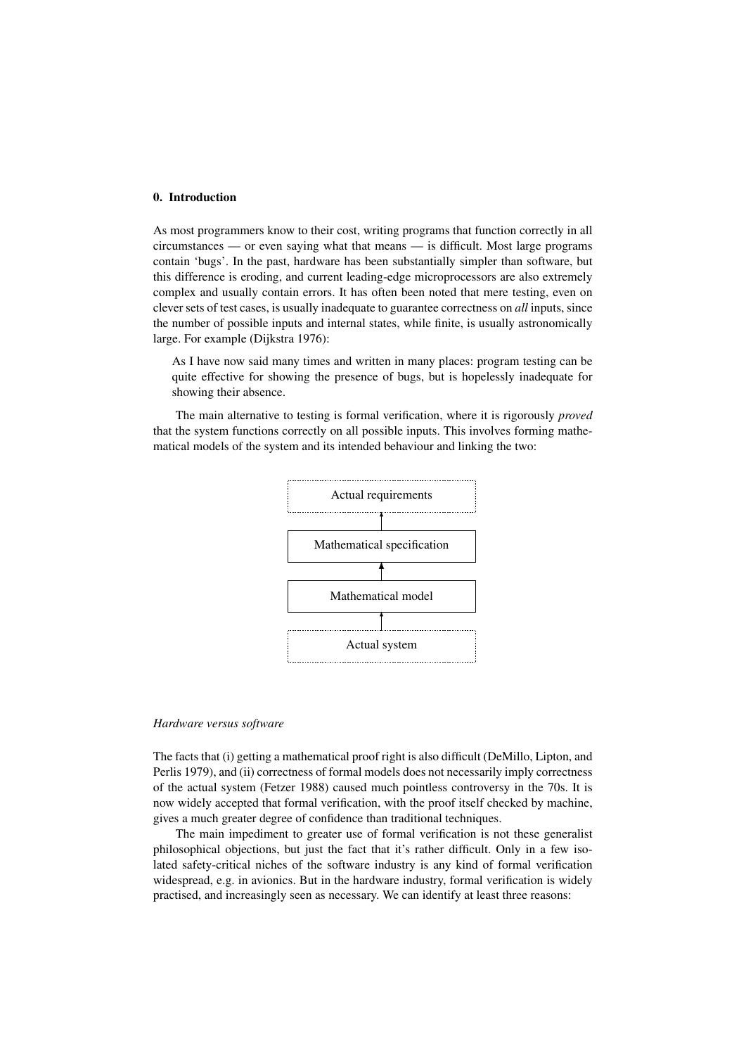# 0. Introduction

As most programmers know to their cost, writing programs that function correctly in all circumstances — or even saying what that means — is difficult. Most large programs contain 'bugs'. In the past, hardware has been substantially simpler than software, but this difference is eroding, and current leading-edge microprocessors are also extremely complex and usually contain errors. It has often been noted that mere testing, even on clever sets of test cases, is usually inadequate to guarantee correctness on *all* inputs, since the number of possible inputs and internal states, while finite, is usually astronomically large. For example (Dijkstra 1976):

As I have now said many times and written in many places: program testing can be quite effective for showing the presence of bugs, but is hopelessly inadequate for showing their absence.

The main alternative to testing is formal verification, where it is rigorously *proved* that the system functions correctly on all possible inputs. This involves forming mathematical models of the system and its intended behaviour and linking the two:



#### *Hardware versus software*

The facts that (i) getting a mathematical proof right is also difficult (DeMillo, Lipton, and Perlis 1979), and (ii) correctness of formal models does not necessarily imply correctness of the actual system (Fetzer 1988) caused much pointless controversy in the 70s. It is now widely accepted that formal verification, with the proof itself checked by machine, gives a much greater degree of confidence than traditional techniques.

The main impediment to greater use of formal verification is not these generalist philosophical objections, but just the fact that it's rather difficult. Only in a few isolated safety-critical niches of the software industry is any kind of formal verification widespread, e.g. in avionics. But in the hardware industry, formal verification is widely practised, and increasingly seen as necessary. We can identify at least three reasons: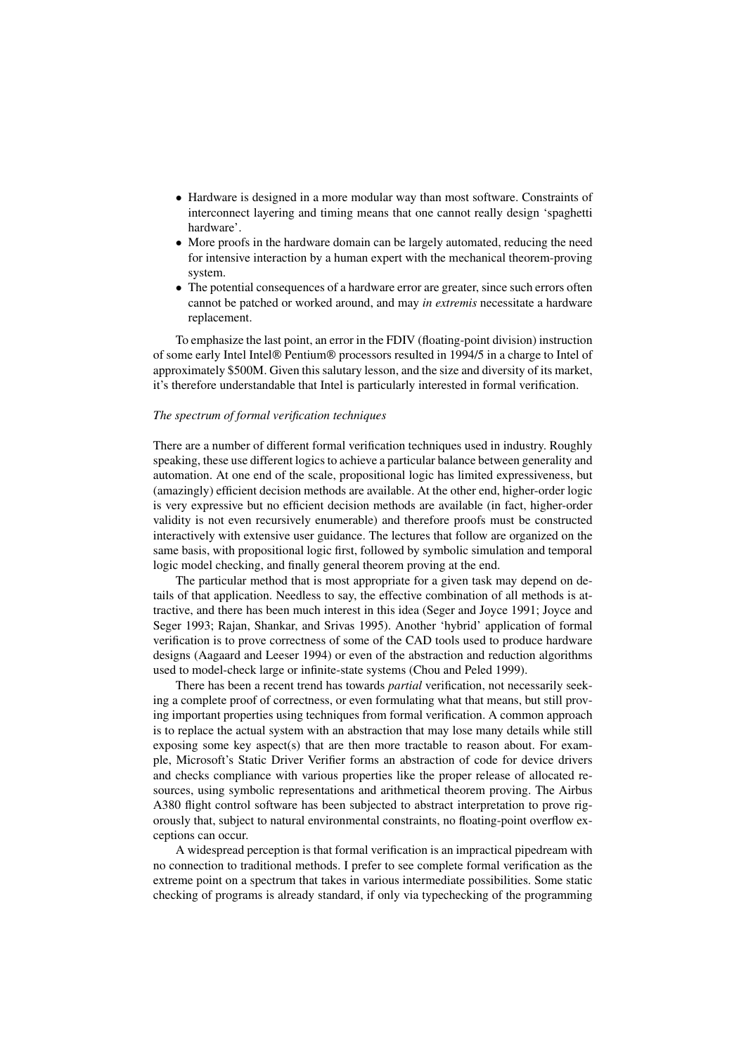- Hardware is designed in a more modular way than most software. Constraints of interconnect layering and timing means that one cannot really design 'spaghetti hardware'.
- More proofs in the hardware domain can be largely automated, reducing the need for intensive interaction by a human expert with the mechanical theorem-proving system.
- The potential consequences of a hardware error are greater, since such errors often cannot be patched or worked around, and may *in extremis* necessitate a hardware replacement.

To emphasize the last point, an error in the FDIV (floating-point division) instruction of some early Intel Intel<sup>®</sup> Pentium<sup>®</sup> processors resulted in 1994/5 in a charge to Intel of approximately \$500M. Given this salutary lesson, and the size and diversity of its market, it's therefore understandable that Intel is particularly interested in formal verification.

## *The spectrum of formal verification techniques*

There are a number of different formal verification techniques used in industry. Roughly speaking, these use different logics to achieve a particular balance between generality and automation. At one end of the scale, propositional logic has limited expressiveness, but (amazingly) efficient decision methods are available. At the other end, higher-order logic is very expressive but no efficient decision methods are available (in fact, higher-order validity is not even recursively enumerable) and therefore proofs must be constructed interactively with extensive user guidance. The lectures that follow are organized on the same basis, with propositional logic first, followed by symbolic simulation and temporal logic model checking, and finally general theorem proving at the end.

The particular method that is most appropriate for a given task may depend on details of that application. Needless to say, the effective combination of all methods is attractive, and there has been much interest in this idea (Seger and Joyce 1991; Joyce and Seger 1993; Rajan, Shankar, and Srivas 1995). Another 'hybrid' application of formal verification is to prove correctness of some of the CAD tools used to produce hardware designs (Aagaard and Leeser 1994) or even of the abstraction and reduction algorithms used to model-check large or infinite-state systems (Chou and Peled 1999).

There has been a recent trend has towards *partial* verification, not necessarily seeking a complete proof of correctness, or even formulating what that means, but still proving important properties using techniques from formal verification. A common approach is to replace the actual system with an abstraction that may lose many details while still exposing some key aspect(s) that are then more tractable to reason about. For example, Microsoft's Static Driver Verifier forms an abstraction of code for device drivers and checks compliance with various properties like the proper release of allocated resources, using symbolic representations and arithmetical theorem proving. The Airbus A380 flight control software has been subjected to abstract interpretation to prove rigorously that, subject to natural environmental constraints, no floating-point overflow exceptions can occur.

A widespread perception is that formal verification is an impractical pipedream with no connection to traditional methods. I prefer to see complete formal verification as the extreme point on a spectrum that takes in various intermediate possibilities. Some static checking of programs is already standard, if only via typechecking of the programming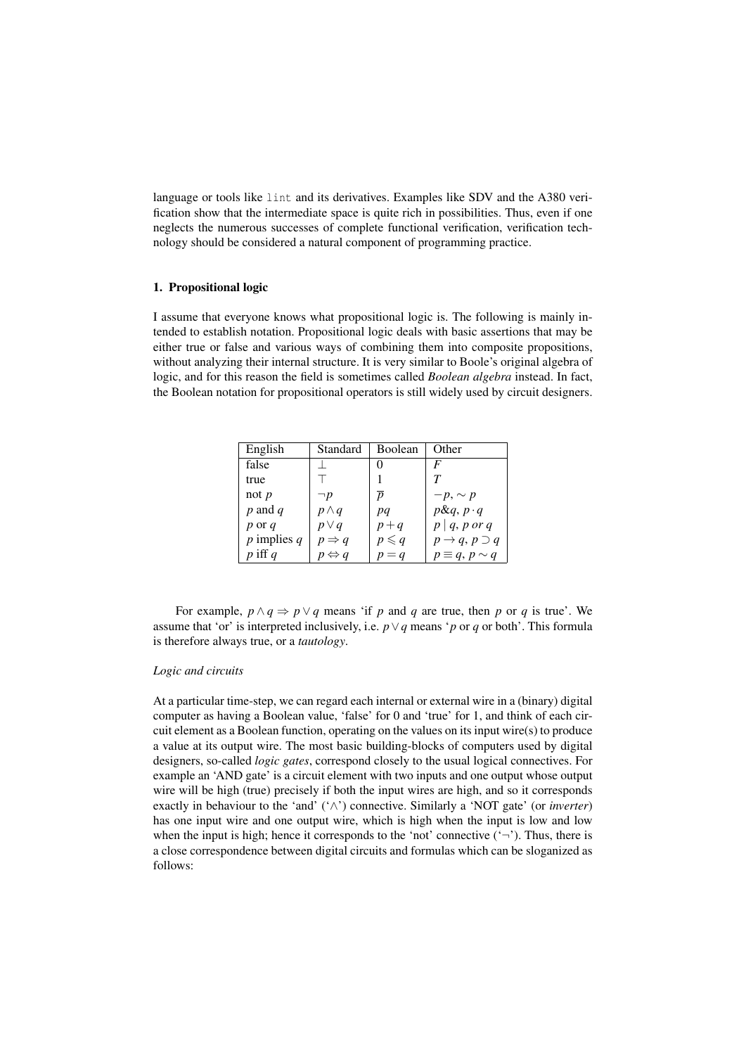language or tools like lint and its derivatives. Examples like SDV and the A380 verification show that the intermediate space is quite rich in possibilities. Thus, even if one neglects the numerous successes of complete functional verification, verification technology should be considered a natural component of programming practice.

## 1. Propositional logic

I assume that everyone knows what propositional logic is. The following is mainly intended to establish notation. Propositional logic deals with basic assertions that may be either true or false and various ways of combining them into composite propositions, without analyzing their internal structure. It is very similar to Boole's original algebra of logic, and for this reason the field is sometimes called *Boolean algebra* instead. In fact, the Boolean notation for propositional operators is still widely used by circuit designers.

| English         | Standard            | Boolean         | Other                          |
|-----------------|---------------------|-----------------|--------------------------------|
| false           |                     |                 | F                              |
| true            |                     |                 | T                              |
| not $p$         | $\neg p$            | $\overline{p}$  | $-p, \sim p$                   |
| $p$ and $q$     | $p \wedge q$        | pq              | $p\&q, p\cdot q$               |
| $p$ or $q$      | $p \vee q$          | $p+q$           | $p \mid q$ , p or q            |
| $p$ implies $q$ | $p \Rightarrow q$   | $p \leqslant q$ | $p \rightarrow q, p \supset q$ |
| $p$ iff $q$     | $\Leftrightarrow$ a | $= q$           | $p \equiv q, p \sim q$         |

For example,  $p \land q \Rightarrow p \lor q$  means 'if p and q are true, then p or q is true'. We assume that 'or' is interpreted inclusively, i.e.  $p \vee q$  means '*p* or *q* or both'. This formula is therefore always true, or a *tautology*.

## *Logic and circuits*

At a particular time-step, we can regard each internal or external wire in a (binary) digital computer as having a Boolean value, 'false' for 0 and 'true' for 1, and think of each circuit element as a Boolean function, operating on the values on its input wire(s) to produce a value at its output wire. The most basic building-blocks of computers used by digital designers, so-called *logic gates*, correspond closely to the usual logical connectives. For example an 'AND gate' is a circuit element with two inputs and one output whose output wire will be high (true) precisely if both the input wires are high, and so it corresponds exactly in behaviour to the 'and' ('∧') connective. Similarly a 'NOT gate' (or *inverter*) has one input wire and one output wire, which is high when the input is low and low when the input is high; hence it corresponds to the 'not' connective  $(\neg)$ . Thus, there is a close correspondence between digital circuits and formulas which can be sloganized as follows: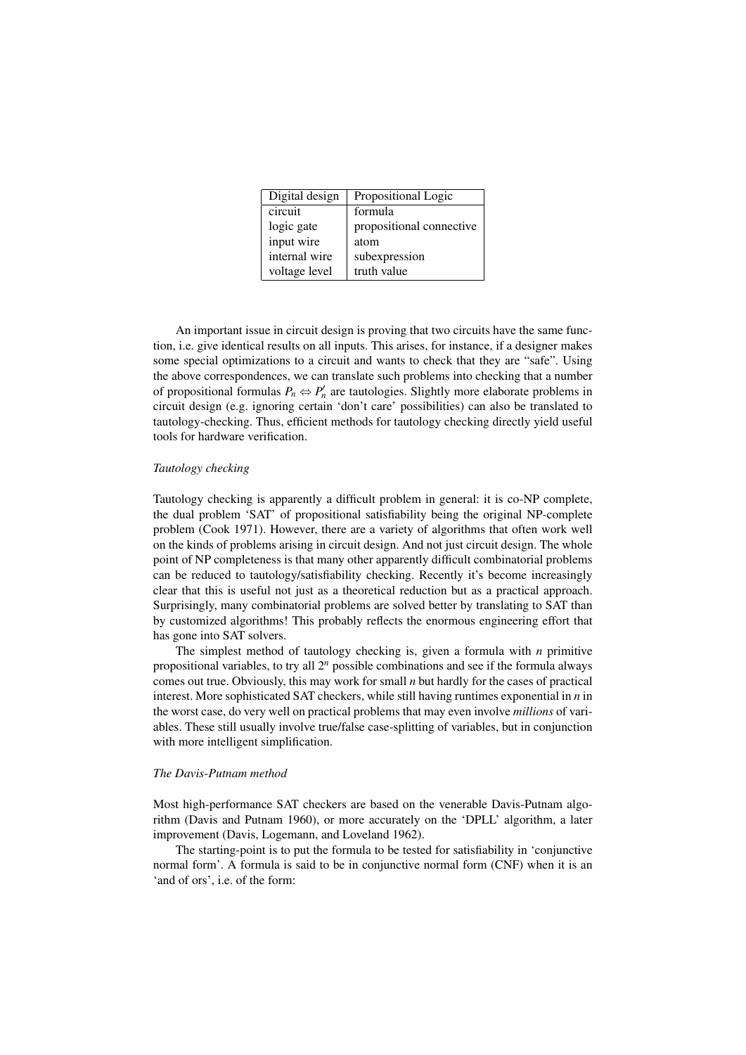| Digital design | Propositional Logic      |  |  |
|----------------|--------------------------|--|--|
| circuit        | formula                  |  |  |
| logic gate     | propositional connective |  |  |
| input wire     | atom                     |  |  |
| internal wire  | subexpression            |  |  |
| voltage level  | truth value              |  |  |

An important issue in circuit design is proving that two circuits have the same function, i.e. give identical results on all inputs. This arises, for instance, if a designer makes some special optimizations to a circuit and wants to check that they are "safe". Using the above correspondences, we can translate such problems into checking that a number of propositional formulas  $P_n \Leftrightarrow P'_n$  are tautologies. Slightly more elaborate problems in circuit design (e.g. ignoring certain 'don't care' possibilities) can also be translated to tautology-checking. Thus, efficient methods for tautology checking directly yield useful tools for hardware verification.

## *Tautology checking*

Tautology checking is apparently a difficult problem in general: it is co-NP complete, the dual problem 'SAT' of propositional satisfiability being the original NP-complete problem (Cook 1971). However, there are a variety of algorithms that often work well on the kinds of problems arising in circuit design. And not just circuit design. The whole point of NP completeness is that many other apparently difficult combinatorial problems can be reduced to tautology/satisfiability checking. Recently it's become increasingly clear that this is useful not just as a theoretical reduction but as a practical approach. Surprisingly, many combinatorial problems are solved better by translating to SAT than by customized algorithms! This probably reflects the enormous engineering effort that has gone into SAT solvers.

The simplest method of tautology checking is, given a formula with *n* primitive propositional variables, to try all 2*<sup>n</sup>* possible combinations and see if the formula always comes out true. Obviously, this may work for small *n* but hardly for the cases of practical interest. More sophisticated SAT checkers, while still having runtimes exponential in *n* in the worst case, do very well on practical problems that may even involve *millions* of variables. These still usually involve true/false case-splitting of variables, but in conjunction with more intelligent simplification.

#### *The Davis-Putnam method*

Most high-performance SAT checkers are based on the venerable Davis-Putnam algorithm (Davis and Putnam 1960), or more accurately on the 'DPLL' algorithm, a later improvement (Davis, Logemann, and Loveland 1962).

The starting-point is to put the formula to be tested for satisfiability in 'conjunctive normal form'. A formula is said to be in conjunctive normal form (CNF) when it is an 'and of ors', i.e. of the form: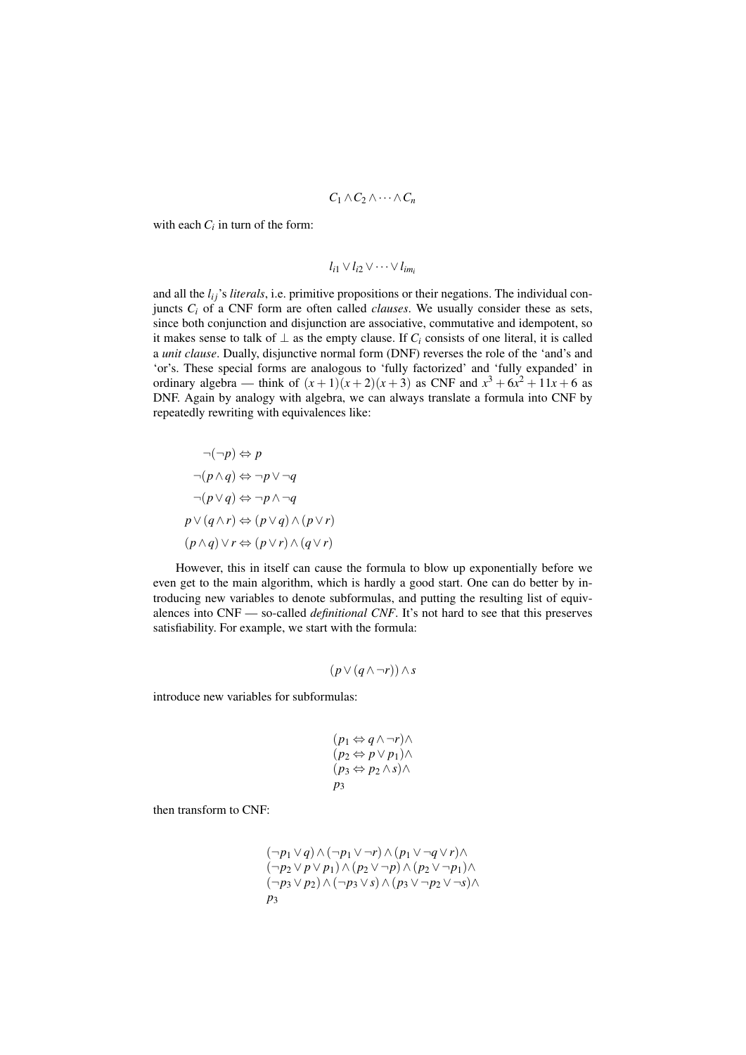$$
C_1 \wedge C_2 \wedge \cdots \wedge C_n
$$

with each  $C_i$  in turn of the form:

$$
l_{i1} \vee l_{i2} \vee \cdots \vee l_{im_i}
$$

and all the  $l_{ij}$ 's *literals*, i.e. primitive propositions or their negations. The individual conjuncts *C<sup>i</sup>* of a CNF form are often called *clauses*. We usually consider these as sets, since both conjunction and disjunction are associative, commutative and idempotent, so it makes sense to talk of  $\perp$  as the empty clause. If  $C_i$  consists of one literal, it is called a *unit clause*. Dually, disjunctive normal form (DNF) reverses the role of the 'and's and 'or's. These special forms are analogous to 'fully factorized' and 'fully expanded' in ordinary algebra — think of  $(x + 1)(x + 2)(x + 3)$  as CNF and  $x^3 + 6x^2 + 11x + 6$  as DNF. Again by analogy with algebra, we can always translate a formula into CNF by repeatedly rewriting with equivalences like:

$$
\neg(\neg p) \Leftrightarrow p
$$
  
\n
$$
\neg(p \land q) \Leftrightarrow \neg p \lor \neg q
$$
  
\n
$$
\neg(p \lor q) \Leftrightarrow \neg p \land \neg q
$$
  
\n
$$
p \lor (q \land r) \Leftrightarrow (p \lor q) \land (p \lor r)
$$
  
\n
$$
(p \land q) \lor r \Leftrightarrow (p \lor r) \land (q \lor r)
$$

However, this in itself can cause the formula to blow up exponentially before we even get to the main algorithm, which is hardly a good start. One can do better by introducing new variables to denote subformulas, and putting the resulting list of equivalences into CNF — so-called *definitional CNF*. It's not hard to see that this preserves satisfiability. For example, we start with the formula:

$$
(p \vee (q \wedge \neg r)) \wedge s
$$

introduce new variables for subformulas:

$$
(p_1 \Leftrightarrow q \wedge \neg r) \wedge (p_2 \Leftrightarrow p \vee p_1) \wedge (p_3 \Leftrightarrow p_2 \wedge s) \wedge p_3
$$

then transform to CNF:

$$
(\neg p_1 \lor q) \land (\neg p_1 \lor \neg r) \land (p_1 \lor \neg q \lor r) \land (\neg p_2 \lor p \lor p_1) \land (p_2 \lor \neg p) \land (p_2 \lor \neg p_1) \land (\neg p_3 \lor p_2) \land (\neg p_3 \lor s) \land (p_3 \lor \neg p_2 \lor \neg s) \land p_3
$$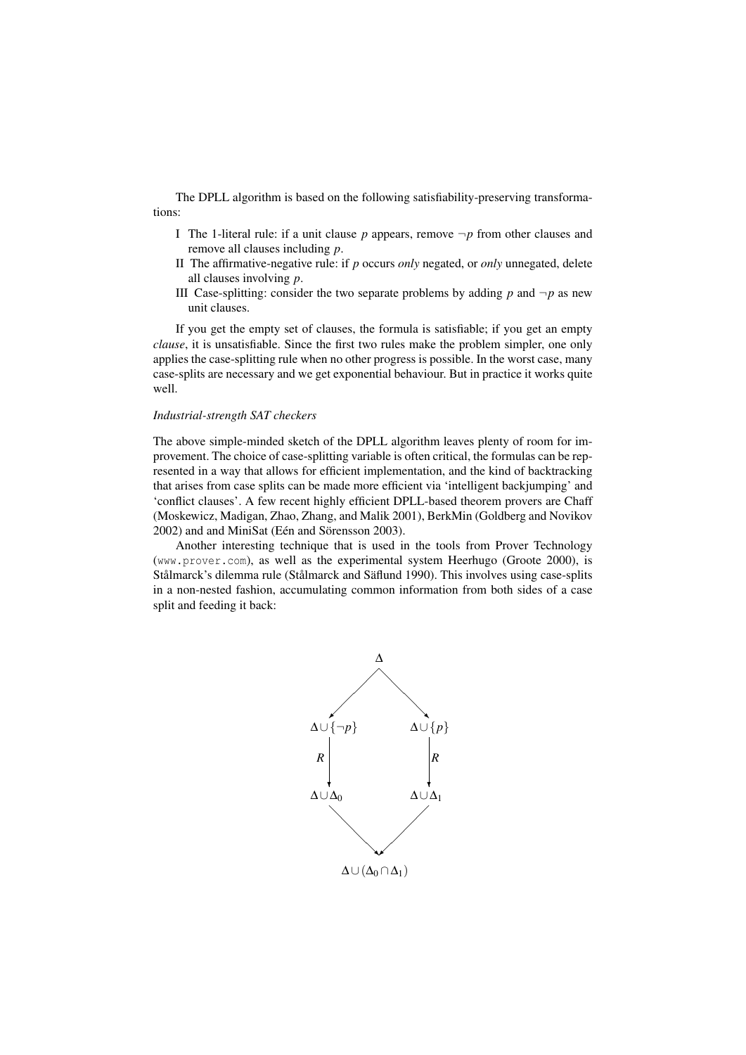The DPLL algorithm is based on the following satisfiability-preserving transformations:

- I The 1-literal rule: if a unit clause  $p$  appears, remove  $\neg p$  from other clauses and remove all clauses including *p*.
- II The affirmative-negative rule: if *p* occurs *only* negated, or *only* unnegated, delete all clauses involving *p*.
- III Case-splitting: consider the two separate problems by adding  $p$  and  $\neg p$  as new unit clauses.

If you get the empty set of clauses, the formula is satisfiable; if you get an empty *clause*, it is unsatisfiable. Since the first two rules make the problem simpler, one only applies the case-splitting rule when no other progress is possible. In the worst case, many case-splits are necessary and we get exponential behaviour. But in practice it works quite well.

## *Industrial-strength SAT checkers*

The above simple-minded sketch of the DPLL algorithm leaves plenty of room for improvement. The choice of case-splitting variable is often critical, the formulas can be represented in a way that allows for efficient implementation, and the kind of backtracking that arises from case splits can be made more efficient via 'intelligent backjumping' and 'conflict clauses'. A few recent highly efficient DPLL-based theorem provers are Chaff (Moskewicz, Madigan, Zhao, Zhang, and Malik 2001), BerkMin (Goldberg and Novikov 2002) and and MiniSat (Eén and Sörensson 2003).

Another interesting technique that is used in the tools from Prover Technology (www.prover.com), as well as the experimental system Heerhugo (Groote 2000), is Stålmarck's dilemma rule (Stålmarck and Säflund 1990). This involves using case-splits in a non-nested fashion, accumulating common information from both sides of a case split and feeding it back:

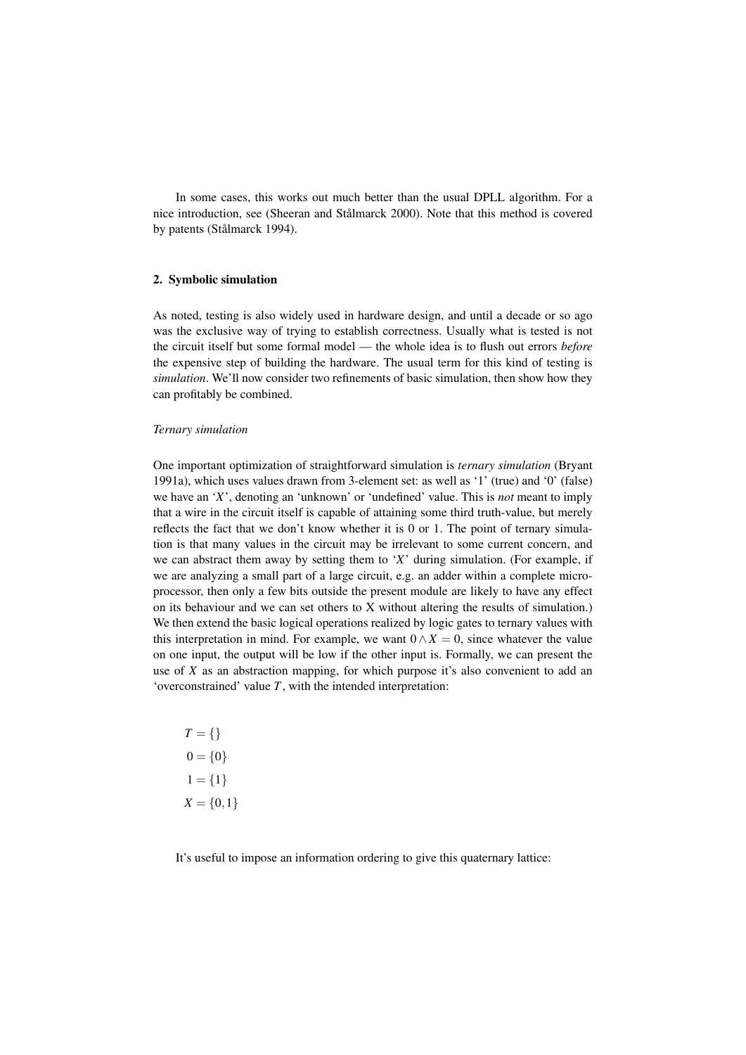In some cases, this works out much better than the usual DPLL algorithm. For a nice introduction, see (Sheeran and Stålmarck 2000). Note that this method is covered by patents (Stålmarck 1994).

## 2. Symbolic simulation

As noted, testing is also widely used in hardware design, and until a decade or so ago was the exclusive way of trying to establish correctness. Usually what is tested is not the circuit itself but some formal model — the whole idea is to flush out errors *before* the expensive step of building the hardware. The usual term for this kind of testing is *simulation*. We'll now consider two refinements of basic simulation, then show how they can profitably be combined.

## *Ternary simulation*

One important optimization of straightforward simulation is *ternary simulation* (Bryant 1991a), which uses values drawn from 3-element set: as well as '1' (true) and '0' (false) we have an '*X*', denoting an 'unknown' or 'undefined' value. This is *not* meant to imply that a wire in the circuit itself is capable of attaining some third truth-value, but merely reflects the fact that we don't know whether it is 0 or 1. The point of ternary simulation is that many values in the circuit may be irrelevant to some current concern, and we can abstract them away by setting them to '*X*' during simulation. (For example, if we are analyzing a small part of a large circuit, e.g. an adder within a complete microprocessor, then only a few bits outside the present module are likely to have any effect on its behaviour and we can set others to X without altering the results of simulation.) We then extend the basic logical operations realized by logic gates to ternary values with this interpretation in mind. For example, we want  $0 \wedge X = 0$ , since whatever the value on one input, the output will be low if the other input is. Formally, we can present the use of *X* as an abstraction mapping, for which purpose it's also convenient to add an 'overconstrained' value *T*, with the intended interpretation:

 $T = \{\}$  $0 = \{0\}$  $1 = \{1\}$  $X = \{0, 1\}$ 

It's useful to impose an information ordering to give this quaternary lattice: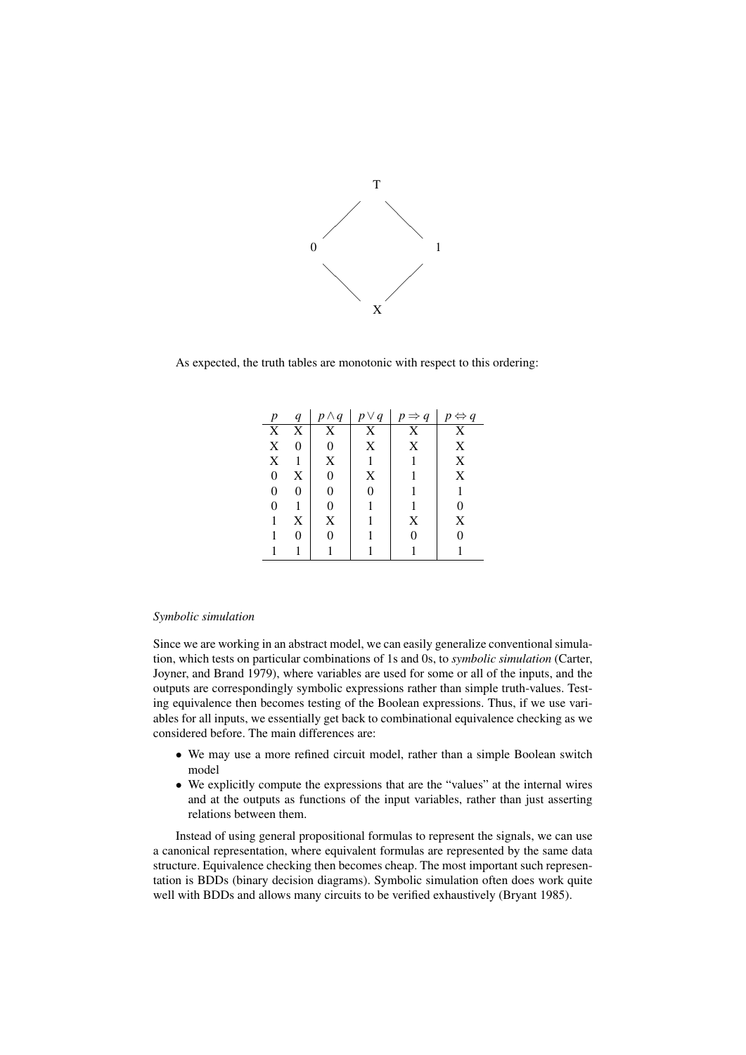

As expected, the truth tables are monotonic with respect to this ordering:

| p        | q | $p \wedge q$ | $p \vee q$ | $p \Rightarrow q$ | $p \Leftrightarrow q$ |
|----------|---|--------------|------------|-------------------|-----------------------|
| X        | X | X            | X          | X                 | X                     |
| X        | 0 | 0            | X          | X                 | X                     |
| X        |   | X            |            |                   | X                     |
| 0        | X | 0            | X          |                   | X                     |
| $\theta$ | 0 | 0            | 0          |                   |                       |
| 0        |   | 0            |            |                   | 0                     |
|          | X | X            |            | X                 | X                     |
|          | 0 | 0            |            |                   |                       |
|          |   |              |            |                   |                       |

#### *Symbolic simulation*

Since we are working in an abstract model, we can easily generalize conventional simulation, which tests on particular combinations of 1s and 0s, to *symbolic simulation* (Carter, Joyner, and Brand 1979), where variables are used for some or all of the inputs, and the outputs are correspondingly symbolic expressions rather than simple truth-values. Testing equivalence then becomes testing of the Boolean expressions. Thus, if we use variables for all inputs, we essentially get back to combinational equivalence checking as we considered before. The main differences are:

- We may use a more refined circuit model, rather than a simple Boolean switch model
- We explicitly compute the expressions that are the "values" at the internal wires and at the outputs as functions of the input variables, rather than just asserting relations between them.

Instead of using general propositional formulas to represent the signals, we can use a canonical representation, where equivalent formulas are represented by the same data structure. Equivalence checking then becomes cheap. The most important such representation is BDDs (binary decision diagrams). Symbolic simulation often does work quite well with BDDs and allows many circuits to be verified exhaustively (Bryant 1985).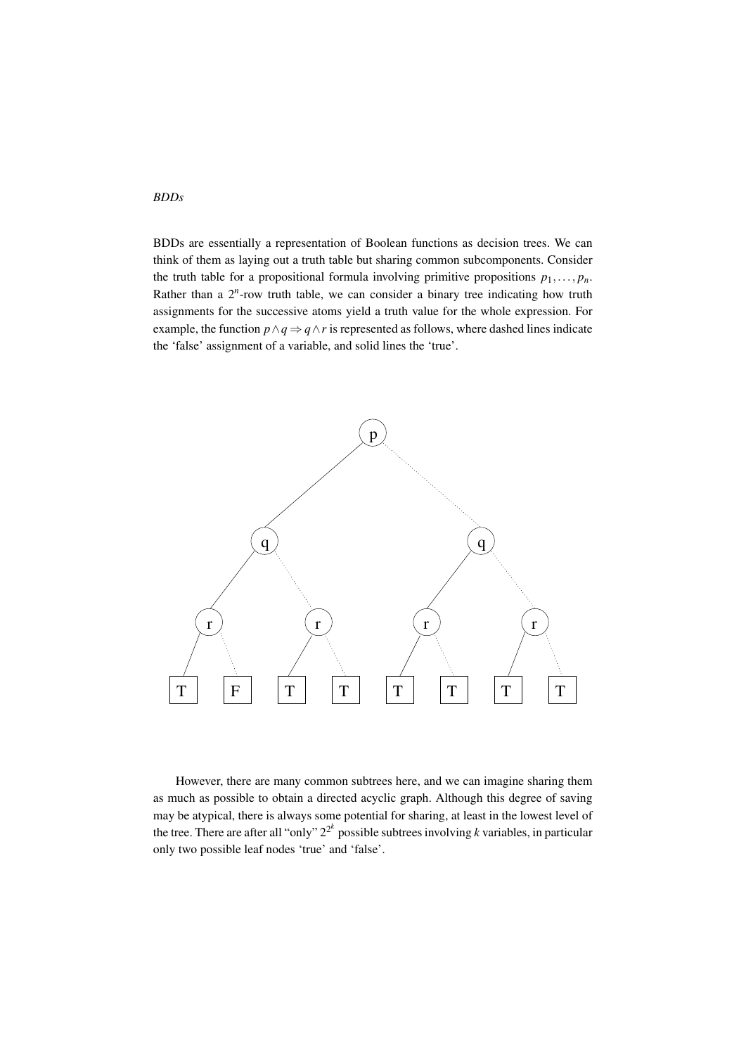# *BDDs*

BDDs are essentially a representation of Boolean functions as decision trees. We can think of them as laying out a truth table but sharing common subcomponents. Consider the truth table for a propositional formula involving primitive propositions  $p_1, \ldots, p_n$ . Rather than a  $2<sup>n</sup>$ -row truth table, we can consider a binary tree indicating how truth assignments for the successive atoms yield a truth value for the whole expression. For example, the function  $p \land q \Rightarrow q \land r$  is represented as follows, where dashed lines indicate the 'false' assignment of a variable, and solid lines the 'true'.



However, there are many common subtrees here, and we can imagine sharing them as much as possible to obtain a directed acyclic graph. Although this degree of saving may be atypical, there is always some potential for sharing, at least in the lowest level of the tree. There are after all "only"  $2^{2^k}$  possible subtrees involving *k* variables, in particular only two possible leaf nodes 'true' and 'false'.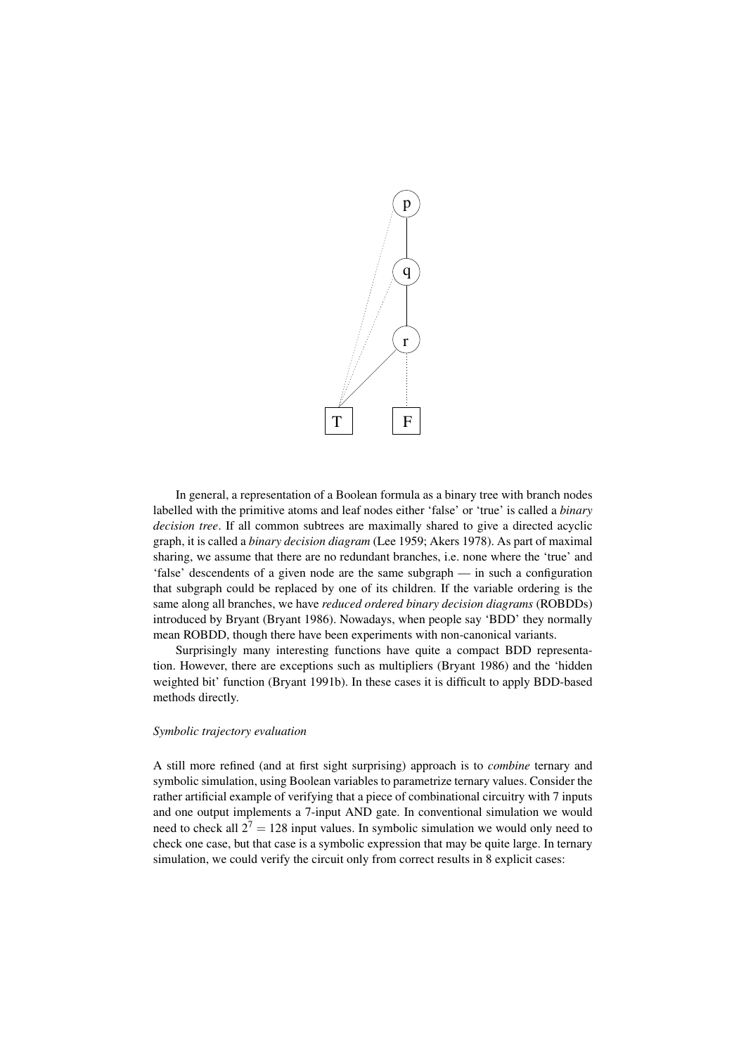

In general, a representation of a Boolean formula as a binary tree with branch nodes labelled with the primitive atoms and leaf nodes either 'false' or 'true' is called a *binary decision tree*. If all common subtrees are maximally shared to give a directed acyclic graph, it is called a *binary decision diagram* (Lee 1959; Akers 1978). As part of maximal sharing, we assume that there are no redundant branches, i.e. none where the 'true' and 'false' descendents of a given node are the same subgraph — in such a configuration that subgraph could be replaced by one of its children. If the variable ordering is the same along all branches, we have *reduced ordered binary decision diagrams* (ROBDDs) introduced by Bryant (Bryant 1986). Nowadays, when people say 'BDD' they normally mean ROBDD, though there have been experiments with non-canonical variants.

Surprisingly many interesting functions have quite a compact BDD representation. However, there are exceptions such as multipliers (Bryant 1986) and the 'hidden weighted bit' function (Bryant 1991b). In these cases it is difficult to apply BDD-based methods directly.

# *Symbolic trajectory evaluation*

A still more refined (and at first sight surprising) approach is to *combine* ternary and symbolic simulation, using Boolean variables to parametrize ternary values. Consider the rather artificial example of verifying that a piece of combinational circuitry with 7 inputs and one output implements a 7-input AND gate. In conventional simulation we would need to check all  $2^7 = 128$  input values. In symbolic simulation we would only need to check one case, but that case is a symbolic expression that may be quite large. In ternary simulation, we could verify the circuit only from correct results in 8 explicit cases: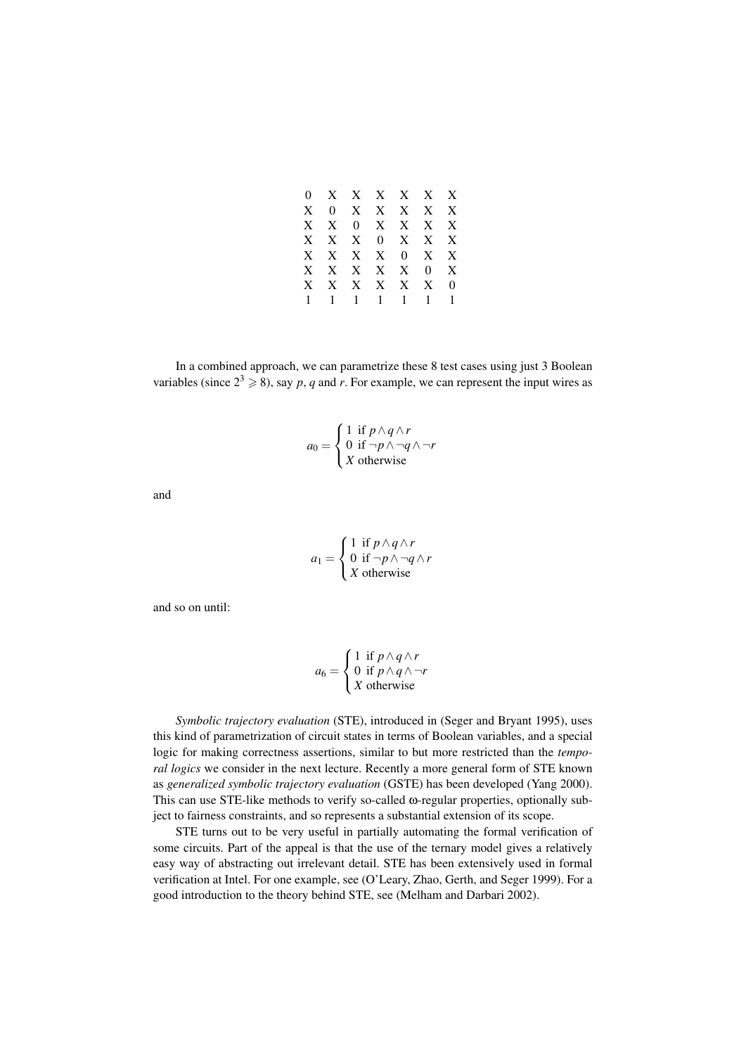| $X$ 0 X X X X X<br>$X \quad X \quad 0 \quad X \quad X \quad X \quad X$<br>$X$ $X$ $X$ 0 $X$ $X$ $X$<br>$X$ $X$ $X$ $X$ 0 $X$ $X$<br>$X$ $X$ $X$ $X$ $X$ 0 $X$<br>$X$ $X$ $X$ $X$ $X$ $X$ 0 |  | $0$ X X X X X X |  |  |
|--------------------------------------------------------------------------------------------------------------------------------------------------------------------------------------------|--|-----------------|--|--|
|                                                                                                                                                                                            |  |                 |  |  |
|                                                                                                                                                                                            |  |                 |  |  |
|                                                                                                                                                                                            |  |                 |  |  |
|                                                                                                                                                                                            |  |                 |  |  |
|                                                                                                                                                                                            |  |                 |  |  |
|                                                                                                                                                                                            |  |                 |  |  |
| $1 \quad 1 \quad 1 \quad 1 \quad 1 \quad 1 \quad 1$                                                                                                                                        |  |                 |  |  |

In a combined approach, we can parametrize these 8 test cases using just 3 Boolean variables (since  $2^3 \ge 8$ ), say *p*, *q* and *r*. For example, we can represent the input wires as

$$
a_0 = \begin{cases} 1 & \text{if } p \wedge q \wedge r \\ 0 & \text{if } \neg p \wedge \neg q \wedge \neg r \\ X & \text{otherwise} \end{cases}
$$

and

$$
a_1 = \begin{cases} 1 & \text{if } p \wedge q \wedge r \\ 0 & \text{if } \neg p \wedge \neg q \wedge r \\ X & \text{otherwise} \end{cases}
$$

and so on until:

$$
a_6 = \begin{cases} 1 & \text{if } p \wedge q \wedge r \\ 0 & \text{if } p \wedge q \wedge \neg r \\ X & \text{otherwise} \end{cases}
$$

*Symbolic trajectory evaluation* (STE), introduced in (Seger and Bryant 1995), uses this kind of parametrization of circuit states in terms of Boolean variables, and a special logic for making correctness assertions, similar to but more restricted than the *temporal logics* we consider in the next lecture. Recently a more general form of STE known as *generalized symbolic trajectory evaluation* (GSTE) has been developed (Yang 2000). This can use STE-like methods to verify so-called ω-regular properties, optionally subject to fairness constraints, and so represents a substantial extension of its scope.

STE turns out to be very useful in partially automating the formal verification of some circuits. Part of the appeal is that the use of the ternary model gives a relatively easy way of abstracting out irrelevant detail. STE has been extensively used in formal verification at Intel. For one example, see (O'Leary, Zhao, Gerth, and Seger 1999). For a good introduction to the theory behind STE, see (Melham and Darbari 2002).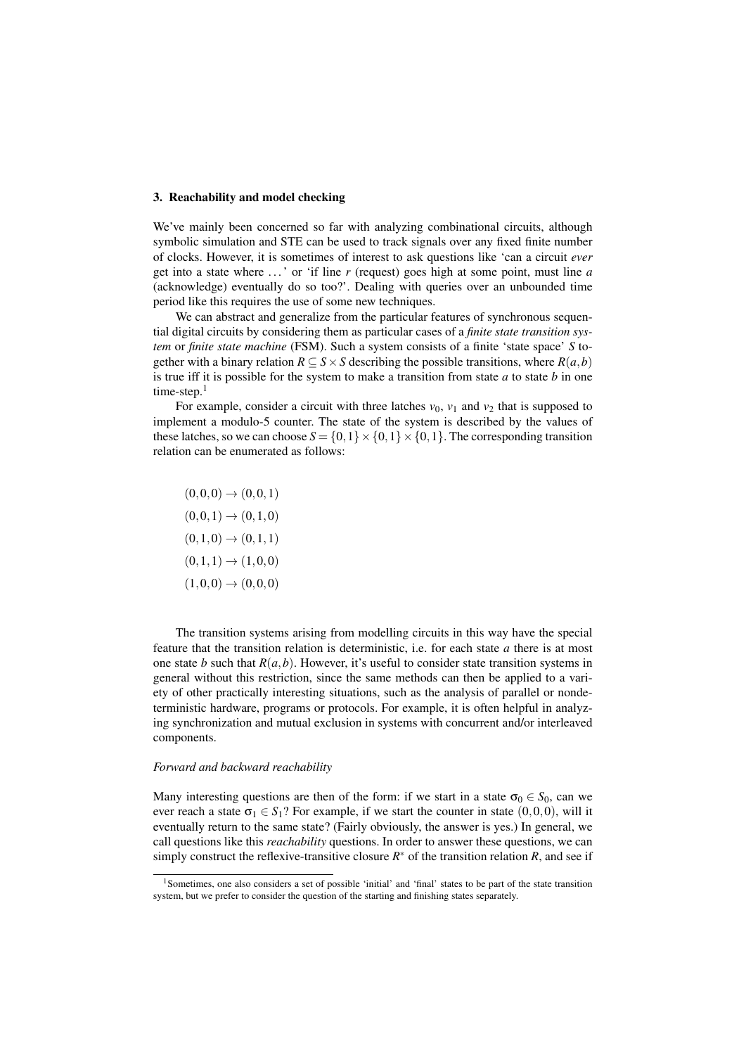# 3. Reachability and model checking

We've mainly been concerned so far with analyzing combinational circuits, although symbolic simulation and STE can be used to track signals over any fixed finite number of clocks. However, it is sometimes of interest to ask questions like 'can a circuit *ever* get into a state where . . . ' or 'if line *r* (request) goes high at some point, must line *a* (acknowledge) eventually do so too?'. Dealing with queries over an unbounded time period like this requires the use of some new techniques.

We can abstract and generalize from the particular features of synchronous sequential digital circuits by considering them as particular cases of a *finite state transition system* or *finite state machine* (FSM). Such a system consists of a finite 'state space' *S* together with a binary relation  $R \subseteq S \times S$  describing the possible transitions, where  $R(a,b)$ is true iff it is possible for the system to make a transition from state *a* to state *b* in one time-step. $1$ 

For example, consider a circuit with three latches  $v_0$ ,  $v_1$  and  $v_2$  that is supposed to implement a modulo-5 counter. The state of the system is described by the values of these latches, so we can choose  $S = \{0,1\} \times \{0,1\} \times \{0,1\}$ . The corresponding transition relation can be enumerated as follows:

 $(0,0,0) \rightarrow (0,0,1)$  $(0,0,1) \rightarrow (0,1,0)$  $(0,1,0) \rightarrow (0,1,1)$  $(0,1,1) \rightarrow (1,0,0)$  $(1,0,0) \rightarrow (0,0,0)$ 

The transition systems arising from modelling circuits in this way have the special feature that the transition relation is deterministic, i.e. for each state *a* there is at most one state *b* such that  $R(a,b)$ . However, it's useful to consider state transition systems in general without this restriction, since the same methods can then be applied to a variety of other practically interesting situations, such as the analysis of parallel or nondeterministic hardware, programs or protocols. For example, it is often helpful in analyzing synchronization and mutual exclusion in systems with concurrent and/or interleaved components.

#### *Forward and backward reachability*

Many interesting questions are then of the form: if we start in a state  $\sigma_0 \in S_0$ , can we ever reach a state  $\sigma_1 \in S_1$ ? For example, if we start the counter in state (0,0,0), will it eventually return to the same state? (Fairly obviously, the answer is yes.) In general, we call questions like this *reachability* questions. In order to answer these questions, we can simply construct the reflexive-transitive closure  $R^*$  of the transition relation  $R$ , and see if

<sup>&</sup>lt;sup>1</sup>Sometimes, one also considers a set of possible 'initial' and 'final' states to be part of the state transition system, but we prefer to consider the question of the starting and finishing states separately.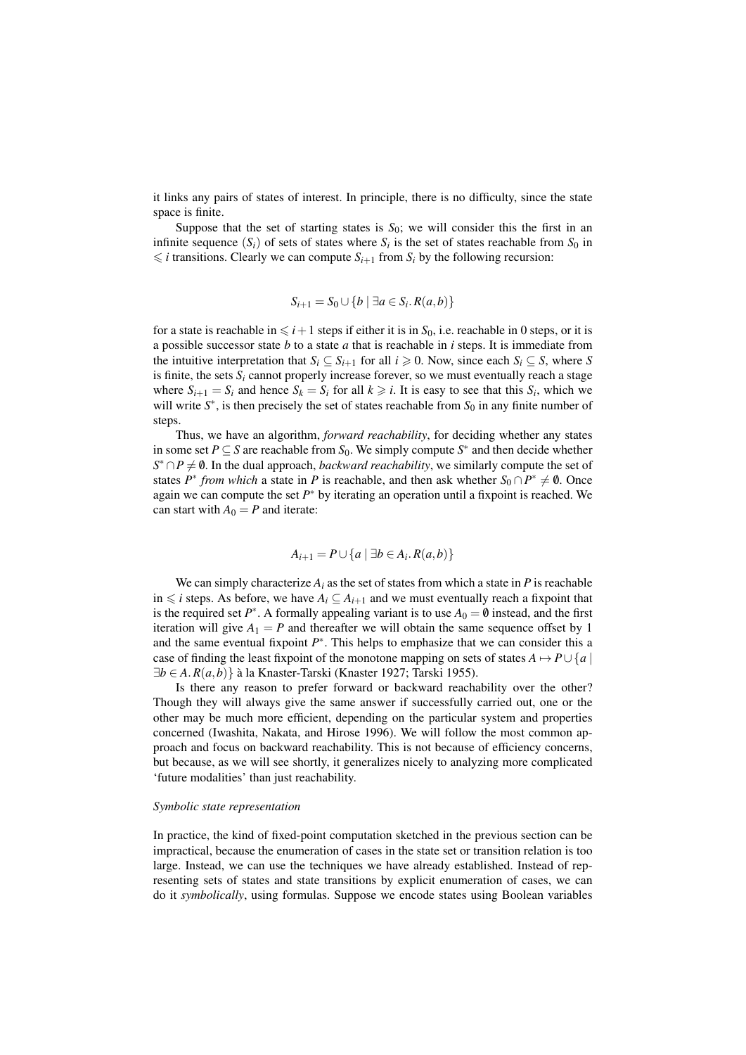it links any pairs of states of interest. In principle, there is no difficulty, since the state space is finite.

Suppose that the set of starting states is  $S_0$ ; we will consider this the first in an infinite sequence  $(S_i)$  of sets of states where  $S_i$  is the set of states reachable from  $S_0$  in  $\leq i$  transitions. Clearly we can compute  $S_{i+1}$  from  $S_i$  by the following recursion:

$$
S_{i+1} = S_0 \cup \{b \mid \exists a \in S_i \ldotp R(a,b)\}
$$

for a state is reachable in  $\leq i+1$  steps if either it is in  $S_0$ , i.e. reachable in 0 steps, or it is a possible successor state *b* to a state *a* that is reachable in *i* steps. It is immediate from the intuitive interpretation that  $S_i \subseteq S_{i+1}$  for all  $i \ge 0$ . Now, since each  $S_i \subseteq S$ , where *S* is finite, the sets  $S_i$  cannot properly increase forever, so we must eventually reach a stage where  $S_{i+1} = S_i$  and hence  $S_k = S_i$  for all  $k \geq i$ . It is easy to see that this  $S_i$ , which we will write  $S^*$ , is then precisely the set of states reachable from  $S_0$  in any finite number of steps.

Thus, we have an algorithm, *forward reachability*, for deciding whether any states in some set  $P \subseteq S$  are reachable from  $S_0$ . We simply compute  $S^*$  and then decide whether  $S^* \cap P \neq \emptyset$ . In the dual approach, *backward reachability*, we similarly compute the set of states *P*<sup>\*</sup> *from which* a state in *P* is reachable, and then ask whether  $S_0 \cap P^* \neq \emptyset$ . Once again we can compute the set  $P^*$  by iterating an operation until a fixpoint is reached. We can start with  $A_0 = P$  and iterate:

$$
A_{i+1} = P \cup \{a \mid \exists b \in A_i \ldotp R(a, b)\}
$$

We can simply characterize  $A_i$  as the set of states from which a state in  $P$  is reachable in ≤ *i* steps. As before, we have  $A_i$  ⊆  $A_{i+1}$  and we must eventually reach a fixpoint that is the required set  $P^*$ . A formally appealing variant is to use  $A_0 = \emptyset$  instead, and the first iteration will give  $A_1 = P$  and thereafter we will obtain the same sequence offset by 1 and the same eventual fixpoint  $P^*$ . This helps to emphasize that we can consider this a case of finding the least fixpoint of the monotone mapping on sets of states  $A \mapsto P \cup \{a \}$ ∃*b* ∈ *A*.*R*(*a*,*b*)} a la Knaster-Tarski (Knaster 1927; Tarski 1955). `

Is there any reason to prefer forward or backward reachability over the other? Though they will always give the same answer if successfully carried out, one or the other may be much more efficient, depending on the particular system and properties concerned (Iwashita, Nakata, and Hirose 1996). We will follow the most common approach and focus on backward reachability. This is not because of efficiency concerns, but because, as we will see shortly, it generalizes nicely to analyzing more complicated 'future modalities' than just reachability.

#### *Symbolic state representation*

In practice, the kind of fixed-point computation sketched in the previous section can be impractical, because the enumeration of cases in the state set or transition relation is too large. Instead, we can use the techniques we have already established. Instead of representing sets of states and state transitions by explicit enumeration of cases, we can do it *symbolically*, using formulas. Suppose we encode states using Boolean variables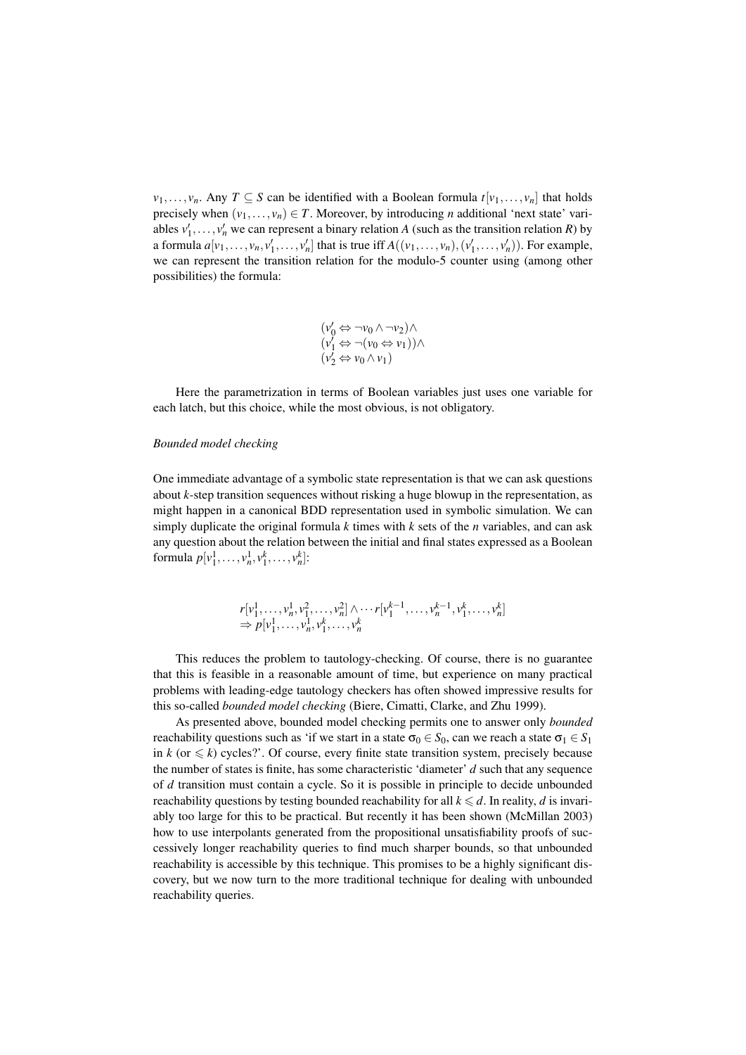*v*<sub>1</sub>,..., *v*<sub>*n*</sub>. Any *T* ⊆ *S* can be identified with a Boolean formula *t*[*v*<sub>1</sub>,..., *v*<sub>*n*</sub>] that holds precisely when  $(v_1, \ldots, v_n) \in T$ . Moreover, by introducing *n* additional 'next state' variables  $v'_1, \ldots, v'_n$  we can represent a binary relation *A* (such as the transition relation *R*) by a formula  $a[v_1, \ldots, v_n, v'_1, \ldots, v'_n]$  that is true iff  $A((v_1, \ldots, v_n), (v'_1, \ldots, v'_n))$ . For example, we can represent the transition relation for the modulo-5 counter using (among other possibilities) the formula:

$$
\begin{array}{l}\n(v'_0 \Leftrightarrow \neg v_0 \wedge \neg v_2) \wedge \\
(v'_1 \Leftrightarrow \neg (v_0 \Leftrightarrow v_1)) \wedge \\
(v'_2 \Leftrightarrow v_0 \wedge v_1)\n\end{array}
$$

Here the parametrization in terms of Boolean variables just uses one variable for each latch, but this choice, while the most obvious, is not obligatory.

## *Bounded model checking*

One immediate advantage of a symbolic state representation is that we can ask questions about *k*-step transition sequences without risking a huge blowup in the representation, as might happen in a canonical BDD representation used in symbolic simulation. We can simply duplicate the original formula *k* times with *k* sets of the *n* variables, and can ask any question about the relation between the initial and final states expressed as a Boolean formula  $p[v_1^1, \ldots, v_n^1, v_1^k, \ldots, v_n^k]$ :

$$
r[v_1^1, \ldots, v_n^1, v_1^2, \ldots, v_n^2] \wedge \cdots r[v_1^{k-1}, \ldots, v_n^{k-1}, v_1^k, \ldots, v_n^k]
$$
  
\n
$$
\Rightarrow p[v_1^1, \ldots, v_n^1, v_1^k, \ldots, v_n^k]
$$

This reduces the problem to tautology-checking. Of course, there is no guarantee that this is feasible in a reasonable amount of time, but experience on many practical problems with leading-edge tautology checkers has often showed impressive results for this so-called *bounded model checking* (Biere, Cimatti, Clarke, and Zhu 1999).

As presented above, bounded model checking permits one to answer only *bounded* reachability questions such as 'if we start in a state  $\sigma_0 \in S_0$ , can we reach a state  $\sigma_1 \in S_1$ in  $k$  (or  $\leq k$ ) cycles?'. Of course, every finite state transition system, precisely because the number of states is finite, has some characteristic 'diameter' *d* such that any sequence of *d* transition must contain a cycle. So it is possible in principle to decide unbounded reachability questions by testing bounded reachability for all  $k \le d$ . In reality, *d* is invariably too large for this to be practical. But recently it has been shown (McMillan 2003) how to use interpolants generated from the propositional unsatisfiability proofs of successively longer reachability queries to find much sharper bounds, so that unbounded reachability is accessible by this technique. This promises to be a highly significant discovery, but we now turn to the more traditional technique for dealing with unbounded reachability queries.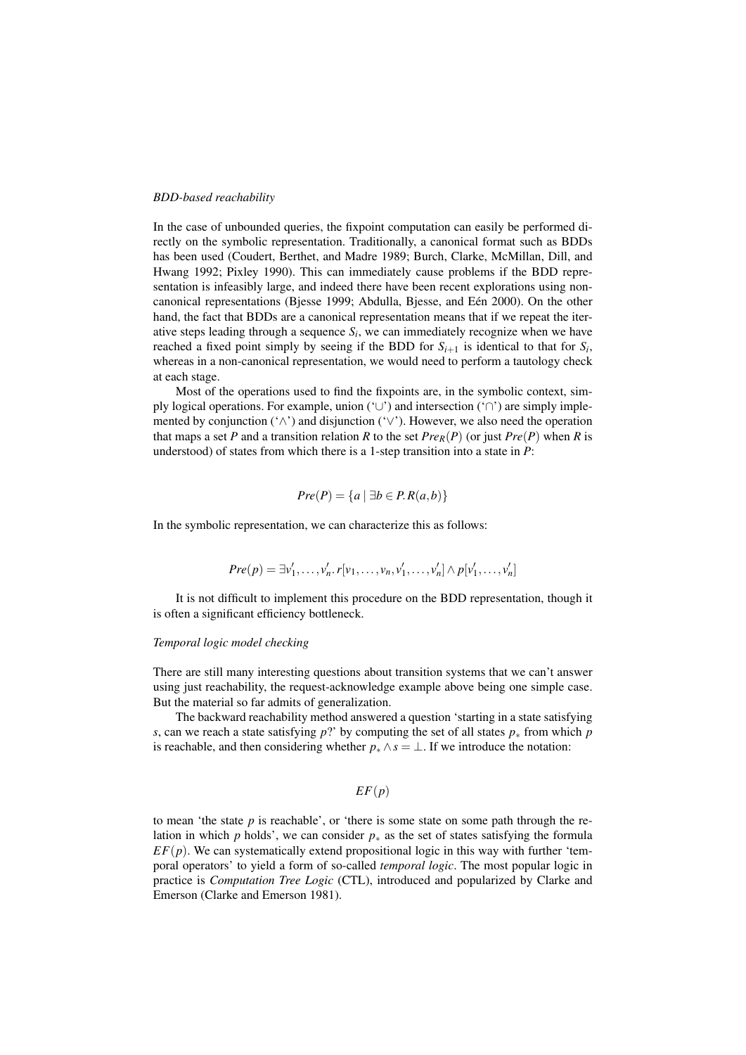#### *BDD-based reachability*

In the case of unbounded queries, the fixpoint computation can easily be performed directly on the symbolic representation. Traditionally, a canonical format such as BDDs has been used (Coudert, Berthet, and Madre 1989; Burch, Clarke, McMillan, Dill, and Hwang 1992; Pixley 1990). This can immediately cause problems if the BDD representation is infeasibly large, and indeed there have been recent explorations using noncanonical representations (Bjesse 1999; Abdulla, Bjesse, and Een 2000). On the other ´ hand, the fact that BDDs are a canonical representation means that if we repeat the iterative steps leading through a sequence  $S_i$ , we can immediately recognize when we have reached a fixed point simply by seeing if the BDD for  $S_{i+1}$  is identical to that for  $S_i$ , whereas in a non-canonical representation, we would need to perform a tautology check at each stage.

Most of the operations used to find the fixpoints are, in the symbolic context, simply logical operations. For example, union ('∪') and intersection ('∩') are simply implemented by conjunction ('∧') and disjunction ('∨'). However, we also need the operation that maps a set *P* and a transition relation *R* to the set  $Pre_R(P)$  (or just  $Pre(P)$  when *R* is understood) of states from which there is a 1-step transition into a state in *P*:

$$
Pre(P) = \{a \mid \exists b \in P. R(a, b)\}
$$

In the symbolic representation, we can characterize this as follows:

$$
Pre(p) = \exists v'_1, \ldots, v'_n. r[v_1, \ldots, v_n, v'_1, \ldots, v'_n] \wedge p[v'_1, \ldots, v'_n]
$$

It is not difficult to implement this procedure on the BDD representation, though it is often a significant efficiency bottleneck.

#### *Temporal logic model checking*

There are still many interesting questions about transition systems that we can't answer using just reachability, the request-acknowledge example above being one simple case. But the material so far admits of generalization.

The backward reachability method answered a question 'starting in a state satisfying *s*, can we reach a state satisfying *p*?' by computing the set of all states *p*<sup>∗</sup> from which *p* is reachable, and then considering whether  $p_* \wedge s = \perp$ . If we introduce the notation:

# *EF*(*p*)

to mean 'the state *p* is reachable', or 'there is some state on some path through the relation in which *p* holds', we can consider  $p_*$  as the set of states satisfying the formula  $EF(p)$ . We can systematically extend propositional logic in this way with further 'temporal operators' to yield a form of so-called *temporal logic*. The most popular logic in practice is *Computation Tree Logic* (CTL), introduced and popularized by Clarke and Emerson (Clarke and Emerson 1981).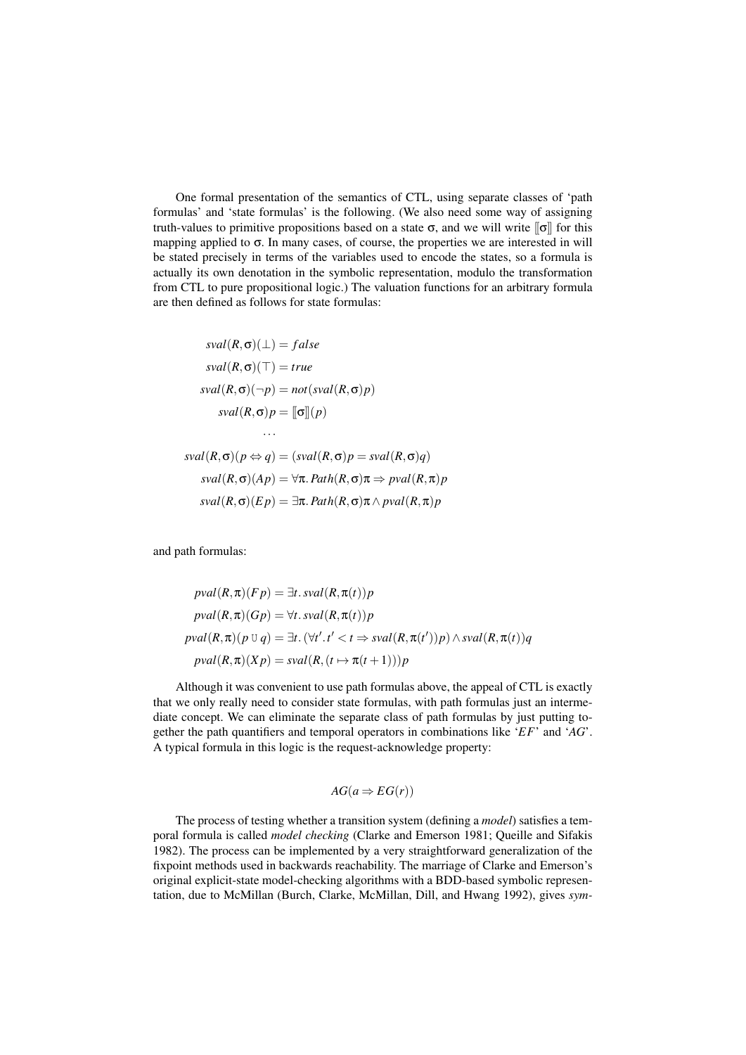One formal presentation of the semantics of CTL, using separate classes of 'path formulas' and 'state formulas' is the following. (We also need some way of assigning truth-values to primitive propositions based on a state σ, and we will write  $\lbrack \lbrack \sigma \rbrack \rbrack$  for this mapping applied to  $\sigma$ . In many cases, of course, the properties we are interested in will be stated precisely in terms of the variables used to encode the states, so a formula is actually its own denotation in the symbolic representation, modulo the transformation from CTL to pure propositional logic.) The valuation functions for an arbitrary formula are then defined as follows for state formulas:

$$
sval(R, \sigma)(\bot) = false
$$
  
\n
$$
sval(R, \sigma)(\top) = true
$$
  
\n
$$
sval(R, \sigma)(\neg p) = not(sval(R, \sigma)p)
$$
  
\n
$$
sval(R, \sigma)p = [\sigma](p)
$$
  
\n...  
\n
$$
sval(R, \sigma)(p \Leftrightarrow q) = (sval(R, \sigma)p = sval(R, \sigma)q)
$$
  
\n
$$
sval(R, \sigma)(Ap) = \forall \pi. Path(R, \sigma)\pi \Rightarrow pval(R, \pi)p
$$
  
\n
$$
sval(R, \sigma)(Ep) = \exists \pi. Path(R, \sigma)\pi \land pval(R, \pi)p
$$

and path formulas:

$$
pval(R,\pi)(Fp) = \exists t. \, sval(R,\pi(t))p
$$
\n
$$
pval(R,\pi)(Gp) = \forall t. \, sval(R,\pi(t))p
$$
\n
$$
pval(R,\pi)(p \cup q) = \exists t. \, (\forall t'. \, t' < t \Rightarrow sval(R,\pi(t'))p) \land sval(R,\pi(t))q
$$
\n
$$
pval(R,\pi)(Xp) = sval(R, (t \mapsto \pi(t+1)))p
$$

Although it was convenient to use path formulas above, the appeal of CTL is exactly that we only really need to consider state formulas, with path formulas just an intermediate concept. We can eliminate the separate class of path formulas by just putting together the path quantifiers and temporal operators in combinations like '*EF*' and '*AG*'. A typical formula in this logic is the request-acknowledge property:

$$
AG(a \Rightarrow EG(r))
$$

The process of testing whether a transition system (defining a *model*) satisfies a temporal formula is called *model checking* (Clarke and Emerson 1981; Queille and Sifakis 1982). The process can be implemented by a very straightforward generalization of the fixpoint methods used in backwards reachability. The marriage of Clarke and Emerson's original explicit-state model-checking algorithms with a BDD-based symbolic representation, due to McMillan (Burch, Clarke, McMillan, Dill, and Hwang 1992), gives *sym-*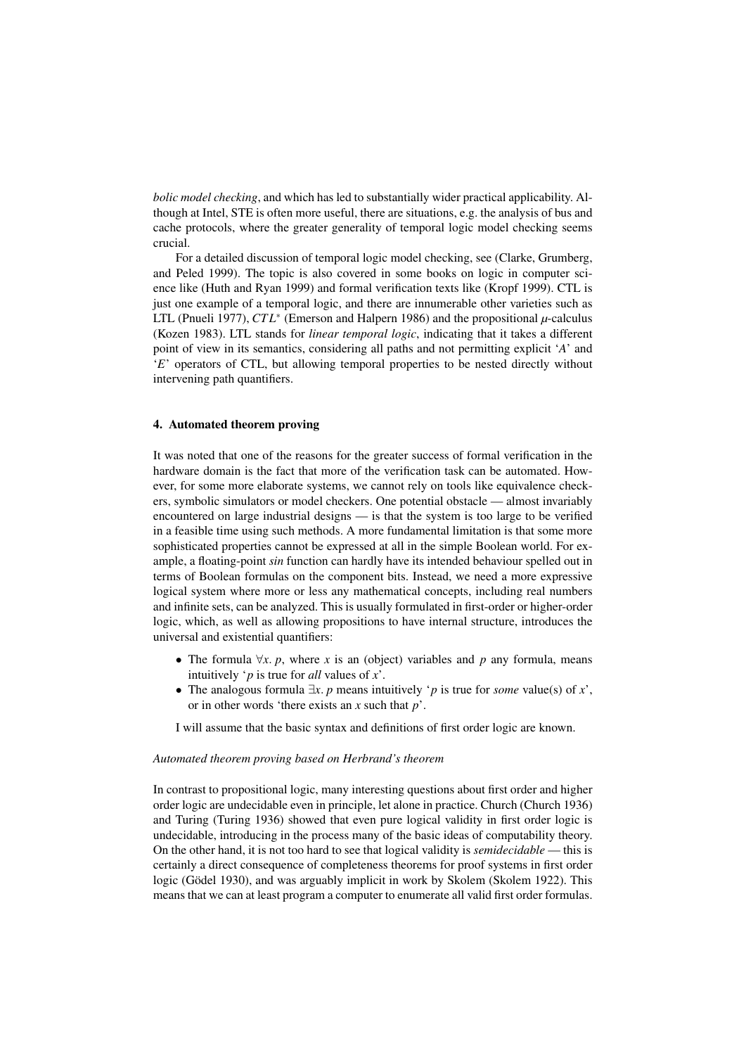*bolic model checking*, and which has led to substantially wider practical applicability. Although at Intel, STE is often more useful, there are situations, e.g. the analysis of bus and cache protocols, where the greater generality of temporal logic model checking seems crucial.

For a detailed discussion of temporal logic model checking, see (Clarke, Grumberg, and Peled 1999). The topic is also covered in some books on logic in computer science like (Huth and Ryan 1999) and formal verification texts like (Kropf 1999). CTL is just one example of a temporal logic, and there are innumerable other varieties such as LTL (Pnueli 1977), *CT L*<sup>∗</sup> (Emerson and Halpern 1986) and the propositional *µ*-calculus (Kozen 1983). LTL stands for *linear temporal logic*, indicating that it takes a different point of view in its semantics, considering all paths and not permitting explicit '*A*' and '*E*' operators of CTL, but allowing temporal properties to be nested directly without intervening path quantifiers.

## 4. Automated theorem proving

It was noted that one of the reasons for the greater success of formal verification in the hardware domain is the fact that more of the verification task can be automated. However, for some more elaborate systems, we cannot rely on tools like equivalence checkers, symbolic simulators or model checkers. One potential obstacle — almost invariably encountered on large industrial designs — is that the system is too large to be verified in a feasible time using such methods. A more fundamental limitation is that some more sophisticated properties cannot be expressed at all in the simple Boolean world. For example, a floating-point *sin* function can hardly have its intended behaviour spelled out in terms of Boolean formulas on the component bits. Instead, we need a more expressive logical system where more or less any mathematical concepts, including real numbers and infinite sets, can be analyzed. This is usually formulated in first-order or higher-order logic, which, as well as allowing propositions to have internal structure, introduces the universal and existential quantifiers:

- The formula ∀*x*. *p*, where *x* is an (object) variables and *p* any formula, means intuitively '*p* is true for *all* values of *x*'.
- The analogous formula ∃*x*. *p* means intuitively '*p* is true for *some* value(s) of *x*', or in other words 'there exists an *x* such that *p*'.

I will assume that the basic syntax and definitions of first order logic are known.

#### *Automated theorem proving based on Herbrand's theorem*

In contrast to propositional logic, many interesting questions about first order and higher order logic are undecidable even in principle, let alone in practice. Church (Church 1936) and Turing (Turing 1936) showed that even pure logical validity in first order logic is undecidable, introducing in the process many of the basic ideas of computability theory. On the other hand, it is not too hard to see that logical validity is *semidecidable* — this is certainly a direct consequence of completeness theorems for proof systems in first order logic (Gödel 1930), and was arguably implicit in work by Skolem (Skolem 1922). This means that we can at least program a computer to enumerate all valid first order formulas.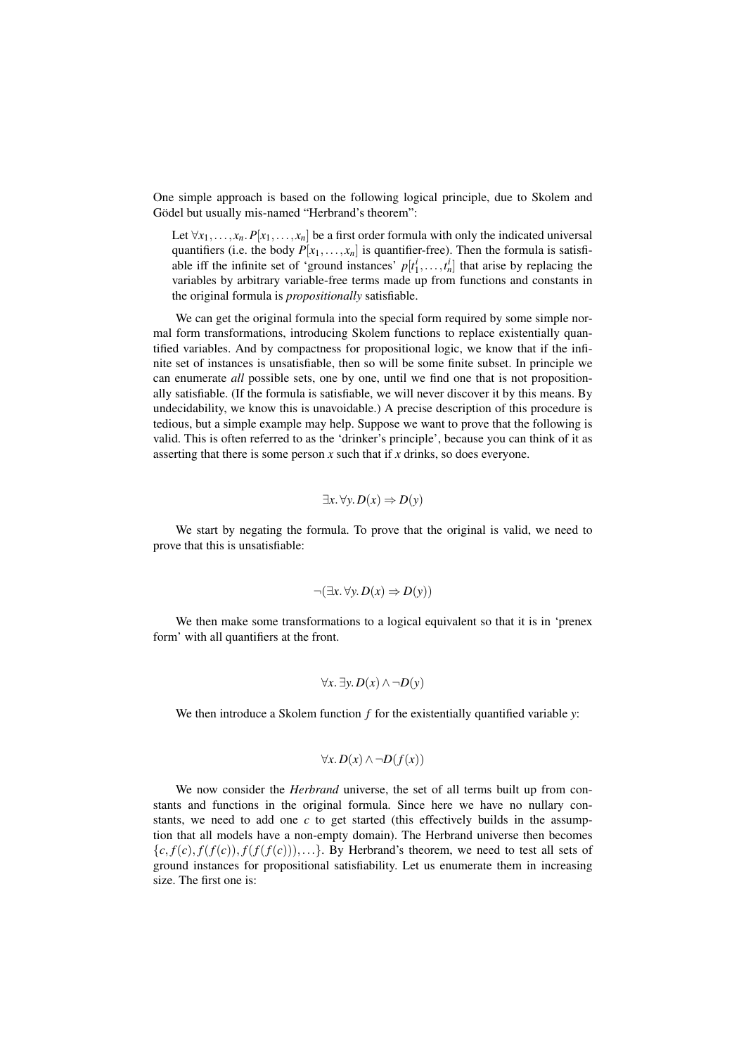One simple approach is based on the following logical principle, due to Skolem and Gödel but usually mis-named "Herbrand's theorem":

Let  $\forall x_1, \ldots, x_n$ .  $P[x_1, \ldots, x_n]$  be a first order formula with only the indicated universal quantifiers (i.e. the body  $P[x_1,...,x_n]$  is quantifier-free). Then the formula is satisfiable iff the infinite set of 'ground instances'  $p[t_1^i, \ldots, t_n^i]$  that arise by replacing the variables by arbitrary variable-free terms made up from functions and constants in the original formula is *propositionally* satisfiable.

We can get the original formula into the special form required by some simple normal form transformations, introducing Skolem functions to replace existentially quantified variables. And by compactness for propositional logic, we know that if the infinite set of instances is unsatisfiable, then so will be some finite subset. In principle we can enumerate *all* possible sets, one by one, until we find one that is not propositionally satisfiable. (If the formula is satisfiable, we will never discover it by this means. By undecidability, we know this is unavoidable.) A precise description of this procedure is tedious, but a simple example may help. Suppose we want to prove that the following is valid. This is often referred to as the 'drinker's principle', because you can think of it as asserting that there is some person  $x$  such that if  $x$  drinks, so does everyone.

$$
\exists x. \forall y. D(x) \Rightarrow D(y)
$$

We start by negating the formula. To prove that the original is valid, we need to prove that this is unsatisfiable:

$$
\neg (\exists x. \forall y. D(x) \Rightarrow D(y))
$$

We then make some transformations to a logical equivalent so that it is in 'prenex form' with all quantifiers at the front.

$$
\forall x. \exists y. D(x) \land \neg D(y)
$$

We then introduce a Skolem function *f* for the existentially quantified variable *y*:

$$
\forall x. D(x) \land \neg D(f(x))
$$

We now consider the *Herbrand* universe, the set of all terms built up from constants and functions in the original formula. Since here we have no nullary constants, we need to add one *c* to get started (this effectively builds in the assumption that all models have a non-empty domain). The Herbrand universe then becomes  ${c, f(c), f(f(c)), f(f(f(c))),...}$ . By Herbrand's theorem, we need to test all sets of ground instances for propositional satisfiability. Let us enumerate them in increasing size. The first one is: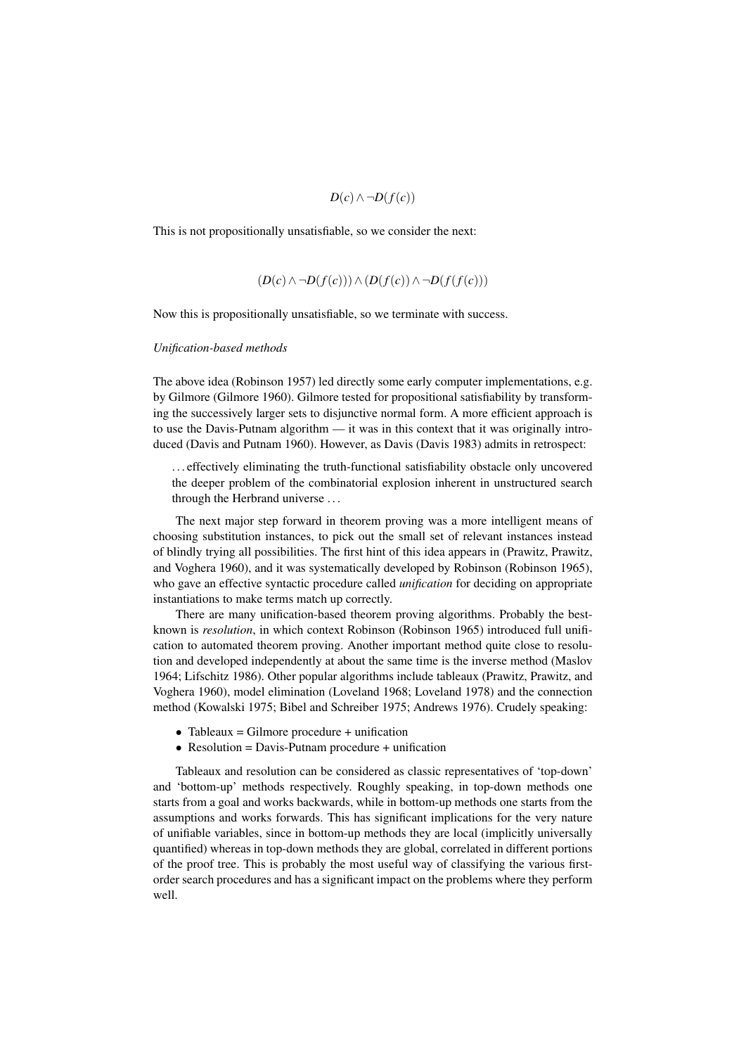$$
D(c) \wedge \neg D(f(c))
$$

This is not propositionally unsatisfiable, so we consider the next:

$$
(D(c) \land \neg D(f(c))) \land (D(f(c)) \land \neg D(f(f(c)))
$$

Now this is propositionally unsatisfiable, so we terminate with success.

*Unification-based methods*

The above idea (Robinson 1957) led directly some early computer implementations, e.g. by Gilmore (Gilmore 1960). Gilmore tested for propositional satisfiability by transforming the successively larger sets to disjunctive normal form. A more efficient approach is to use the Davis-Putnam algorithm — it was in this context that it was originally introduced (Davis and Putnam 1960). However, as Davis (Davis 1983) admits in retrospect:

. . . effectively eliminating the truth-functional satisfiability obstacle only uncovered the deeper problem of the combinatorial explosion inherent in unstructured search through the Herbrand universe . . .

The next major step forward in theorem proving was a more intelligent means of choosing substitution instances, to pick out the small set of relevant instances instead of blindly trying all possibilities. The first hint of this idea appears in (Prawitz, Prawitz, and Voghera 1960), and it was systematically developed by Robinson (Robinson 1965), who gave an effective syntactic procedure called *unification* for deciding on appropriate instantiations to make terms match up correctly.

There are many unification-based theorem proving algorithms. Probably the bestknown is *resolution*, in which context Robinson (Robinson 1965) introduced full unification to automated theorem proving. Another important method quite close to resolution and developed independently at about the same time is the inverse method (Maslov 1964; Lifschitz 1986). Other popular algorithms include tableaux (Prawitz, Prawitz, and Voghera 1960), model elimination (Loveland 1968; Loveland 1978) and the connection method (Kowalski 1975; Bibel and Schreiber 1975; Andrews 1976). Crudely speaking:

- Tableaux = Gilmore procedure + unification
- Resolution = Davis-Putnam procedure + unification

Tableaux and resolution can be considered as classic representatives of 'top-down' and 'bottom-up' methods respectively. Roughly speaking, in top-down methods one starts from a goal and works backwards, while in bottom-up methods one starts from the assumptions and works forwards. This has significant implications for the very nature of unifiable variables, since in bottom-up methods they are local (implicitly universally quantified) whereas in top-down methods they are global, correlated in different portions of the proof tree. This is probably the most useful way of classifying the various firstorder search procedures and has a significant impact on the problems where they perform well.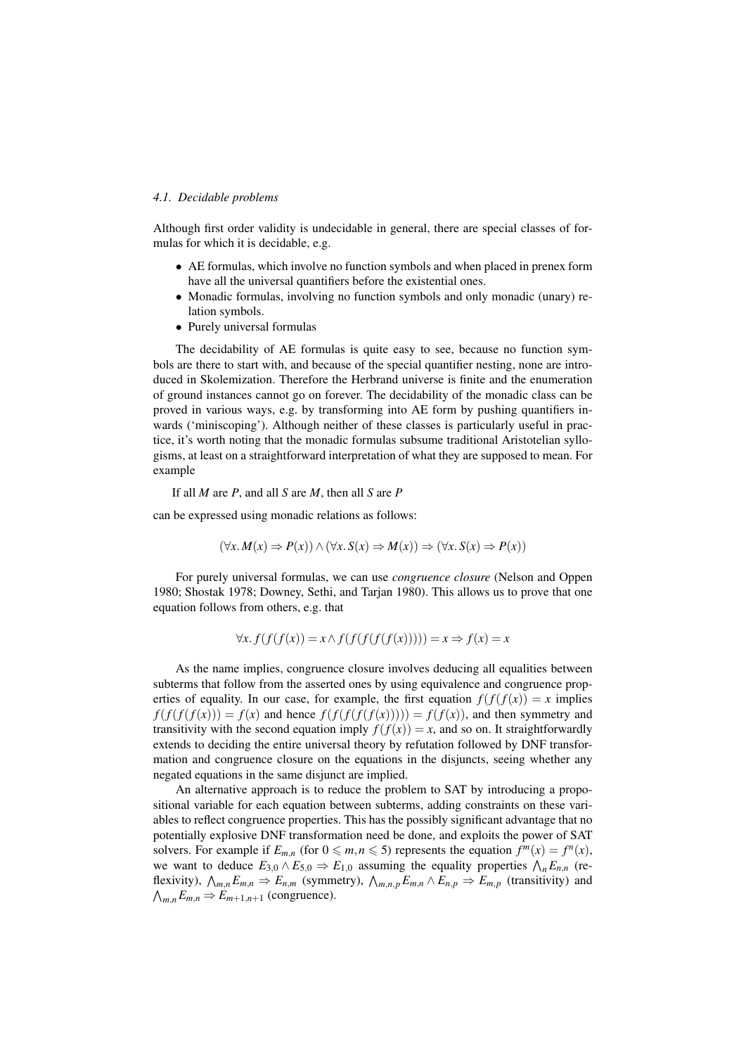## *4.1. Decidable problems*

Although first order validity is undecidable in general, there are special classes of formulas for which it is decidable, e.g.

- AE formulas, which involve no function symbols and when placed in prenex form have all the universal quantifiers before the existential ones.
- Monadic formulas, involving no function symbols and only monadic (unary) relation symbols.
- Purely universal formulas

The decidability of AE formulas is quite easy to see, because no function symbols are there to start with, and because of the special quantifier nesting, none are introduced in Skolemization. Therefore the Herbrand universe is finite and the enumeration of ground instances cannot go on forever. The decidability of the monadic class can be proved in various ways, e.g. by transforming into AE form by pushing quantifiers inwards ('miniscoping'). Although neither of these classes is particularly useful in practice, it's worth noting that the monadic formulas subsume traditional Aristotelian syllogisms, at least on a straightforward interpretation of what they are supposed to mean. For example

If all *M* are *P*, and all *S* are *M*, then all *S* are *P*

can be expressed using monadic relations as follows:

$$
(\forall x. M(x) \Rightarrow P(x)) \land (\forall x. S(x) \Rightarrow M(x)) \Rightarrow (\forall x. S(x) \Rightarrow P(x))
$$

For purely universal formulas, we can use *congruence closure* (Nelson and Oppen 1980; Shostak 1978; Downey, Sethi, and Tarjan 1980). This allows us to prove that one equation follows from others, e.g. that

$$
\forall x. f(f(f(x))) = x \land f(f(f(f(x)))))) = x \Rightarrow f(x) = x
$$

As the name implies, congruence closure involves deducing all equalities between subterms that follow from the asserted ones by using equivalence and congruence properties of equality. In our case, for example, the first equation  $f(f(f(x))) = x$  implies  $f(f(f(f(x)))) = f(x)$  and hence  $f(f(f(f(f(x)))) = f(f(x))$ , and then symmetry and transitivity with the second equation imply  $f(f(x)) = x$ , and so on. It straightforwardly extends to deciding the entire universal theory by refutation followed by DNF transformation and congruence closure on the equations in the disjuncts, seeing whether any negated equations in the same disjunct are implied.

An alternative approach is to reduce the problem to SAT by introducing a propositional variable for each equation between subterms, adding constraints on these variables to reflect congruence properties. This has the possibly significant advantage that no potentially explosive DNF transformation need be done, and exploits the power of SAT solvers. For example if  $E_{m,n}$  (for  $0 \leq m, n \leq 5$ ) represents the equation  $f^{m}(x) = f^{n}(x)$ , we want to deduce  $E_{3,0} \wedge E_{5,0} \Rightarrow E_{1,0}$  assuming the equality properties  $\bigwedge_n E_{n,n}$  (reflexivity),  $\bigwedge_{m,n} E_{m,n} \Rightarrow E_{n,m}$  (symmetry),  $\bigwedge_{m,n,p} E_{m,n} \wedge E_{n,p} \Rightarrow E_{m,p}$  (transitivity) and  $\bigwedge_{m,n} E_{m,n} \Rightarrow E_{m+1,n+1}$  (congruence).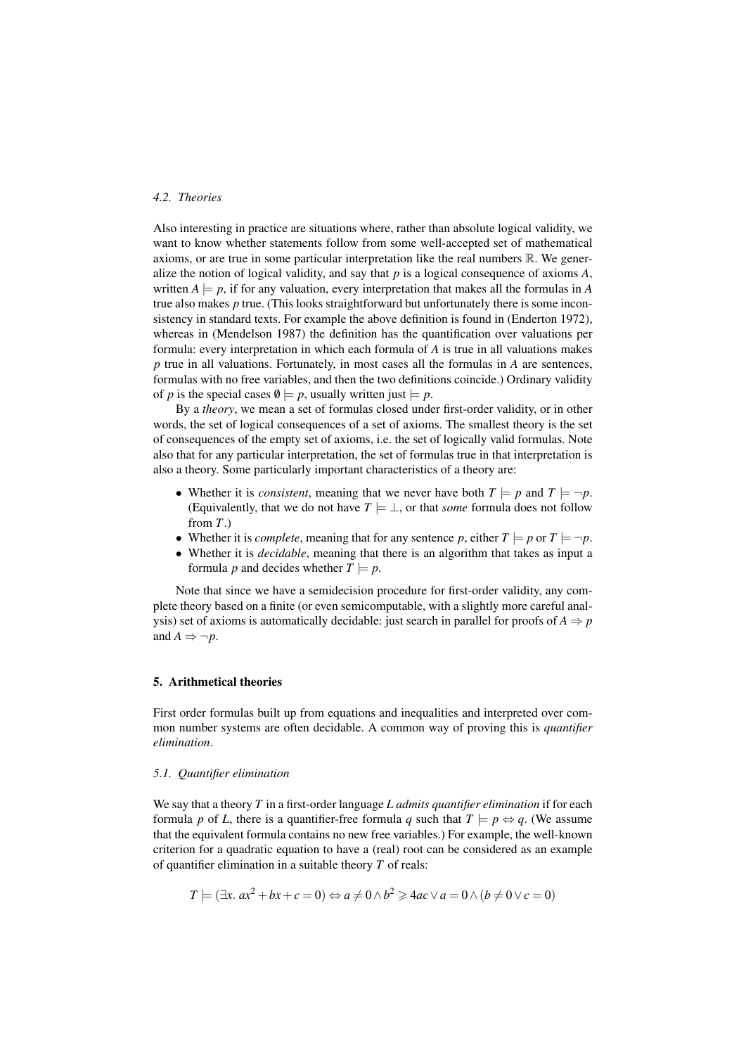# *4.2. Theories*

Also interesting in practice are situations where, rather than absolute logical validity, we want to know whether statements follow from some well-accepted set of mathematical axioms, or are true in some particular interpretation like the real numbers  $\mathbb{R}$ . We generalize the notion of logical validity, and say that *p* is a logical consequence of axioms *A*, written  $A \models p$ , if for any valuation, every interpretation that makes all the formulas in A true also makes *p* true. (This looks straightforward but unfortunately there is some inconsistency in standard texts. For example the above definition is found in (Enderton 1972), whereas in (Mendelson 1987) the definition has the quantification over valuations per formula: every interpretation in which each formula of *A* is true in all valuations makes *p* true in all valuations. Fortunately, in most cases all the formulas in *A* are sentences, formulas with no free variables, and then the two definitions coincide.) Ordinary validity of *p* is the special cases  $\emptyset \models p$ , usually written just  $\models p$ .

By a *theory*, we mean a set of formulas closed under first-order validity, or in other words, the set of logical consequences of a set of axioms. The smallest theory is the set of consequences of the empty set of axioms, i.e. the set of logically valid formulas. Note also that for any particular interpretation, the set of formulas true in that interpretation is also a theory. Some particularly important characteristics of a theory are:

- Whether it is *consistent*, meaning that we never have both  $T \models p$  and  $T \models \neg p$ . (Equivalently, that we do not have  $T \models \bot$ , or that *some* formula does not follow from *T*.)
- Whether it is *complete*, meaning that for any sentence *p*, either  $T \models p$  or  $T \models \neg p$ .
- Whether it is *decidable*, meaning that there is an algorithm that takes as input a formula *p* and decides whether  $T \models p$ .

Note that since we have a semidecision procedure for first-order validity, any complete theory based on a finite (or even semicomputable, with a slightly more careful analysis) set of axioms is automatically decidable: just search in parallel for proofs of  $A \Rightarrow p$ and  $A \Rightarrow \neg p$ .

## 5. Arithmetical theories

First order formulas built up from equations and inequalities and interpreted over common number systems are often decidable. A common way of proving this is *quantifier elimination*.

#### *5.1. Quantifier elimination*

We say that a theory *T* in a first-order language *L admits quantifier elimination* if for each formula *p* of *L*, there is a quantifier-free formula *q* such that  $T \models p \Leftrightarrow q$ . (We assume that the equivalent formula contains no new free variables.) For example, the well-known criterion for a quadratic equation to have a (real) root can be considered as an example of quantifier elimination in a suitable theory *T* of reals:

$$
T \models (\exists x. \ ax^2 + bx + c = 0) \Leftrightarrow a \neq 0 \wedge b^2 \geq 4ac \vee a = 0 \wedge (b \neq 0 \vee c = 0)
$$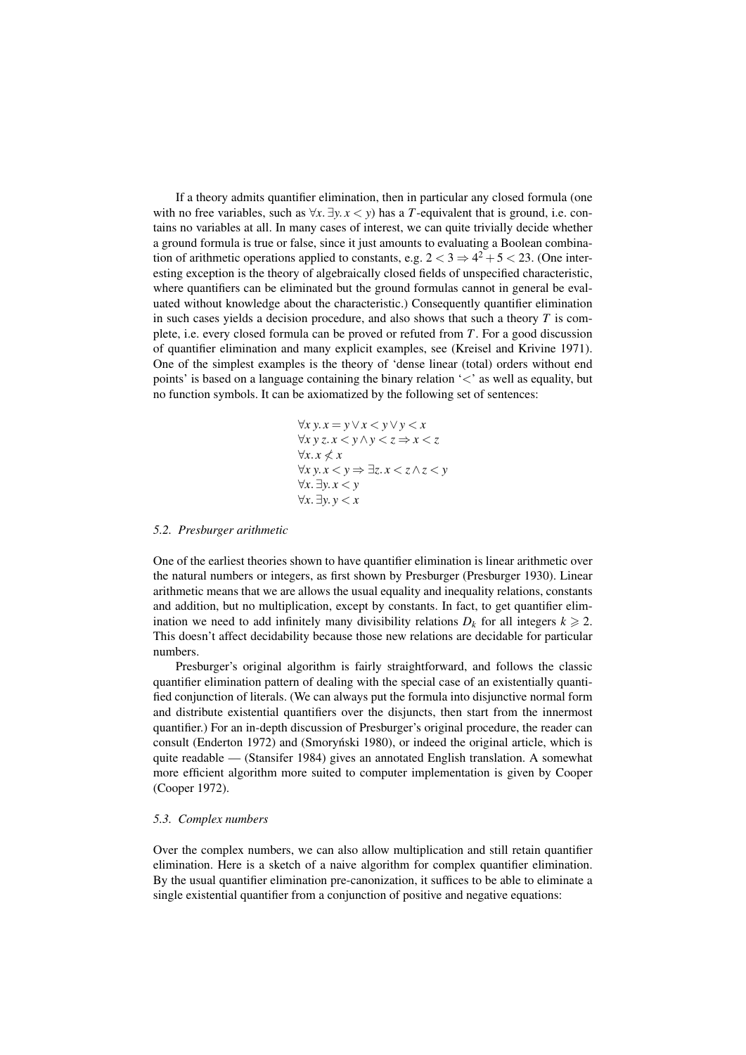If a theory admits quantifier elimination, then in particular any closed formula (one with no free variables, such as  $\forall x \exists y \ldotp x < y$  has a *T*-equivalent that is ground, i.e. contains no variables at all. In many cases of interest, we can quite trivially decide whether a ground formula is true or false, since it just amounts to evaluating a Boolean combination of arithmetic operations applied to constants, e.g.  $2 < 3 \Rightarrow 4^2 + 5 < 23$ . (One interesting exception is the theory of algebraically closed fields of unspecified characteristic, where quantifiers can be eliminated but the ground formulas cannot in general be evaluated without knowledge about the characteristic.) Consequently quantifier elimination in such cases yields a decision procedure, and also shows that such a theory  $T$  is complete, i.e. every closed formula can be proved or refuted from *T*. For a good discussion of quantifier elimination and many explicit examples, see (Kreisel and Krivine 1971). One of the simplest examples is the theory of 'dense linear (total) orders without end points' is based on a language containing the binary relation  $\leq$  as well as equality, but no function symbols. It can be axiomatized by the following set of sentences:

$$
\forall x \ y. x = y \lor x < y \lor y < x
$$
\n
$$
\forall x \ y \ z. x < y \land y < z \Rightarrow x < z
$$
\n
$$
\forall x. x \not\leq x
$$
\n
$$
\forall x \ y. x < y \Rightarrow \exists z. x < z \land z < y
$$
\n
$$
\forall x. \exists y. x < y
$$
\n
$$
\forall x. \exists y. y < x
$$

#### *5.2. Presburger arithmetic*

One of the earliest theories shown to have quantifier elimination is linear arithmetic over the natural numbers or integers, as first shown by Presburger (Presburger 1930). Linear arithmetic means that we are allows the usual equality and inequality relations, constants and addition, but no multiplication, except by constants. In fact, to get quantifier elimination we need to add infinitely many divisibility relations  $D_k$  for all integers  $k \ge 2$ . This doesn't affect decidability because those new relations are decidable for particular numbers.

Presburger's original algorithm is fairly straightforward, and follows the classic quantifier elimination pattern of dealing with the special case of an existentially quantified conjunction of literals. (We can always put the formula into disjunctive normal form and distribute existential quantifiers over the disjuncts, then start from the innermost quantifier.) For an in-depth discussion of Presburger's original procedure, the reader can consult (Enderton 1972) and (Smoryński 1980), or indeed the original article, which is quite readable — (Stansifer 1984) gives an annotated English translation. A somewhat more efficient algorithm more suited to computer implementation is given by Cooper (Cooper 1972).

#### *5.3. Complex numbers*

Over the complex numbers, we can also allow multiplication and still retain quantifier elimination. Here is a sketch of a naive algorithm for complex quantifier elimination. By the usual quantifier elimination pre-canonization, it suffices to be able to eliminate a single existential quantifier from a conjunction of positive and negative equations: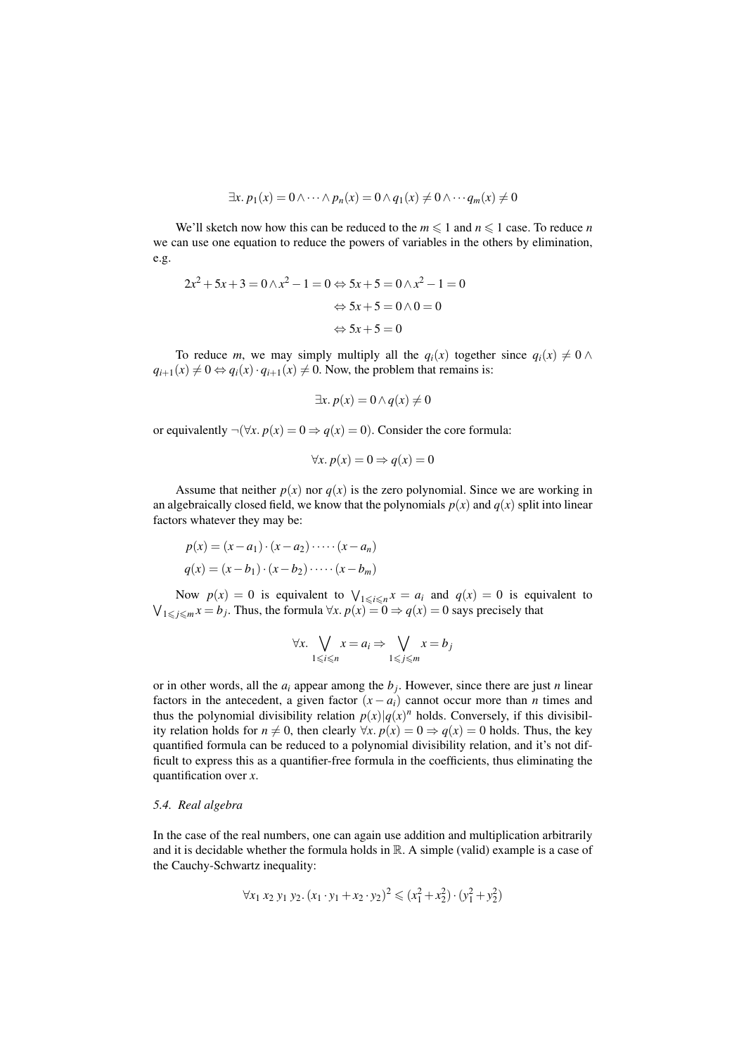$$
\exists x. p_1(x) = 0 \land \dots \land p_n(x) = 0 \land q_1(x) \neq 0 \land \dots q_m(x) \neq 0
$$

We'll sketch now how this can be reduced to the  $m \leq 1$  and  $n \leq 1$  case. To reduce *n* we can use one equation to reduce the powers of variables in the others by elimination, e.g.

$$
2x2 + 5x + 3 = 0 \wedge x2 - 1 = 0 \Leftrightarrow 5x + 5 = 0 \wedge x2 - 1 = 0
$$

$$
\Leftrightarrow 5x + 5 = 0 \wedge 0 = 0
$$

$$
\Leftrightarrow 5x + 5 = 0
$$

To reduce *m*, we may simply multiply all the  $q_i(x)$  together since  $q_i(x) \neq 0 \land$  $q_{i+1}(x) \neq 0 \Leftrightarrow q_i(x) \cdot q_{i+1}(x) \neq 0$ . Now, the problem that remains is:

$$
\exists x. p(x) = 0 \land q(x) \neq 0
$$

or equivalently  $\neg(\forall x. p(x) = 0 \Rightarrow q(x) = 0)$ . Consider the core formula:

$$
\forall x. \ p(x) = 0 \Rightarrow q(x) = 0
$$

Assume that neither  $p(x)$  nor  $q(x)$  is the zero polynomial. Since we are working in an algebraically closed field, we know that the polynomials  $p(x)$  and  $q(x)$  split into linear factors whatever they may be:

$$
p(x) = (x - a_1) \cdot (x - a_2) \cdot \dots \cdot (x - a_n)
$$
  

$$
q(x) = (x - b_1) \cdot (x - b_2) \cdot \dots \cdot (x - b_m)
$$

Now  $p(x) = 0$  is equivalent to  $\bigvee_{1 \leq i \leq n} x = a_i$  and  $q(x) = 0$  is equivalent to  $\bigvee_{1 \leq j \leq m} x = b_j$ . Thus, the formula  $\forall x. p(x) = 0 \Rightarrow q(x) = 0$  says precisely that

$$
\forall x. \bigvee_{1 \leq i \leq n} x = a_i \Rightarrow \bigvee_{1 \leq j \leq m} x = b_j
$$

or in other words, all the  $a_i$  appear among the  $b_j$ . However, since there are just *n* linear factors in the antecedent, a given factor  $(x - a_i)$  cannot occur more than *n* times and thus the polynomial divisibility relation  $p(x)|q(x)^n$  holds. Conversely, if this divisibility relation holds for  $n \neq 0$ , then clearly  $\forall x. p(x) = 0 \Rightarrow q(x) = 0$  holds. Thus, the key quantified formula can be reduced to a polynomial divisibility relation, and it's not difficult to express this as a quantifier-free formula in the coefficients, thus eliminating the quantification over *x*.

#### *5.4. Real algebra*

In the case of the real numbers, one can again use addition and multiplication arbitrarily and it is decidable whether the formula holds in  $\mathbb{R}$ . A simple (valid) example is a case of the Cauchy-Schwartz inequality:

$$
\forall x_1 \ x_2 \ y_1 \ y_2. \ (x_1 \cdot y_1 + x_2 \cdot y_2)^2 \leq (x_1^2 + x_2^2) \cdot (y_1^2 + y_2^2)
$$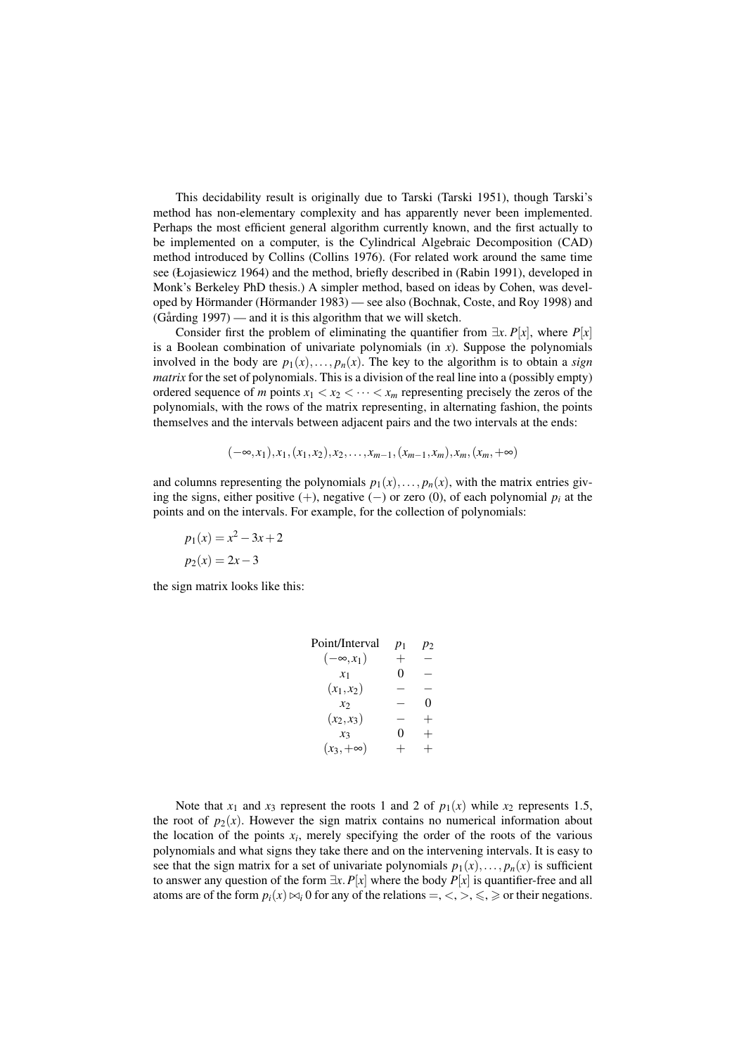This decidability result is originally due to Tarski (Tarski 1951), though Tarski's method has non-elementary complexity and has apparently never been implemented. Perhaps the most efficient general algorithm currently known, and the first actually to be implemented on a computer, is the Cylindrical Algebraic Decomposition (CAD) method introduced by Collins (Collins 1976). (For related work around the same time see (Łojasiewicz 1964) and the method, briefly described in (Rabin 1991), developed in Monk's Berkeley PhD thesis.) A simpler method, based on ideas by Cohen, was developed by Hörmander (Hörmander 1983) — see also (Bochnak, Coste, and Roy 1998) and  $(G\text{årding 1997})$  — and it is this algorithm that we will sketch.

Consider first the problem of eliminating the quantifier from  $\exists x. P[x]$ , where  $P[x]$ is a Boolean combination of univariate polynomials (in *x*). Suppose the polynomials involved in the body are  $p_1(x), \ldots, p_n(x)$ . The key to the algorithm is to obtain a *sign matrix* for the set of polynomials. This is a division of the real line into a (possibly empty) ordered sequence of *m* points  $x_1 < x_2 < \cdots < x_m$  representing precisely the zeros of the polynomials, with the rows of the matrix representing, in alternating fashion, the points themselves and the intervals between adjacent pairs and the two intervals at the ends:

$$
(-\infty,x_1),x_1,(x_1,x_2),x_2,\ldots,x_{m-1},(x_{m-1},x_m),x_m,(x_m,+\infty)
$$

and columns representing the polynomials  $p_1(x), \ldots, p_n(x)$ , with the matrix entries giving the signs, either positive  $(+)$ , negative  $(-)$  or zero  $(0)$ , of each polynomial  $p_i$  at the points and on the intervals. For example, for the collection of polynomials:

$$
p_1(x) = x^2 - 3x + 2
$$

$$
p_2(x) = 2x - 3
$$

the sign matrix looks like this:

| $(-\infty, x_1)$<br>$^{+}$<br>0<br>$\mathcal{X}_1$<br>$(x_1, x_2)$<br>0<br>$\mathcal{X}$<br>$(x_2, x_3)$<br>$^+$<br>$\theta$<br>$^+$<br>$x_3$<br>$(x_3, +\infty)$<br>$^{+}$<br>$^{+}$ | Point/Interval | $p_1$ | p2 |
|---------------------------------------------------------------------------------------------------------------------------------------------------------------------------------------|----------------|-------|----|
|                                                                                                                                                                                       |                |       |    |
|                                                                                                                                                                                       |                |       |    |
|                                                                                                                                                                                       |                |       |    |
|                                                                                                                                                                                       |                |       |    |
|                                                                                                                                                                                       |                |       |    |
|                                                                                                                                                                                       |                |       |    |
|                                                                                                                                                                                       |                |       |    |

Note that  $x_1$  and  $x_3$  represent the roots 1 and 2 of  $p_1(x)$  while  $x_2$  represents 1.5, the root of  $p_2(x)$ . However the sign matrix contains no numerical information about the location of the points  $x_i$ , merely specifying the order of the roots of the various polynomials and what signs they take there and on the intervening intervals. It is easy to see that the sign matrix for a set of univariate polynomials  $p_1(x),..., p_n(x)$  is sufficient to answer any question of the form ∃*x*.*P*[*x*] where the body *P*[*x*] is quantifier-free and all atoms are of the form  $p_i(x) \bowtie_i 0$  for any of the relations =, <, >,  $\leq$ ,  $\geq$  or their negations.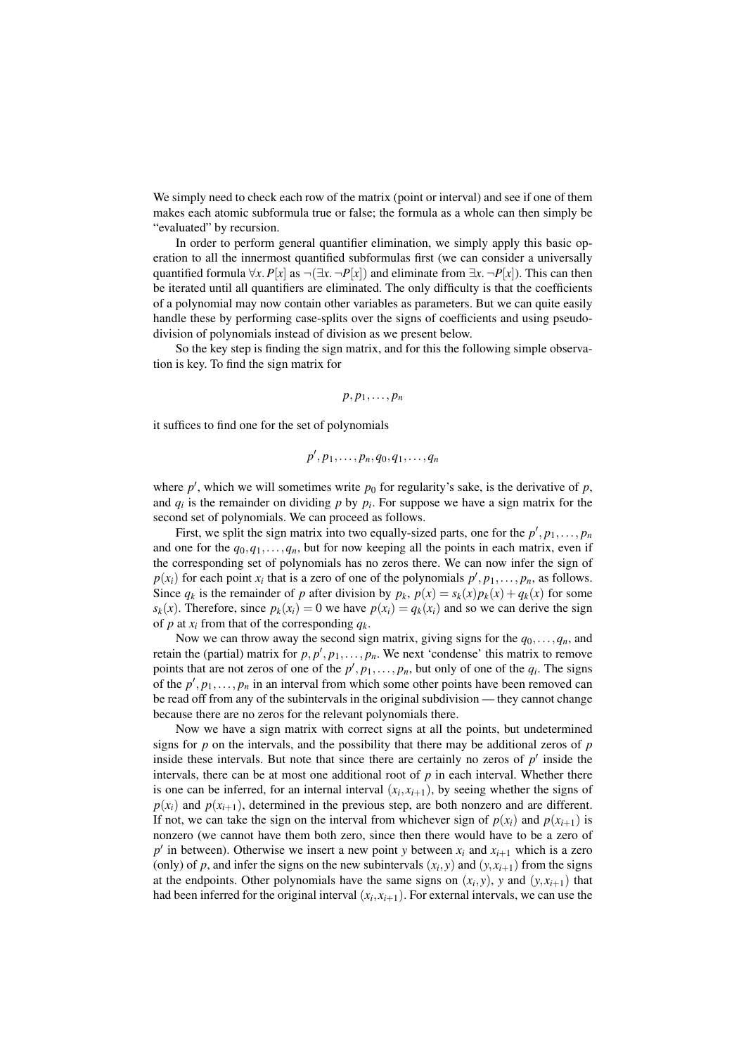We simply need to check each row of the matrix (point or interval) and see if one of them makes each atomic subformula true or false; the formula as a whole can then simply be "evaluated" by recursion.

In order to perform general quantifier elimination, we simply apply this basic operation to all the innermost quantified subformulas first (we can consider a universally quantified formula  $\forall x \cdot P[x]$  as  $\neg$  $(\exists x \cdot \neg P[x])$  and eliminate from  $\exists x \cdot \neg P[x]$ ). This can then be iterated until all quantifiers are eliminated. The only difficulty is that the coefficients of a polynomial may now contain other variables as parameters. But we can quite easily handle these by performing case-splits over the signs of coefficients and using pseudodivision of polynomials instead of division as we present below.

So the key step is finding the sign matrix, and for this the following simple observation is key. To find the sign matrix for

 $p, p_1, \ldots, p_n$ 

it suffices to find one for the set of polynomials

$$
p',p_1,\ldots,p_n,q_0,q_1,\ldots,q_n
$$

where  $p'$ , which we will sometimes write  $p_0$  for regularity's sake, is the derivative of  $p$ , and  $q_i$  is the remainder on dividing  $p$  by  $p_i$ . For suppose we have a sign matrix for the second set of polynomials. We can proceed as follows.

First, we split the sign matrix into two equally-sized parts, one for the  $p', p_1, \ldots, p_n$ and one for the  $q_0, q_1, \ldots, q_n$ , but for now keeping all the points in each matrix, even if the corresponding set of polynomials has no zeros there. We can now infer the sign of  $p(x_i)$  for each point  $x_i$  that is a zero of one of the polynomials  $p', p_1, \ldots, p_n$ , as follows. Since  $q_k$  is the remainder of *p* after division by  $p_k$ ,  $p(x) = s_k(x)p_k(x) + q_k(x)$  for some  $s_k(x)$ . Therefore, since  $p_k(x_i) = 0$  we have  $p(x_i) = q_k(x_i)$  and so we can derive the sign of *p* at  $x_i$  from that of the corresponding  $q_k$ .

Now we can throw away the second sign matrix, giving signs for the  $q_0, \ldots, q_n$ , and retain the (partial) matrix for  $p, p', p_1, \ldots, p_n$ . We next 'condense' this matrix to remove points that are not zeros of one of the  $p', p_1, \ldots, p_n$ , but only of one of the  $q_i$ . The signs of the  $p', p_1, \ldots, p_n$  in an interval from which some other points have been removed can be read off from any of the subintervals in the original subdivision — they cannot change because there are no zeros for the relevant polynomials there.

Now we have a sign matrix with correct signs at all the points, but undetermined signs for *p* on the intervals, and the possibility that there may be additional zeros of *p* inside these intervals. But note that since there are certainly no zeros of  $p'$  inside the intervals, there can be at most one additional root of  $p$  in each interval. Whether there is one can be inferred, for an internal interval  $(x_i, x_{i+1})$ , by seeing whether the signs of  $p(x_i)$  and  $p(x_{i+1})$ , determined in the previous step, are both nonzero and are different. If not, we can take the sign on the interval from whichever sign of  $p(x_i)$  and  $p(x_{i+1})$  is nonzero (we cannot have them both zero, since then there would have to be a zero of  $p'$  in between). Otherwise we insert a new point *y* between  $x_i$  and  $x_{i+1}$  which is a zero (only) of p, and infer the signs on the new subintervals  $(x_i, y)$  and  $(y, x_{i+1})$  from the signs at the endpoints. Other polynomials have the same signs on  $(x_i, y)$ , y and  $(y, x_{i+1})$  that had been inferred for the original interval  $(x_i, x_{i+1})$ . For external intervals, we can use the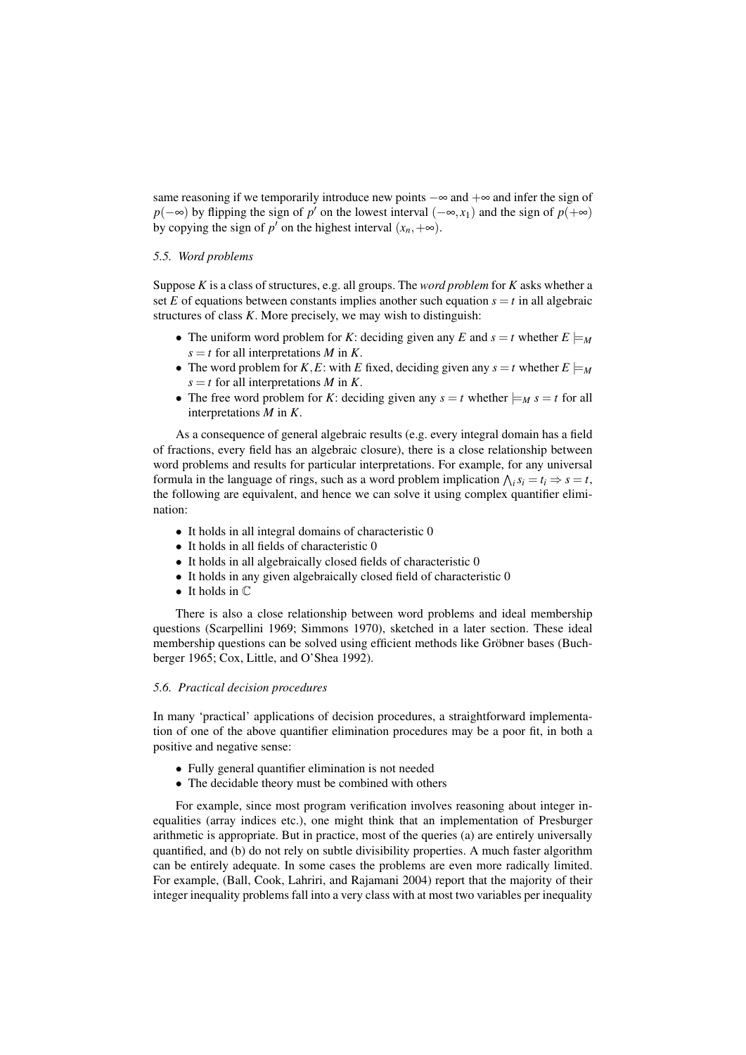same reasoning if we temporarily introduce new points  $-\infty$  and  $+\infty$  and infer the sign of *p*( $-\infty$ ) by flipping the sign of *p*<sup>'</sup> on the lowest interval ( $-\infty$ , *x*<sub>1</sub>) and the sign of *p*( $+\infty$ ) by copying the sign of  $p'$  on the highest interval  $(x_n, +\infty)$ .

## *5.5. Word problems*

Suppose *K* is a class of structures, e.g. all groups. The *word problem* for *K* asks whether a set *E* of equations between constants implies another such equation  $s = t$  in all algebraic structures of class *K*. More precisely, we may wish to distinguish:

- The uniform word problem for *K*: deciding given any *E* and  $s = t$  whether  $E \models_M$  $s = t$  for all interpretations *M* in *K*.
- The word problem for *K*, *E*: with *E* fixed, deciding given any  $s = t$  whether  $E \models_M$  $s = t$  for all interpretations *M* in *K*.
- The free word problem for *K*: deciding given any  $s = t$  whether  $\models_M s = t$  for all interpretations *M* in *K*.

As a consequence of general algebraic results (e.g. every integral domain has a field of fractions, every field has an algebraic closure), there is a close relationship between word problems and results for particular interpretations. For example, for any universal formula in the language of rings, such as a word problem implication  $\bigwedge_i s_i = t_i \Rightarrow s = t$ , the following are equivalent, and hence we can solve it using complex quantifier elimination:

- It holds in all integral domains of characteristic 0
- It holds in all fields of characteristic 0
- It holds in all algebraically closed fields of characteristic 0
- It holds in any given algebraically closed field of characteristic 0
- $\bullet$  It holds in  $\mathbb C$

There is also a close relationship between word problems and ideal membership questions (Scarpellini 1969; Simmons 1970), sketched in a later section. These ideal membership questions can be solved using efficient methods like Gröbner bases (Buchberger 1965; Cox, Little, and O'Shea 1992).

#### *5.6. Practical decision procedures*

In many 'practical' applications of decision procedures, a straightforward implementation of one of the above quantifier elimination procedures may be a poor fit, in both a positive and negative sense:

- Fully general quantifier elimination is not needed
- The decidable theory must be combined with others

For example, since most program verification involves reasoning about integer inequalities (array indices etc.), one might think that an implementation of Presburger arithmetic is appropriate. But in practice, most of the queries (a) are entirely universally quantified, and (b) do not rely on subtle divisibility properties. A much faster algorithm can be entirely adequate. In some cases the problems are even more radically limited. For example, (Ball, Cook, Lahriri, and Rajamani 2004) report that the majority of their integer inequality problems fall into a very class with at most two variables per inequality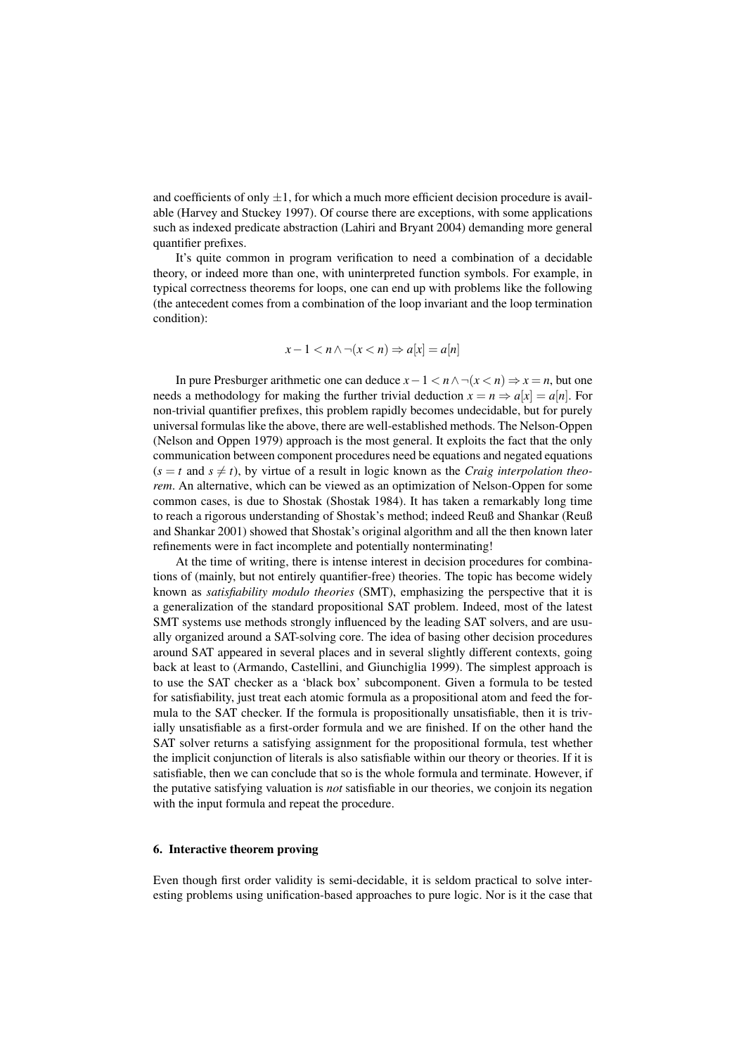and coefficients of only  $\pm 1$ , for which a much more efficient decision procedure is available (Harvey and Stuckey 1997). Of course there are exceptions, with some applications such as indexed predicate abstraction (Lahiri and Bryant 2004) demanding more general quantifier prefixes.

It's quite common in program verification to need a combination of a decidable theory, or indeed more than one, with uninterpreted function symbols. For example, in typical correctness theorems for loops, one can end up with problems like the following (the antecedent comes from a combination of the loop invariant and the loop termination condition):

$$
x - 1 < n \land \neg(x < n) \Rightarrow a[x] = a[n]
$$

In pure Presburger arithmetic one can deduce  $x - 1 < n \wedge \neg(x < n) \Rightarrow x = n$ , but one needs a methodology for making the further trivial deduction  $x = n \Rightarrow a[x] = a[n]$ . For non-trivial quantifier prefixes, this problem rapidly becomes undecidable, but for purely universal formulas like the above, there are well-established methods. The Nelson-Oppen (Nelson and Oppen 1979) approach is the most general. It exploits the fact that the only communication between component procedures need be equations and negated equations  $(s = t$  and  $s \neq t$ ), by virtue of a result in logic known as the *Craig interpolation theorem*. An alternative, which can be viewed as an optimization of Nelson-Oppen for some common cases, is due to Shostak (Shostak 1984). It has taken a remarkably long time to reach a rigorous understanding of Shostak's method; indeed Reuß and Shankar (Reuß and Shankar 2001) showed that Shostak's original algorithm and all the then known later refinements were in fact incomplete and potentially nonterminating!

At the time of writing, there is intense interest in decision procedures for combinations of (mainly, but not entirely quantifier-free) theories. The topic has become widely known as *satisfiability modulo theories* (SMT), emphasizing the perspective that it is a generalization of the standard propositional SAT problem. Indeed, most of the latest SMT systems use methods strongly influenced by the leading SAT solvers, and are usually organized around a SAT-solving core. The idea of basing other decision procedures around SAT appeared in several places and in several slightly different contexts, going back at least to (Armando, Castellini, and Giunchiglia 1999). The simplest approach is to use the SAT checker as a 'black box' subcomponent. Given a formula to be tested for satisfiability, just treat each atomic formula as a propositional atom and feed the formula to the SAT checker. If the formula is propositionally unsatisfiable, then it is trivially unsatisfiable as a first-order formula and we are finished. If on the other hand the SAT solver returns a satisfying assignment for the propositional formula, test whether the implicit conjunction of literals is also satisfiable within our theory or theories. If it is satisfiable, then we can conclude that so is the whole formula and terminate. However, if the putative satisfying valuation is *not* satisfiable in our theories, we conjoin its negation with the input formula and repeat the procedure.

# 6. Interactive theorem proving

Even though first order validity is semi-decidable, it is seldom practical to solve interesting problems using unification-based approaches to pure logic. Nor is it the case that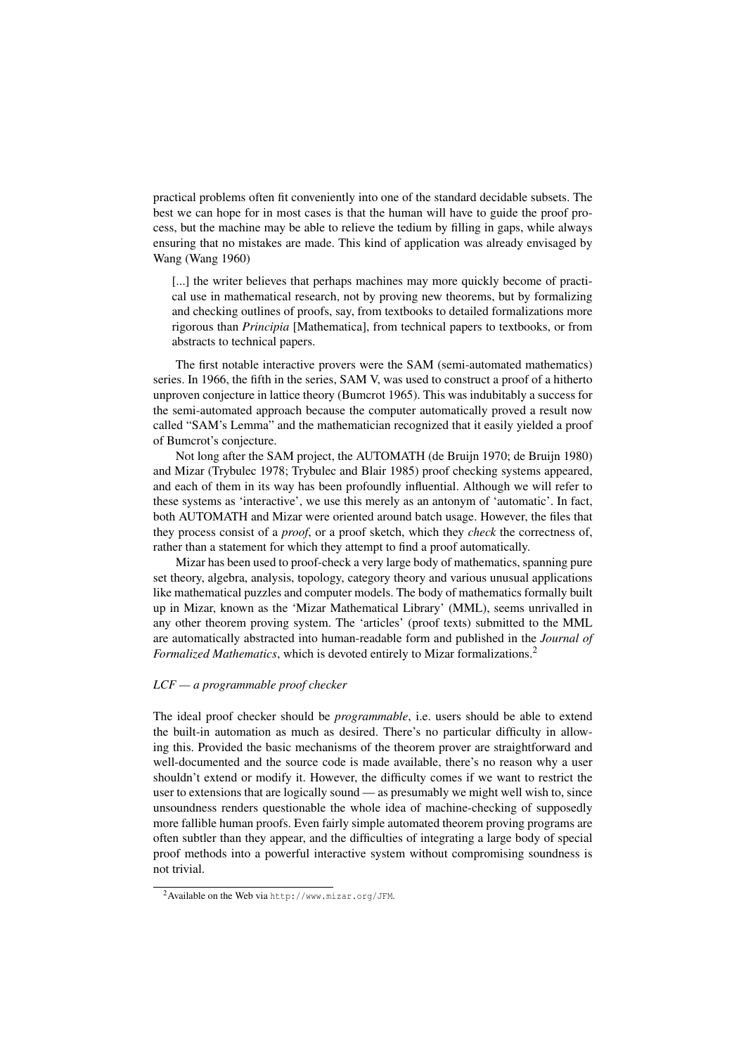practical problems often fit conveniently into one of the standard decidable subsets. The best we can hope for in most cases is that the human will have to guide the proof process, but the machine may be able to relieve the tedium by filling in gaps, while always ensuring that no mistakes are made. This kind of application was already envisaged by Wang (Wang 1960)

[...] the writer believes that perhaps machines may more quickly become of practical use in mathematical research, not by proving new theorems, but by formalizing and checking outlines of proofs, say, from textbooks to detailed formalizations more rigorous than *Principia* [Mathematica], from technical papers to textbooks, or from abstracts to technical papers.

The first notable interactive provers were the SAM (semi-automated mathematics) series. In 1966, the fifth in the series, SAM V, was used to construct a proof of a hitherto unproven conjecture in lattice theory (Bumcrot 1965). This was indubitably a success for the semi-automated approach because the computer automatically proved a result now called "SAM's Lemma" and the mathematician recognized that it easily yielded a proof of Bumcrot's conjecture.

Not long after the SAM project, the AUTOMATH (de Bruijn 1970; de Bruijn 1980) and Mizar (Trybulec 1978; Trybulec and Blair 1985) proof checking systems appeared, and each of them in its way has been profoundly influential. Although we will refer to these systems as 'interactive', we use this merely as an antonym of 'automatic'. In fact, both AUTOMATH and Mizar were oriented around batch usage. However, the files that they process consist of a *proof*, or a proof sketch, which they *check* the correctness of, rather than a statement for which they attempt to find a proof automatically.

Mizar has been used to proof-check a very large body of mathematics, spanning pure set theory, algebra, analysis, topology, category theory and various unusual applications like mathematical puzzles and computer models. The body of mathematics formally built up in Mizar, known as the 'Mizar Mathematical Library' (MML), seems unrivalled in any other theorem proving system. The 'articles' (proof texts) submitted to the MML are automatically abstracted into human-readable form and published in the *Journal of Formalized Mathematics*, which is devoted entirely to Mizar formalizations.<sup>2</sup>

# *LCF — a programmable proof checker*

The ideal proof checker should be *programmable*, i.e. users should be able to extend the built-in automation as much as desired. There's no particular difficulty in allowing this. Provided the basic mechanisms of the theorem prover are straightforward and well-documented and the source code is made available, there's no reason why a user shouldn't extend or modify it. However, the difficulty comes if we want to restrict the user to extensions that are logically sound — as presumably we might well wish to, since unsoundness renders questionable the whole idea of machine-checking of supposedly more fallible human proofs. Even fairly simple automated theorem proving programs are often subtler than they appear, and the difficulties of integrating a large body of special proof methods into a powerful interactive system without compromising soundness is not trivial.

<sup>2</sup>Available on the Web via http://www.mizar.org/JFM.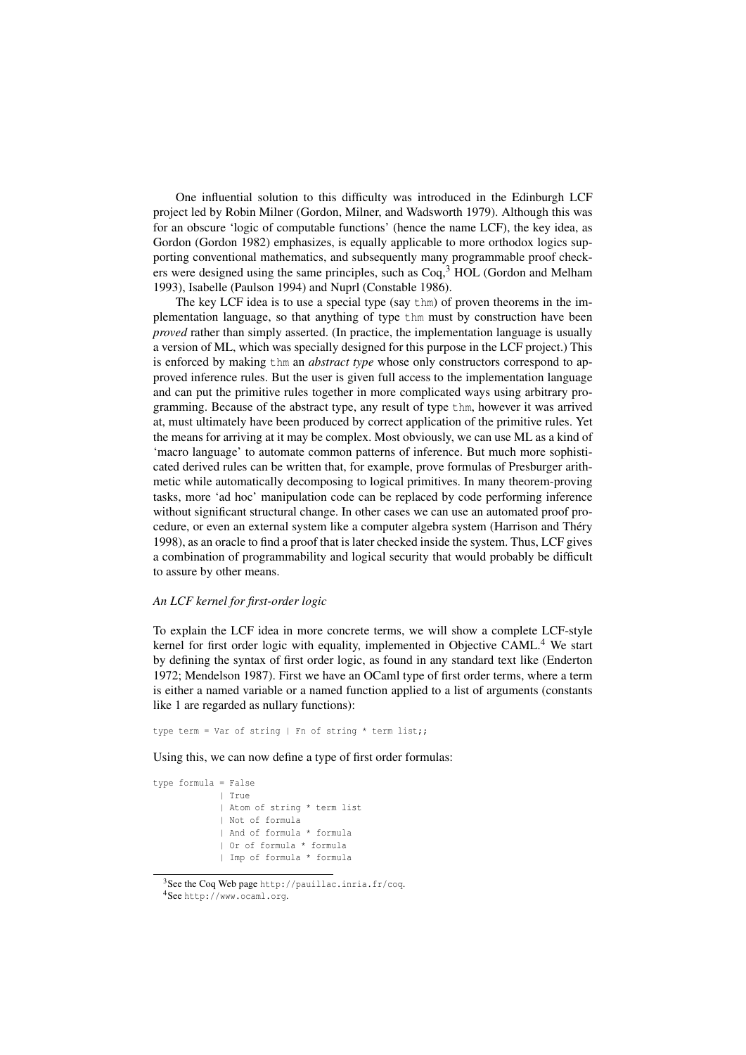One influential solution to this difficulty was introduced in the Edinburgh LCF project led by Robin Milner (Gordon, Milner, and Wadsworth 1979). Although this was for an obscure 'logic of computable functions' (hence the name LCF), the key idea, as Gordon (Gordon 1982) emphasizes, is equally applicable to more orthodox logics supporting conventional mathematics, and subsequently many programmable proof checkers were designed using the same principles, such as  $Coq<sub>3</sub><sup>3</sup> HOL$  (Gordon and Melham 1993), Isabelle (Paulson 1994) and Nuprl (Constable 1986).

The key LCF idea is to use a special type (say thm) of proven theorems in the implementation language, so that anything of type thm must by construction have been *proved* rather than simply asserted. (In practice, the implementation language is usually a version of ML, which was specially designed for this purpose in the LCF project.) This is enforced by making thm an *abstract type* whose only constructors correspond to approved inference rules. But the user is given full access to the implementation language and can put the primitive rules together in more complicated ways using arbitrary programming. Because of the abstract type, any result of type thm, however it was arrived at, must ultimately have been produced by correct application of the primitive rules. Yet the means for arriving at it may be complex. Most obviously, we can use ML as a kind of 'macro language' to automate common patterns of inference. But much more sophisticated derived rules can be written that, for example, prove formulas of Presburger arithmetic while automatically decomposing to logical primitives. In many theorem-proving tasks, more 'ad hoc' manipulation code can be replaced by code performing inference without significant structural change. In other cases we can use an automated proof procedure, or even an external system like a computer algebra system (Harrison and Thery ´ 1998), as an oracle to find a proof that is later checked inside the system. Thus, LCF gives a combination of programmability and logical security that would probably be difficult to assure by other means.

# *An LCF kernel for first-order logic*

To explain the LCF idea in more concrete terms, we will show a complete LCF-style kernel for first order logic with equality, implemented in Objective CAML.<sup>4</sup> We start by defining the syntax of first order logic, as found in any standard text like (Enderton 1972; Mendelson 1987). First we have an OCaml type of first order terms, where a term is either a named variable or a named function applied to a list of arguments (constants like 1 are regarded as nullary functions):

type term = Var of string | Fn of string  $*$  term list;;

Using this, we can now define a type of first order formulas:

```
type formula = False
            | True
            | Atom of string * term list
            | Not of formula
            | And of formula * formula
             | Or of formula * formula
            | Imp of formula * formula
```
<sup>&</sup>lt;sup>3</sup>See the Coq Web page http://pauillac.inria.fr/coq.

<sup>4</sup>See http://www.ocaml.org.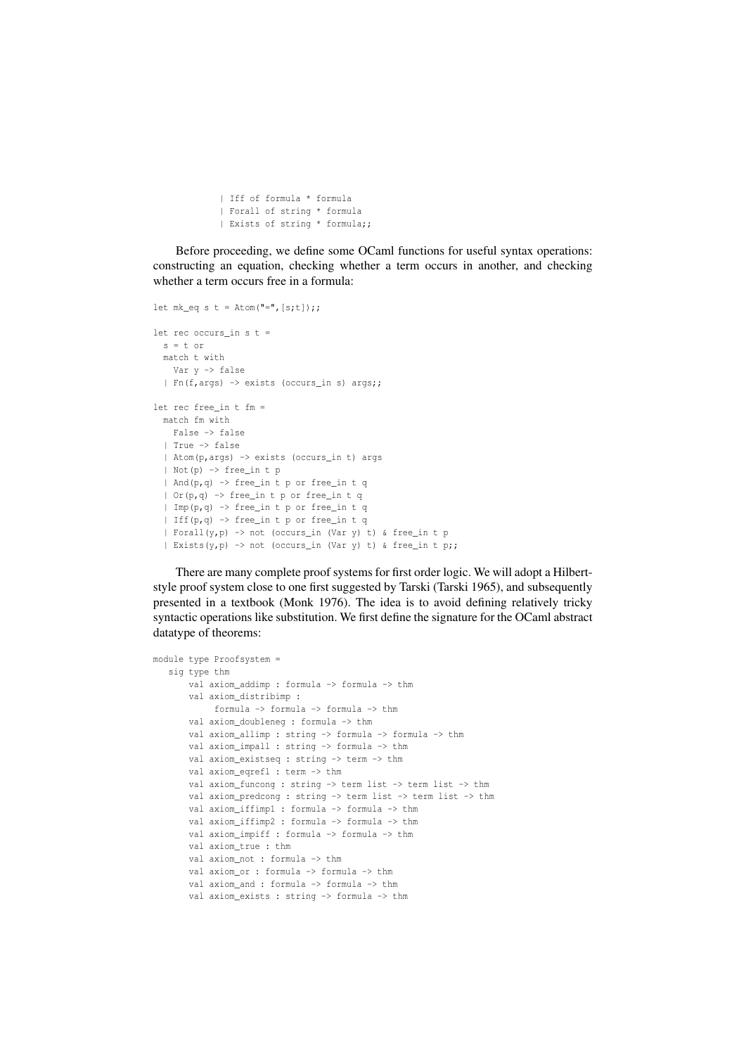```
| Iff of formula * formula
| Forall of string * formula
| Exists of string * formula;;
```
Before proceeding, we define some OCaml functions for useful syntax operations: constructing an equation, checking whether a term occurs in another, and checking whether a term occurs free in a formula:

```
let mk_eq s t = Atom("=", [s;t]);;
let rec occurs in s t =
 s = t or
 match t with
   Var y -> false
  | Fn(f,args) -> exists (occurs_in s) args;;
let rec free_in t fm =
 match fm with
   False -> false
  | True -> false
  | Atom(p,args) -> exists (occurs_in t) args
  | Not(p) -> free_in t p
  | And(p,q) -> free_in t p or free_in t q
  | Or(p,q) -> free_in t p or free_in t q
  | Imp(p,q) -> free_in t p or free_in t q
  | Iff(p,q) -> free_in t p or free_in t q
  | Forall(y,p) -> not (occurs_in (Var y) t) & free_in t p
  | Exists(y,p) -> not (occurs_in (Var y) t) & free_in t p;;
```
There are many complete proof systems for first order logic. We will adopt a Hilbertstyle proof system close to one first suggested by Tarski (Tarski 1965), and subsequently presented in a textbook (Monk 1976). The idea is to avoid defining relatively tricky syntactic operations like substitution. We first define the signature for the OCaml abstract datatype of theorems:

```
module type Proofsystem =
   sig type thm
       val axiom_addimp : formula -> formula -> thm
       val axiom_distribimp :
           formula -> formula -> formula -> thm
       val axiom doubleneg : formula -> thm
       val axiom_allimp : string -> formula -> formula -> thm
       val axiom_impall : string -> formula -> thm
       val axiom_existseq : string -> term -> thm
       val axiom_eqrefl : term -> thm
       val axiom_funcong : string -> term list -> term list -> thm
       val axiom_predcong : string -> term list -> term list -> thm
       val axiom_iffimp1 : formula -> formula -> thm
       val axiom_iffimp2 : formula -> formula -> thm
       val axiom impiff : formula -> formula -> thm
       val axiom_true : thm
       val axiom_not : formula -> thm
       val axiom_or : formula -> formula -> thm
       val axiom and : formula -> formula -> thm
       val axiom_exists : string -> formula -> thm
```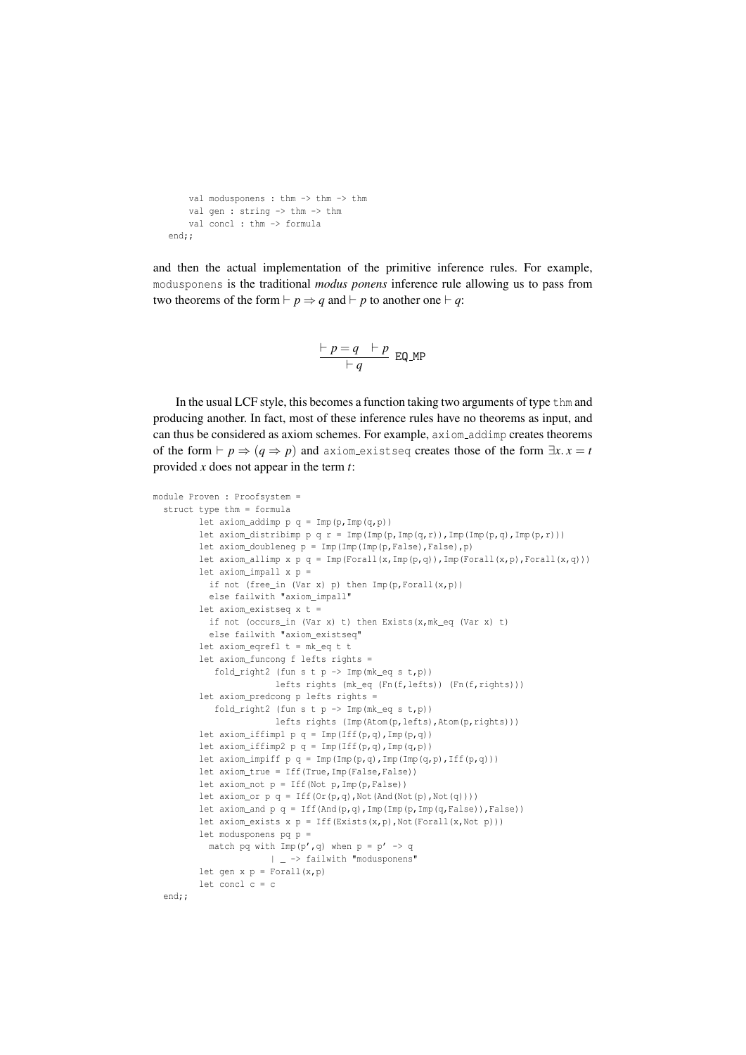```
val modusponens : thm -> thm -> thm
    val gen : string -> thm -> thm
   val concl : thm -> formula
end;;
```
and then the actual implementation of the primitive inference rules. For example, modusponens is the traditional *modus ponens* inference rule allowing us to pass from two theorems of the form  $\vdash p \Rightarrow q$  and  $\vdash p$  to another one  $\vdash q$ .

$$
\frac{\vdash p = q \ \vdash p}{\vdash q} \ \texttt{EQ} \ \texttt{MP}
$$

In the usual LCF style, this becomes a function taking two arguments of type thm and producing another. In fact, most of these inference rules have no theorems as input, and can thus be considered as axiom schemes. For example, axiom addimp creates theorems of the form  $\vdash p \Rightarrow (q \Rightarrow p)$  and axiom\_existseq creates those of the form  $\exists x. x = t$ provided *x* does not appear in the term *t*:

```
module Proven : Proofsystem =
  struct type thm = formula
         let axiom_addimp p q = Imp(p, Imp(q, p))let axiom_distribimp p q r = Imp(Imp(p, Imp(q, r)), Imp(Imp(p, q), Imp(p, r)))let axiom_doubleneg p = Imp(Imp(Imp(p,False),False),p)
         let axiom_allimp x \cdot p q = Imp(Forall(x, Imp(p,q)), Imp(Forall(x,p), Forall(x,q)))
         let axiom_impall x p =
           if not (free_in (Var x) p) then Imp(p, Forall(x, p))else failwith "axiom_impall"
         let axiom existseq x t =
           if not (occurs_in (Var x) t) then Exists(x,mk_eq (Var x) t)
           else failwith "axiom_existseq"
         let axiom_eqrefl t = mk_eq t t
         let axiom_funcong f lefts rights =
            fold_right2 (fun s t p \rightarrow Imp(mk_eq s t, p))lefts rights (mk_eq (Fn(f,lefts)) (Fn(f,rights)))
         let axiom predcong p lefts rights =
            fold_right2 (fun s t p \rightarrow Imp(mk_eq s t, p))lefts rights (Imp(Atom(p,lefts),Atom(p,rights)))
         let axiom_iffimp1 p q = Imp(Iff(p,q), Imp(p,q))let axiom_iffimp2 p q = Imp(Iff(p,q),Imp(q,p))let axiom_impiff p q = Imp(Imp(p,q), Imp(Imp(q,p),If(p,q)))let axiom_true = Iff(True,Imp(False,False))
         let axiom_not p = \text{Iff}(\text{Not } p, \text{Imp}(p, \text{False}))let axiom_or p q = If f(0r(p,q),Not(And(Not(p),Not(q))))let axiom_and p q = If(And(p,q),Imp(Imp(p,Imp(q, False)), False))let axiom_exists x p = If f(Exists(x,p), Not(Forall(x,Not p)))let modusponens pq =match pq with Imp(p',q) when p = p' \rightarrow q| _ -> failwith "modusponens"
         let gen x p = Forall(x, p)let concl c = cend;;
```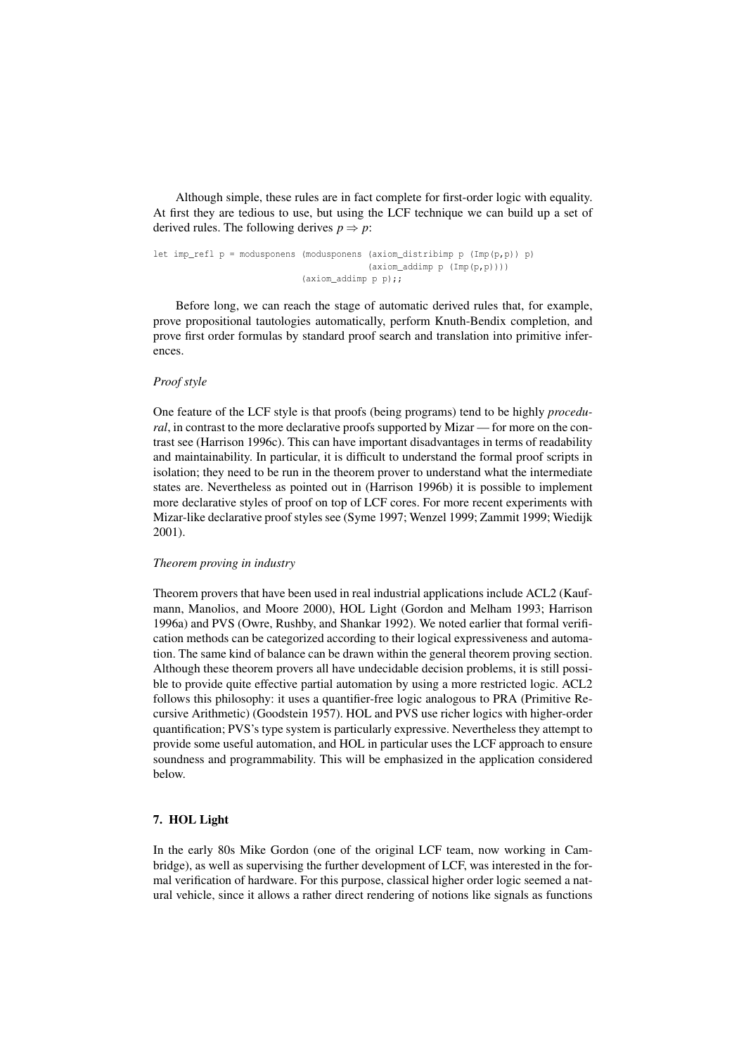Although simple, these rules are in fact complete for first-order logic with equality. At first they are tedious to use, but using the LCF technique we can build up a set of derived rules. The following derives  $p \Rightarrow p$ :

```
let imp_refl p = modusponens (modusponens (axiom_distribimp p (Imp(p,p)) p)
                                           (axiom_addimp p (Imp(p,p))))
                             (axiom_addimp p p);;
```
Before long, we can reach the stage of automatic derived rules that, for example, prove propositional tautologies automatically, perform Knuth-Bendix completion, and prove first order formulas by standard proof search and translation into primitive inferences.

## *Proof style*

One feature of the LCF style is that proofs (being programs) tend to be highly *procedural*, in contrast to the more declarative proofs supported by Mizar — for more on the contrast see (Harrison 1996c). This can have important disadvantages in terms of readability and maintainability. In particular, it is difficult to understand the formal proof scripts in isolation; they need to be run in the theorem prover to understand what the intermediate states are. Nevertheless as pointed out in (Harrison 1996b) it is possible to implement more declarative styles of proof on top of LCF cores. For more recent experiments with Mizar-like declarative proof styles see (Syme 1997; Wenzel 1999; Zammit 1999; Wiedijk 2001).

#### *Theorem proving in industry*

Theorem provers that have been used in real industrial applications include ACL2 (Kaufmann, Manolios, and Moore 2000), HOL Light (Gordon and Melham 1993; Harrison 1996a) and PVS (Owre, Rushby, and Shankar 1992). We noted earlier that formal verification methods can be categorized according to their logical expressiveness and automation. The same kind of balance can be drawn within the general theorem proving section. Although these theorem provers all have undecidable decision problems, it is still possible to provide quite effective partial automation by using a more restricted logic. ACL2 follows this philosophy: it uses a quantifier-free logic analogous to PRA (Primitive Recursive Arithmetic) (Goodstein 1957). HOL and PVS use richer logics with higher-order quantification; PVS's type system is particularly expressive. Nevertheless they attempt to provide some useful automation, and HOL in particular uses the LCF approach to ensure soundness and programmability. This will be emphasized in the application considered below.

# 7. HOL Light

In the early 80s Mike Gordon (one of the original LCF team, now working in Cambridge), as well as supervising the further development of LCF, was interested in the formal verification of hardware. For this purpose, classical higher order logic seemed a natural vehicle, since it allows a rather direct rendering of notions like signals as functions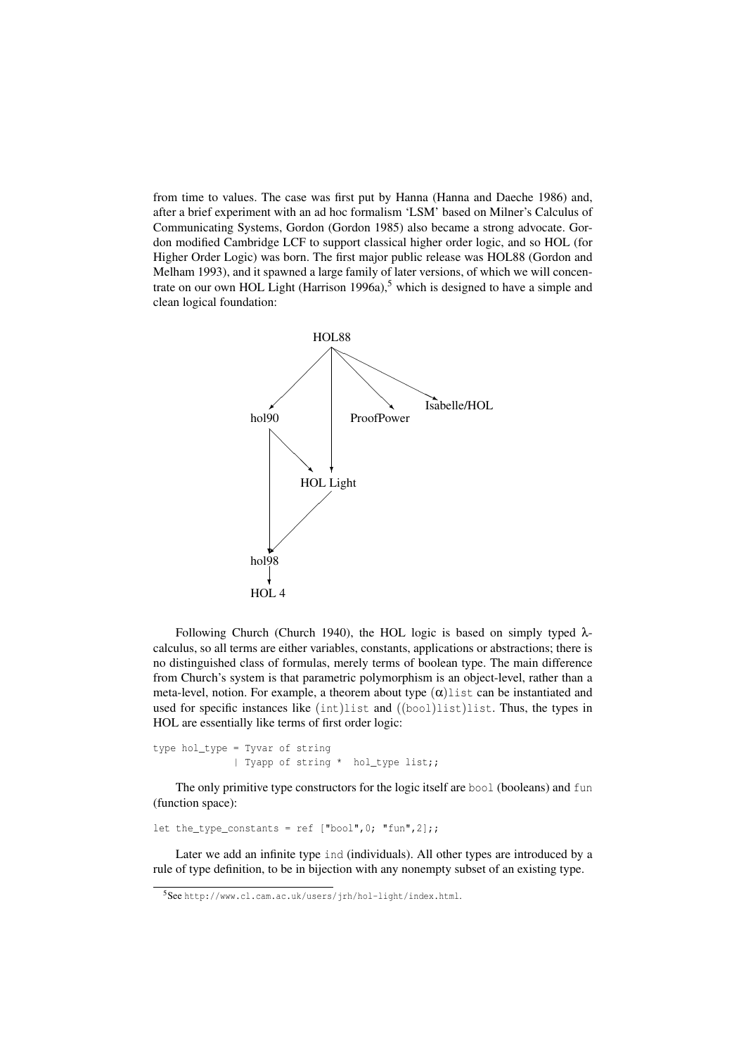from time to values. The case was first put by Hanna (Hanna and Daeche 1986) and, after a brief experiment with an ad hoc formalism 'LSM' based on Milner's Calculus of Communicating Systems, Gordon (Gordon 1985) also became a strong advocate. Gordon modified Cambridge LCF to support classical higher order logic, and so HOL (for Higher Order Logic) was born. The first major public release was HOL88 (Gordon and Melham 1993), and it spawned a large family of later versions, of which we will concentrate on our own HOL Light (Harrison 1996a),<sup>5</sup> which is designed to have a simple and clean logical foundation:



Following Church (Church 1940), the HOL logic is based on simply typed  $\lambda$ calculus, so all terms are either variables, constants, applications or abstractions; there is no distinguished class of formulas, merely terms of boolean type. The main difference from Church's system is that parametric polymorphism is an object-level, rather than a meta-level, notion. For example, a theorem about type  $(\alpha)$ list can be instantiated and used for specific instances like (int)list and ((bool)list)list. Thus, the types in HOL are essentially like terms of first order logic:

type hol\_type = Tyvar of string | Tyapp of string \* hol\_type list;;

The only primitive type constructors for the logic itself are bool (booleans) and fun (function space):

let the\_type\_constants = ref  $["bool", 0; "fun", 2];$ 

Later we add an infinite type ind (individuals). All other types are introduced by a rule of type definition, to be in bijection with any nonempty subset of an existing type.

<sup>5</sup>See http://www.cl.cam.ac.uk/users/jrh/hol-light/index.html.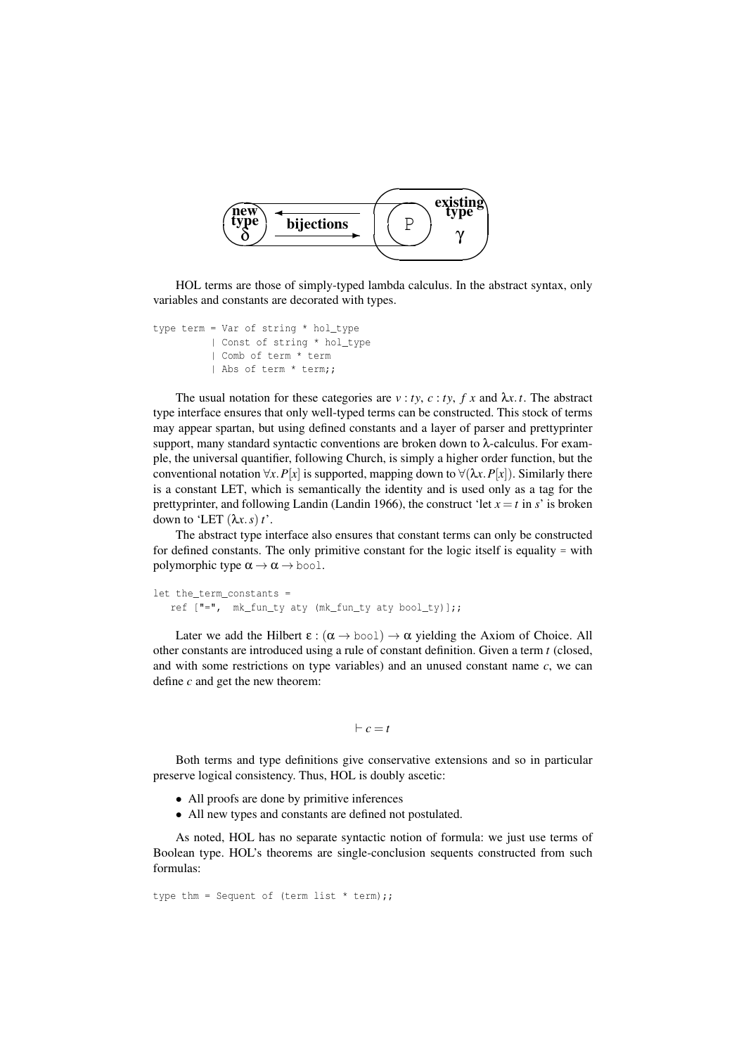

HOL terms are those of simply-typed lambda calculus. In the abstract syntax, only variables and constants are decorated with types.

```
type term = Var of string * hol_type
          | Const of string * hol_type
          | Comb of term * term
          | Abs of term * term;;
```
The usual notation for these categories are  $v : ty$ ,  $c : ty$ ,  $f x$  and  $\lambda x$ . *t*. The abstract type interface ensures that only well-typed terms can be constructed. This stock of terms may appear spartan, but using defined constants and a layer of parser and prettyprinter support, many standard syntactic conventions are broken down to λ-calculus. For example, the universal quantifier, following Church, is simply a higher order function, but the conventional notation  $\forall x. P[x]$  is supported, mapping down to  $\forall (\lambda x. P[x])$ . Similarly there is a constant LET, which is semantically the identity and is used only as a tag for the prettyprinter, and following Landin (Landin 1966), the construct 'let  $x = t$  in *s*' is broken down to 'LET (λ*x*.*s*) *t*'.

The abstract type interface also ensures that constant terms can only be constructed for defined constants. The only primitive constant for the logic itself is equality = with polymorphic type  $\alpha \rightarrow \alpha \rightarrow$  bool.

```
let the_term_constants =
  ref ["=", mk_fun_ty aty (mk_fun_ty aty bool_ty)];;
```
Later we add the Hilbert  $\varepsilon$  :  $(\alpha \rightarrow \text{bool}) \rightarrow \alpha$  yielding the Axiom of Choice. All other constants are introduced using a rule of constant definition. Given a term *t* (closed, and with some restrictions on type variables) and an unused constant name *c*, we can define *c* and get the new theorem:

```
\vdash c = t
```
Both terms and type definitions give conservative extensions and so in particular preserve logical consistency. Thus, HOL is doubly ascetic:

- All proofs are done by primitive inferences
- All new types and constants are defined not postulated.

As noted, HOL has no separate syntactic notion of formula: we just use terms of Boolean type. HOL's theorems are single-conclusion sequents constructed from such formulas:

```
type thm = Sequent of (term list * term);;
```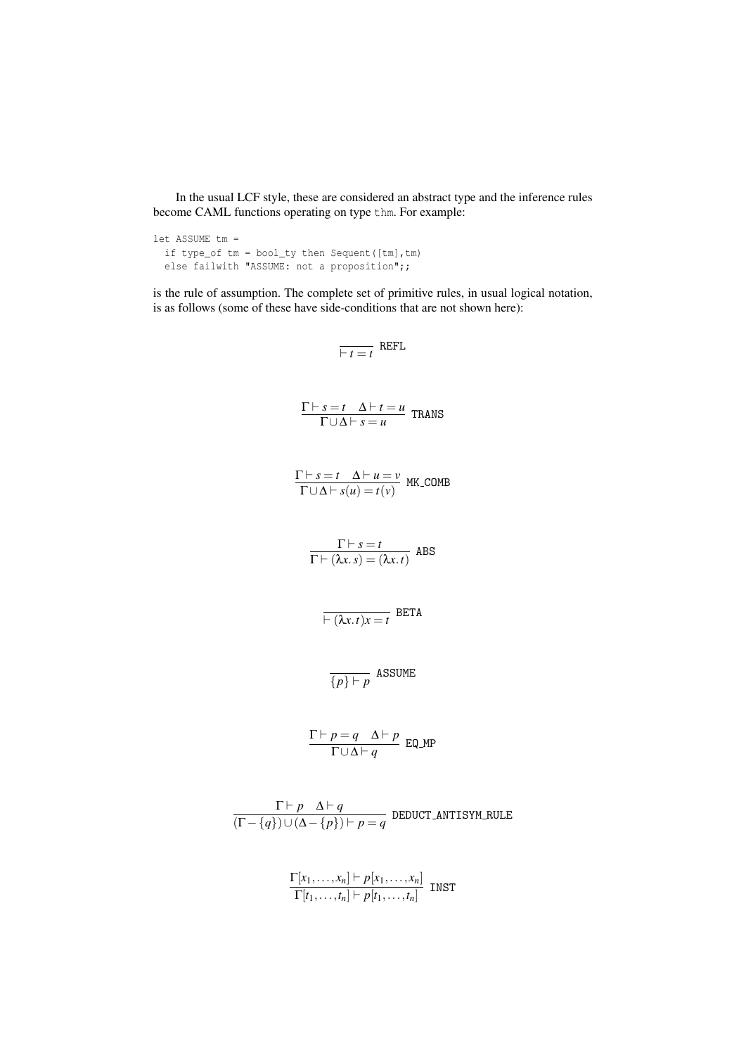In the usual LCF style, these are considered an abstract type and the inference rules become CAML functions operating on type thm. For example:

let ASSUME tm = if type\_of tm = bool\_ty then Sequent ([tm], tm) else failwith "ASSUME: not a proposition";;

is the rule of assumption. The complete set of primitive rules, in usual logical notation, is as follows (some of these have side-conditions that are not shown here):

$$
\frac{1}{r}t = t
$$
REFL  
\n
$$
\frac{\Gamma \vdash s = t \quad \Delta \vdash t = u}{\Gamma \cup \Delta \vdash s = u}
$$
TRANS  
\n
$$
\frac{\Gamma \vdash s = t \quad \Delta \vdash u = v}{\Gamma \cup \Delta \vdash s(u) = t(v)}
$$
MK-COMB  
\n
$$
\frac{\Gamma \vdash s = t}{\Gamma \vdash (\lambda x. s) = (\lambda x. t)}
$$
ABS  
\n
$$
\frac{\Gamma \vdash p = t}{\Gamma \vdash (\lambda x. t)x = t}
$$
BERTA  
\n
$$
\frac{\Gamma \vdash p}{\Gamma \cup \Delta \vdash q}
$$
BSUME  
\n
$$
\frac{\Gamma \vdash p = q \quad \Delta \vdash p}{\Gamma \cup \Delta \vdash q}
$$
EBUCT-ANTISYM\_RULE

$$
\frac{\Gamma[x_1,\ldots,x_n]\vdash p[x_1,\ldots,x_n]}{\Gamma[t_1,\ldots,t_n]\vdash p[t_1,\ldots,t_n]}
$$
INST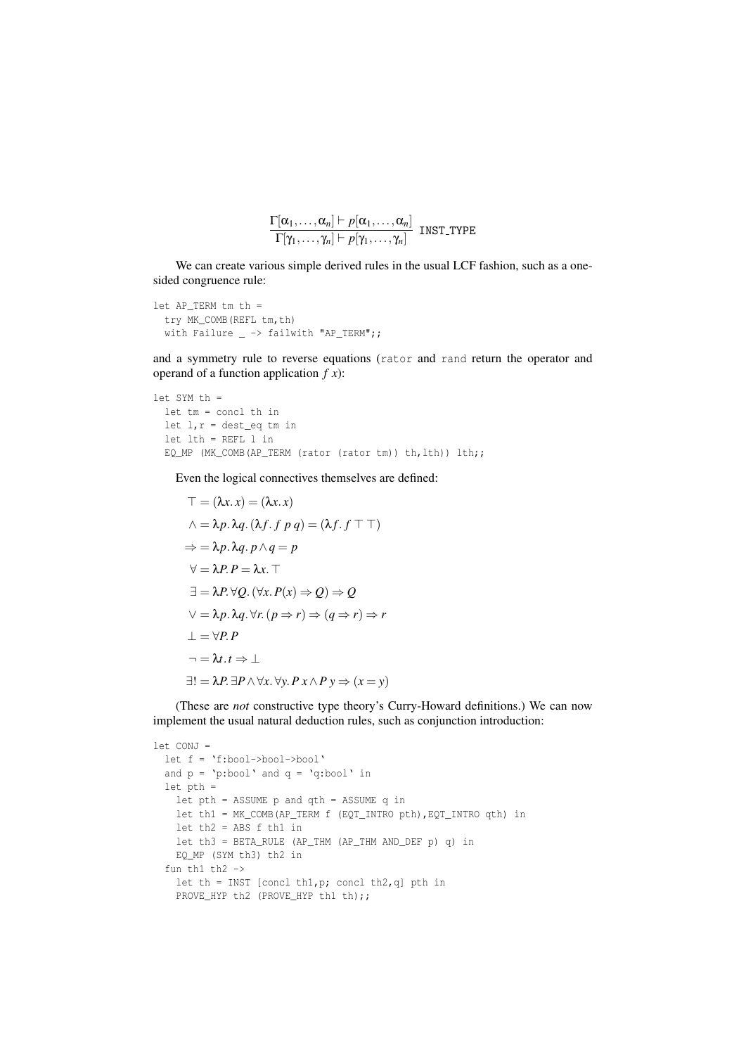$$
\frac{\Gamma[\alpha_1,\ldots,\alpha_n]\vdash p[\alpha_1,\ldots,\alpha_n]}{\Gamma[\gamma_1,\ldots,\gamma_n]\vdash p[\gamma_1,\ldots,\gamma_n]} \text{ INST\_TYPE}
$$

We can create various simple derived rules in the usual LCF fashion, such as a onesided congruence rule:

```
let AP_TERM tm th =
 try MK_COMB(REFL tm,th)
 with Failure - > failwith "AP_TERM";;
```
and a symmetry rule to reverse equations (rator and rand return the operator and operand of a function application *f x*):

```
let SYM th =
  let tm = concl th in
  let l, r = dest_eq tm in
  let lth = REFL l in
  EQ_MP (MK_COMB(AP_TERM (rator (rator tm)) th, lth)) lth;;
```
Even the logical connectives themselves are defined:

 $\top = (\lambda x \cdot x) = (\lambda x \cdot x)$  $\Lambda = \lambda p \cdot \lambda q \cdot (\lambda f \cdot f \cdot p \cdot q) = (\lambda f \cdot f \top \top)$  $\Rightarrow$  = λ*p*. λ*q*. *p* ∧ *q* = *p*  $∀ = λP.P = λx.$  ⊤  $\exists = \lambda P \forall Q \, (\forall x. P(x) \Rightarrow Q) \Rightarrow Q$ ∨ = λ*p*. λ*q*. ∀*r*.(*p* ⇒ *r*) ⇒ (*q* ⇒ *r*) ⇒ *r* ⊥ = ∀*P*.*P*  $\neg = \lambda t. t \Rightarrow \bot$  $\exists! = \lambda P \ \exists P \land \forall x. \ \forall y. \ P \ x \land P \ y \Rightarrow (x = y)$ 

(These are *not* constructive type theory's Curry-Howard definitions.) We can now implement the usual natural deduction rules, such as conjunction introduction:

```
let CONJ =
 let f = 'f:bool->bool->bool'
  and p = 'p:bool' and q = 'q:bool' in
  let pth =
   let pth = ASSUME p and qth = ASSUME q in
   let th1 = MK_COMB(AP_TERM f (EQT_INTRO pth),EQT_INTRO qth) in
   let th2 = ABS f th1 in
   let th3 = BETA_RULE (AP_THM (AP_THM AND_DEF p) q) in
   EQ_MP (SYM th3) th2 in
  fun th1 th2 \rightarrowlet th = INST [concl th1, p; concl th2, q] pth in
   PROVE_HYP th2 (PROVE_HYP th1 th);;
```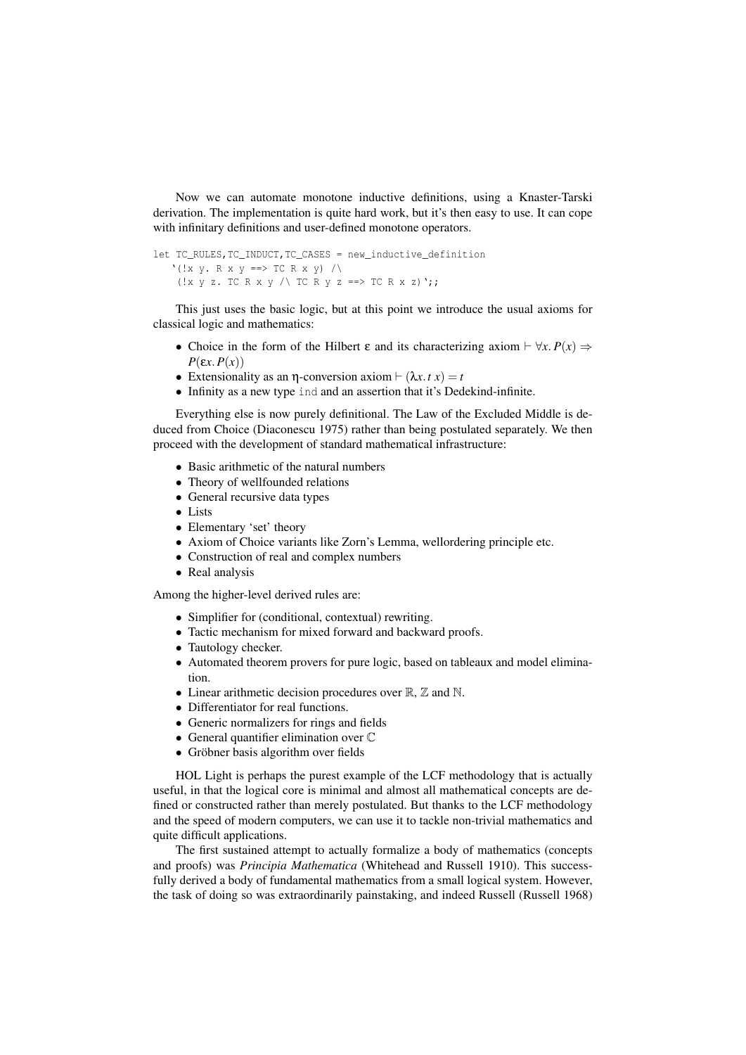Now we can automate monotone inductive definitions, using a Knaster-Tarski derivation. The implementation is quite hard work, but it's then easy to use. It can cope with infinitary definitions and user-defined monotone operators.

```
let TC_RULES,TC_INDUCT,TC_CASES = new_inductive_definition
   '(!x y. R x y ==> TC R x y) /\
    (!x y z. TC R x y /\ TC R y z ==> TC R x z) ';;
```
This just uses the basic logic, but at this point we introduce the usual axioms for classical logic and mathematics:

- Choice in the form of the Hilbert  $\varepsilon$  and its characterizing axiom  $\vdash \forall x. P(x) \Rightarrow$ *P*(ε*x*.*P*(*x*))
- Extensionality as an  $\eta$ -conversion axiom  $\vdash (\lambda x. t x) = t$
- Infinity as a new type ind and an assertion that it's Dedekind-infinite.

Everything else is now purely definitional. The Law of the Excluded Middle is deduced from Choice (Diaconescu 1975) rather than being postulated separately. We then proceed with the development of standard mathematical infrastructure:

- Basic arithmetic of the natural numbers
- Theory of wellfounded relations
- General recursive data types
- Lists
- Elementary 'set' theory
- Axiom of Choice variants like Zorn's Lemma, wellordering principle etc.
- Construction of real and complex numbers
- Real analysis

Among the higher-level derived rules are:

- Simplifier for (conditional, contextual) rewriting.
- Tactic mechanism for mixed forward and backward proofs.
- Tautology checker.
- Automated theorem provers for pure logic, based on tableaux and model elimination.
- Linear arithmetic decision procedures over  $\mathbb{R}, \mathbb{Z}$  and  $\mathbb{N}.$
- Differentiator for real functions.
- Generic normalizers for rings and fields
- General quantifier elimination over  $\mathbb C$
- Gröbner basis algorithm over fields

HOL Light is perhaps the purest example of the LCF methodology that is actually useful, in that the logical core is minimal and almost all mathematical concepts are defined or constructed rather than merely postulated. But thanks to the LCF methodology and the speed of modern computers, we can use it to tackle non-trivial mathematics and quite difficult applications.

The first sustained attempt to actually formalize a body of mathematics (concepts and proofs) was *Principia Mathematica* (Whitehead and Russell 1910). This successfully derived a body of fundamental mathematics from a small logical system. However, the task of doing so was extraordinarily painstaking, and indeed Russell (Russell 1968)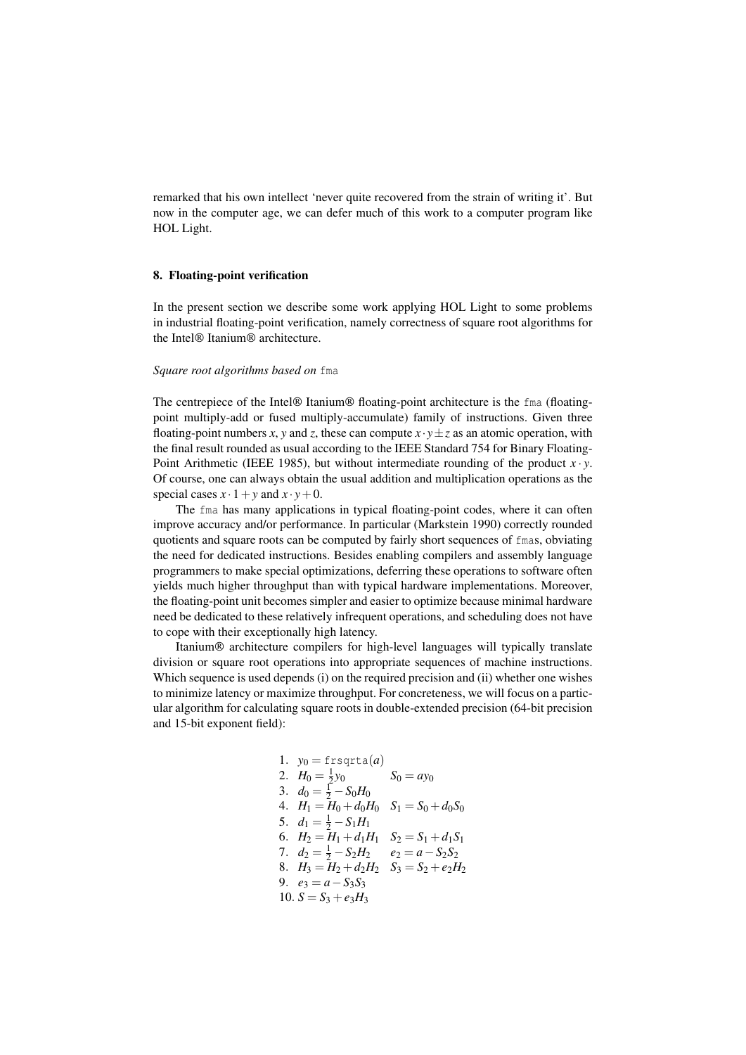remarked that his own intellect 'never quite recovered from the strain of writing it'. But now in the computer age, we can defer much of this work to a computer program like HOL Light.

#### 8. Floating-point verification

In the present section we describe some work applying HOL Light to some problems in industrial floating-point verification, namely correctness of square root algorithms for the Intel<sup>®</sup> Itanium<sup>®</sup> architecture.

## *Square root algorithms based on* fma

The centrepiece of the Intel® Itanium® floating-point architecture is the fma (floatingpoint multiply-add or fused multiply-accumulate) family of instructions. Given three floating-point numbers *x*, *y* and *z*, these can compute  $x \cdot y \pm z$  as an atomic operation, with the final result rounded as usual according to the IEEE Standard 754 for Binary Floating-Point Arithmetic (IEEE 1985), but without intermediate rounding of the product  $x \cdot y$ . Of course, one can always obtain the usual addition and multiplication operations as the special cases  $x \cdot 1 + y$  and  $x \cdot y + 0$ .

The fma has many applications in typical floating-point codes, where it can often improve accuracy and/or performance. In particular (Markstein 1990) correctly rounded quotients and square roots can be computed by fairly short sequences of fmas, obviating the need for dedicated instructions. Besides enabling compilers and assembly language programmers to make special optimizations, deferring these operations to software often yields much higher throughput than with typical hardware implementations. Moreover, the floating-point unit becomes simpler and easier to optimize because minimal hardware need be dedicated to these relatively infrequent operations, and scheduling does not have to cope with their exceptionally high latency.

Itanium<sup>®</sup> architecture compilers for high-level languages will typically translate division or square root operations into appropriate sequences of machine instructions. Which sequence is used depends (i) on the required precision and (ii) whether one wishes to minimize latency or maximize throughput. For concreteness, we will focus on a particular algorithm for calculating square roots in double-extended precision (64-bit precision and 15-bit exponent field):

1. 
$$
y_0 = \text{frsqrt}(a)
$$
  
\n2.  $H_0 = \frac{1}{2}y_0$   $S_0 = ay_0$   
\n3.  $d_0 = \frac{1}{2} - S_0H_0$   
\n4.  $H_1 = H_0 + d_0H_0$   $S_1 = S_0 + d_0S_0$   
\n5.  $d_1 = \frac{1}{2} - S_1H_1$   
\n6.  $H_2 = H_1 + d_1H_1$   $S_2 = S_1 + d_1S_1$   
\n7.  $d_2 = \frac{1}{2} - S_2H_2$   $e_2 = a - S_2S_2$   
\n8.  $H_3 = H_2 + d_2H_2$   $S_3 = S_2 + e_2H_2$   
\n9.  $e_3 = a - S_3S_3$   
\n10.  $S = S_3 + e_3H_3$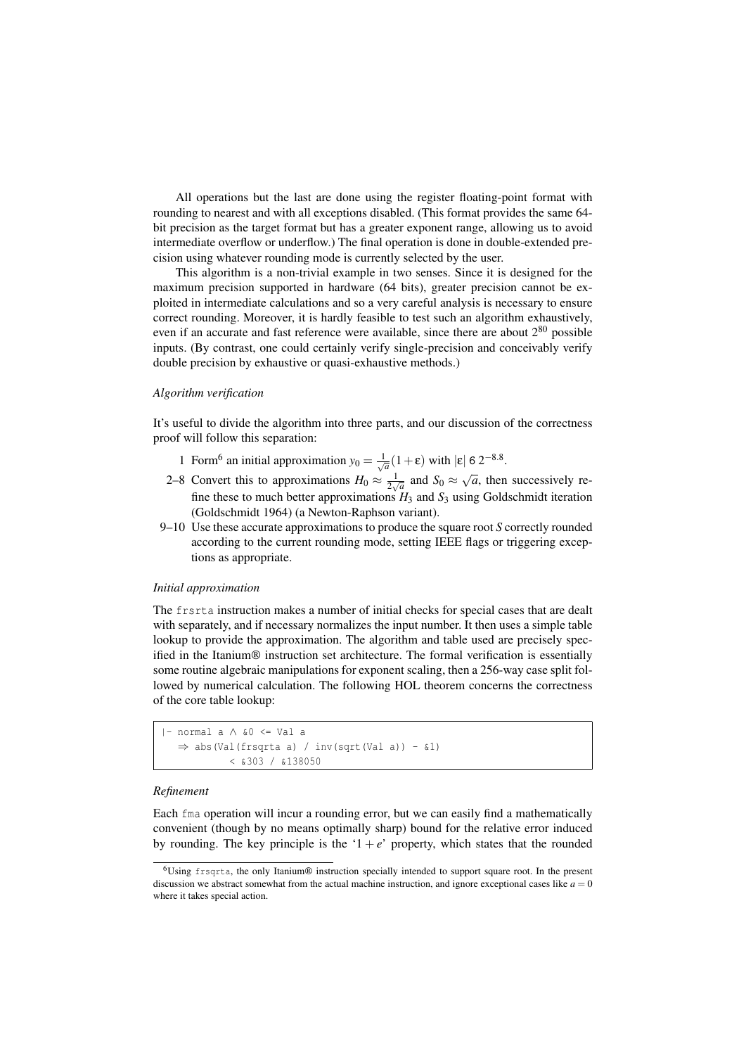All operations but the last are done using the register floating-point format with rounding to nearest and with all exceptions disabled. (This format provides the same 64bit precision as the target format but has a greater exponent range, allowing us to avoid intermediate overflow or underflow.) The final operation is done in double-extended precision using whatever rounding mode is currently selected by the user.

This algorithm is a non-trivial example in two senses. Since it is designed for the maximum precision supported in hardware (64 bits), greater precision cannot be exploited in intermediate calculations and so a very careful analysis is necessary to ensure correct rounding. Moreover, it is hardly feasible to test such an algorithm exhaustively, even if an accurate and fast reference were available, since there are about  $2^{80}$  possible inputs. (By contrast, one could certainly verify single-precision and conceivably verify double precision by exhaustive or quasi-exhaustive methods.)

#### *Algorithm verification*

It's useful to divide the algorithm into three parts, and our discussion of the correctness proof will follow this separation:

- 1 Form<sup>6</sup> an initial approximation  $y_0 = \frac{1}{\sqrt{a}}(1+\epsilon)$  with  $|\epsilon|$  6 2<sup>-8.8</sup>.
- 2–8 Convert this to approximations  $H_0 \approx \frac{1}{2\sqrt{a}}$  and  $S_0 \approx \sqrt{a}$ , then successively refine these to much better approximations  $H_3$  and  $S_3$  using Goldschmidt iteration (Goldschmidt 1964) (a Newton-Raphson variant).
- 9–10 Use these accurate approximations to produce the square root *S* correctly rounded according to the current rounding mode, setting IEEE flags or triggering exceptions as appropriate.

## *Initial approximation*

The frsrta instruction makes a number of initial checks for special cases that are dealt with separately, and if necessary normalizes the input number. It then uses a simple table lookup to provide the approximation. The algorithm and table used are precisely specified in the Itanium $\circledR$  instruction set architecture. The formal verification is essentially some routine algebraic manipulations for exponent scaling, then a 256-way case split followed by numerical calculation. The following HOL theorem concerns the correctness of the core table lookup:

```
|- normal a ∧ &0 <= Val a
  \Rightarrow abs(Val(frsqrta a) / inv(sqrt(Val a)) - &1)
            < &303 / &138050
```
## *Refinement*

Each fma operation will incur a rounding error, but we can easily find a mathematically convenient (though by no means optimally sharp) bound for the relative error induced by rounding. The key principle is the  $1 + e'$  property, which states that the rounded

 $6$ Using frsqrta, the only Itanium® instruction specially intended to support square root. In the present discussion we abstract somewhat from the actual machine instruction, and ignore exceptional cases like  $a = 0$ where it takes special action.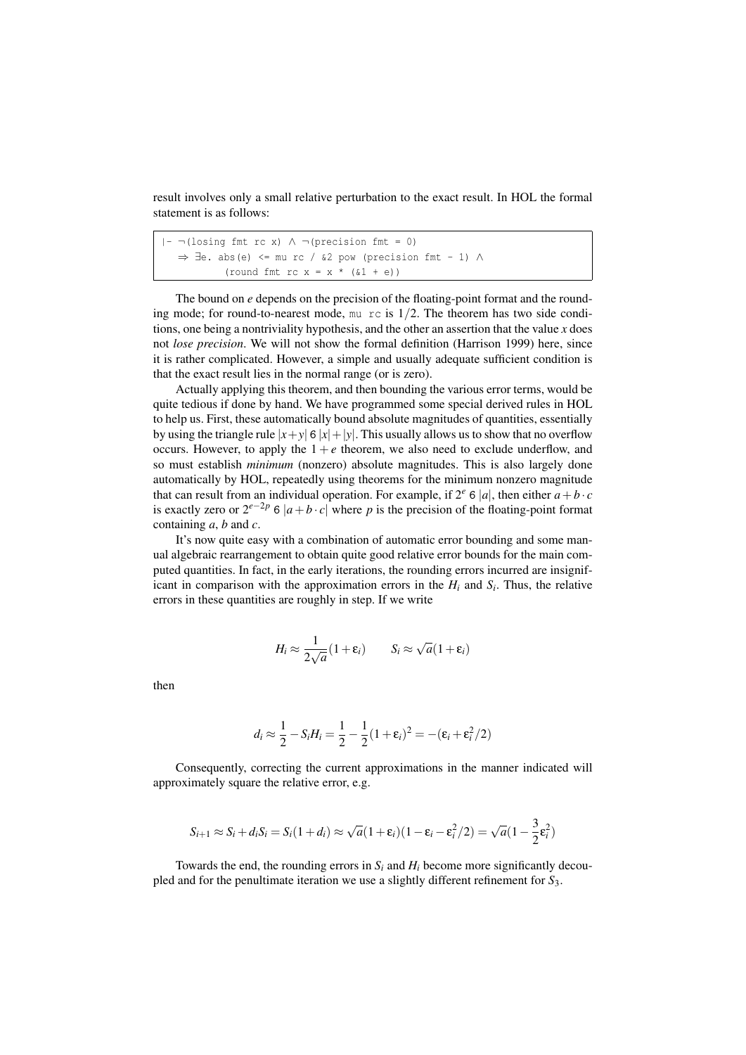result involves only a small relative perturbation to the exact result. In HOL the formal statement is as follows:

```
|- \neg(losing fmt rc x) \land \neg(precision fmt = 0)
   \Rightarrow ∃e. abs(e) <= mu rc / &2 pow (precision fmt - 1) \land(round fmt rc x = x * (61 + e))
```
The bound on *e* depends on the precision of the floating-point format and the rounding mode; for round-to-nearest mode, mu  $rc$  is  $1/2$ . The theorem has two side conditions, one being a nontriviality hypothesis, and the other an assertion that the value *x* does not *lose precision*. We will not show the formal definition (Harrison 1999) here, since it is rather complicated. However, a simple and usually adequate sufficient condition is that the exact result lies in the normal range (or is zero).

Actually applying this theorem, and then bounding the various error terms, would be quite tedious if done by hand. We have programmed some special derived rules in HOL to help us. First, these automatically bound absolute magnitudes of quantities, essentially by using the triangle rule  $|x+y| \leq |x| + |y|$ . This usually allows us to show that no overflow occurs. However, to apply the  $1 + e$  theorem, we also need to exclude underflow, and so must establish *minimum* (nonzero) absolute magnitudes. This is also largely done automatically by HOL, repeatedly using theorems for the minimum nonzero magnitude that can result from an individual operation. For example, if  $2^e \cdot 6 |a|$ , then either  $a + b \cdot c$ is exactly zero or  $2^{e-2p}$  6 |*a* + *b* · *c*| where *p* is the precision of the floating-point format containing *a*, *b* and *c*.

It's now quite easy with a combination of automatic error bounding and some manual algebraic rearrangement to obtain quite good relative error bounds for the main computed quantities. In fact, in the early iterations, the rounding errors incurred are insignificant in comparison with the approximation errors in the  $H_i$  and  $S_i$ . Thus, the relative errors in these quantities are roughly in step. If we write

$$
H_i \approx \frac{1}{2\sqrt{a}}(1+\varepsilon_i) \qquad S_i \approx \sqrt{a}(1+\varepsilon_i)
$$

then

$$
d_i \approx \frac{1}{2} - S_i H_i = \frac{1}{2} - \frac{1}{2} (1 + \varepsilon_i)^2 = -(\varepsilon_i + \varepsilon_i^2 / 2)
$$

Consequently, correcting the current approximations in the manner indicated will approximately square the relative error, e.g.

$$
S_{i+1} \approx S_i + d_i S_i = S_i (1+d_i) \approx \sqrt{a} (1+\epsilon_i)(1-\epsilon_i-\epsilon_i^2/2) = \sqrt{a} (1-\frac{3}{2}\epsilon_i^2)
$$

Towards the end, the rounding errors in  $S_i$  and  $H_i$  become more significantly decoupled and for the penultimate iteration we use a slightly different refinement for *S*3.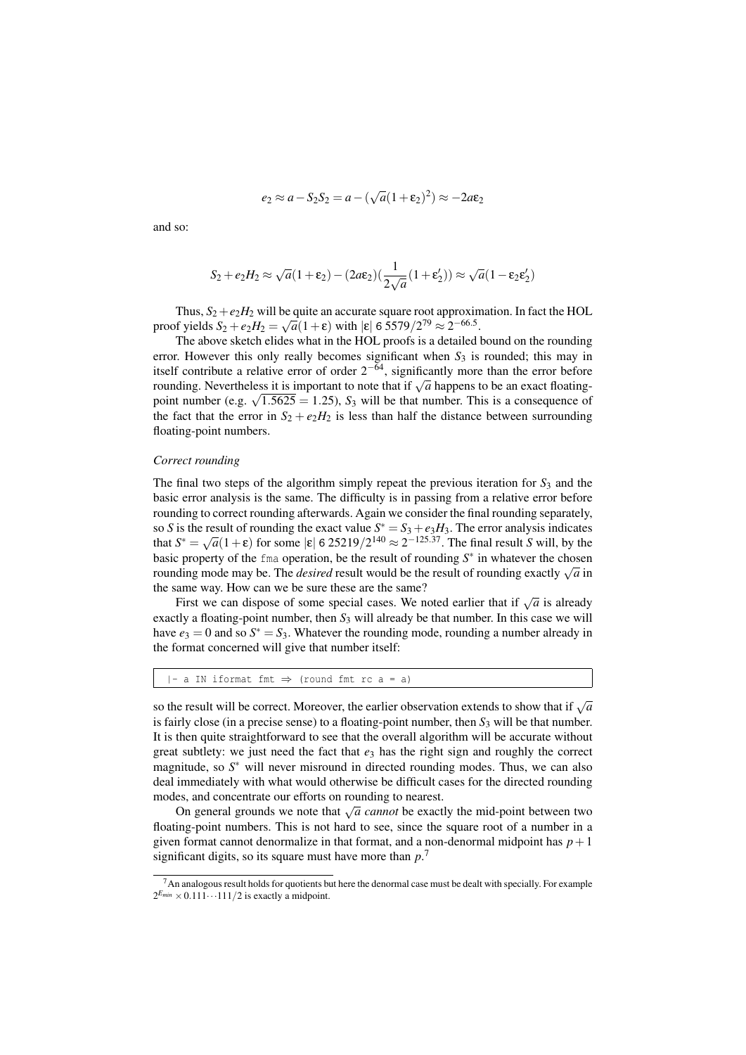$$
e_2 \approx a - S_2 S_2 = a - (\sqrt{a}(1 + \varepsilon_2)^2) \approx -2a\varepsilon_2
$$

and so:

$$
S_2 + e_2 H_2 \approx \sqrt{a}(1+\epsilon_2) - (2a\epsilon_2)\left(\frac{1}{2\sqrt{a}}(1+\epsilon'_2)\right) \approx \sqrt{a}(1-\epsilon_2\epsilon'_2)
$$

Thus,  $S_2 + e_2 H_2$  will be quite an accurate square root approximation. In fact the HOL proof yields  $S_2 + e_2 H_2 = \sqrt{a}(1+\epsilon)$  with  $|\epsilon|$  6 5579/2<sup>79</sup>  $\approx 2^{-66.5}$ .

The above sketch elides what in the HOL proofs is a detailed bound on the rounding error. However this only really becomes significant when  $S_3$  is rounded; this may in itself contribute a relative error of order  $2^{-\bar{6}4}$ , significantly more than the error before rounding. Nevertheless it is important to note that if  $\sqrt{a}$  happens to be an exact floating-<br>rounding. Nevertheless it is important to note that if  $\sqrt{a}$  happens to be an exact floatingrounding. Nevertheless it is important to note that if  $\sqrt{a}$  happens to be an exact noating-<br>point number (e.g.  $\sqrt{1.5625} = 1.25$ ),  $S_3$  will be that number. This is a consequence of the fact that the error in  $S_2 + e_2H_2$  is less than half the distance between surrounding floating-point numbers.

## *Correct rounding*

The final two steps of the algorithm simply repeat the previous iteration for *S*<sup>3</sup> and the basic error analysis is the same. The difficulty is in passing from a relative error before rounding to correct rounding afterwards. Again we consider the final rounding separately, so *S* is the result of rounding the exact value  $S^* = S_3 + e_3 H_3$ . The error analysis indicates that  $S^* = \sqrt{a}(1+\epsilon)$  for some  $|\epsilon|$  6 25219/2<sup>140</sup>  $\approx$  2<sup>-125.37</sup>. The final result *S* will, by the basic property of the fma operation, be the result of rounding *S*<sup>∗</sup> in whatever the chosen rounding mode may be. The *desired* result would be the result of rounding exactly  $\sqrt{a}$  in rounding mode may be. The *desired* result would be the result of rounding exactly  $\sqrt{a}$  in the same way. How can we be sure these are the same?

First we can dispose of some special cases. We noted earlier that if  $\sqrt{a}$  is already exactly a floating-point number, then  $S_3$  will already be that number. In this case we will have  $e_3 = 0$  and so  $S^* = S_3$ . Whatever the rounding mode, rounding a number already in the format concerned will give that number itself:

|- a IN iformat fmt ⇒ (round fmt rc a = a)

so the result will be correct. Moreover, the earlier observation extends to show that if  $\sqrt{a}$ is fairly close (in a precise sense) to a floating-point number, then *S*<sup>3</sup> will be that number. It is then quite straightforward to see that the overall algorithm will be accurate without great subtlety: we just need the fact that  $e_3$  has the right sign and roughly the correct magnitude, so *S* <sup>∗</sup> will never misround in directed rounding modes. Thus, we can also deal immediately with what would otherwise be difficult cases for the directed rounding modes, and concentrate our efforts on rounding to nearest.

 $\cos$ , and concentrate our errorts on rounding to hearest.<br>On general grounds we note that  $\sqrt{a}$  *cannot* be exactly the mid-point between two floating-point numbers. This is not hard to see, since the square root of a number in a given format cannot denormalize in that format, and a non-denormal midpoint has  $p+1$ significant digits, so its square must have more than  $p^2$ .

 $7An$  analogous result holds for quotients but here the denormal case must be dealt with specially. For example  $2^{E_{min}} \times 0.111 \cdots 111/2$  is exactly a midpoint.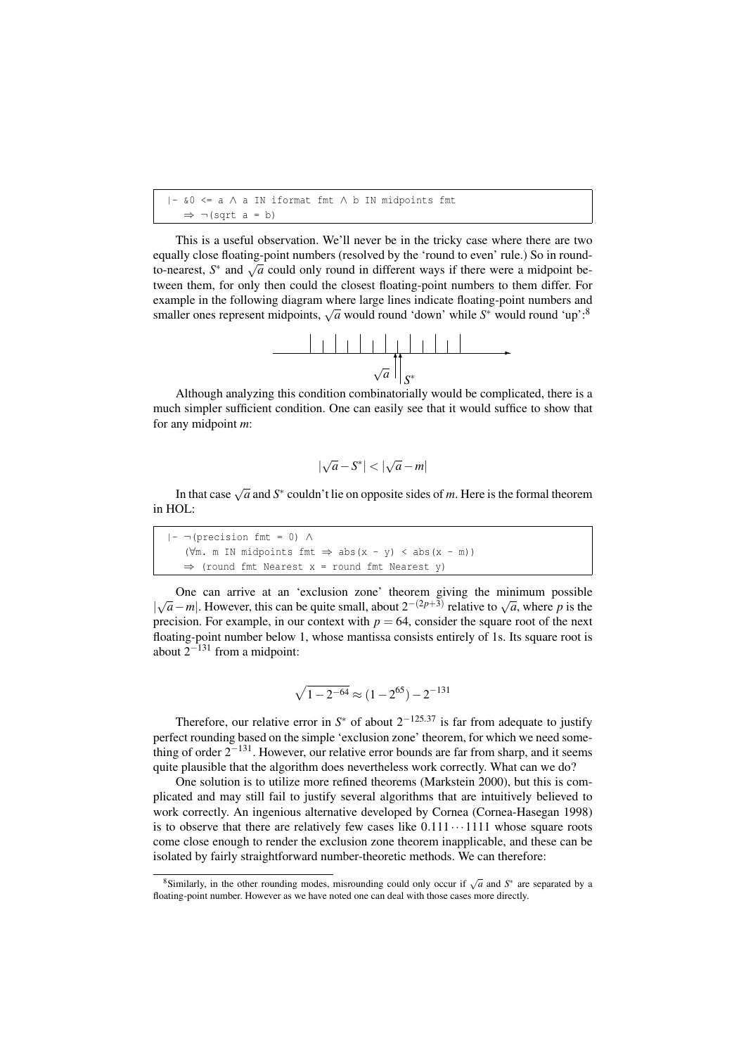```
|- &0 <= a ∧ a IN iformat fmt ∧ b IN midpoints fmt
   \Rightarrow \neg(sqrt a = b)
```
This is a useful observation. We'll never be in the tricky case where there are two equally close floating-point numbers (resolved by the 'round to even' rule.) So in round $t_0$  comparest, *S*<sup>∗</sup> and  $\sqrt{a}$  could only round in different ways if there were a midpoint between them, for only then could the closest floating-point numbers to them differ. For example in the following diagram where large lines indicate floating-point numbers and  $\alpha$  smaller ones represent midpoints,  $\sqrt{a}$  would round 'down' while *S*<sup>∗</sup> would round 'up':<sup>8</sup>



Although analyzing this condition combinatorially would be complicated, there is a much simpler sufficient condition. One can easily see that it would suffice to show that for any midpoint *m*:

$$
|\sqrt{a}-S^*|<|\sqrt{a}-m|
$$

In that case  $\sqrt{a}$  and  $S^*$  couldn't lie on opposite sides of *m*. Here is the formal theorem in HOL:

|- ¬(precision fmt = 0) ∧ ( $\forall m.$  m IN midpoints fmt  $\Rightarrow$  abs(x - y) < abs(x - m)) ⇒ (round fmt Nearest x = round fmt Nearest y)

One can arrive at an 'exclusion zone' theorem giving the minimum possible One can arrive at an exclusion zone theorem giving the minimum possible  $|\sqrt{a} - m|$ . However, this can be quite small, about  $2^{-(2p+3)}$  relative to  $\sqrt{a}$ , where *p* is the precision. For example, in our context with  $p = 64$ , consider the square root of the next floating-point number below 1, whose mantissa consists entirely of 1s. Its square root is about  $2^{-131}$  from a midpoint:

$$
\sqrt{1-2^{-64}}\approx (1-2^{65})-2^{-131}
$$

Therefore, our relative error in  $S^*$  of about  $2^{-125.37}$  is far from adequate to justify perfect rounding based on the simple 'exclusion zone' theorem, for which we need something of order  $2^{-131}$ . However, our relative error bounds are far from sharp, and it seems quite plausible that the algorithm does nevertheless work correctly. What can we do?

One solution is to utilize more refined theorems (Markstein 2000), but this is complicated and may still fail to justify several algorithms that are intuitively believed to work correctly. An ingenious alternative developed by Cornea (Cornea-Hasegan 1998) is to observe that there are relatively few cases like  $0.111 \cdots 1111$  whose square roots come close enough to render the exclusion zone theorem inapplicable, and these can be isolated by fairly straightforward number-theoretic methods. We can therefore:

<sup>&</sup>lt;sup>8</sup>Similarly, in the other rounding modes, misrounding could only occur if  $\sqrt{a}$  and *S*<sup>\*</sup> are separated by a floating-point number. However as we have noted one can deal with those cases more directly.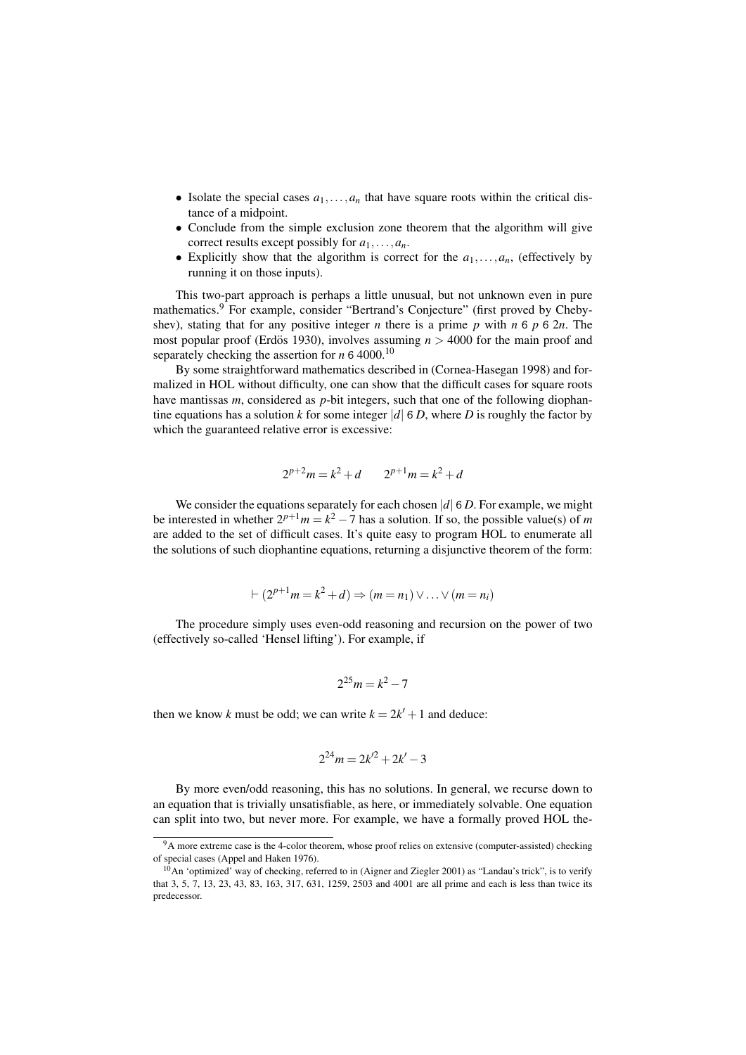- Isolate the special cases  $a_1, \ldots, a_n$  that have square roots within the critical distance of a midpoint.
- Conclude from the simple exclusion zone theorem that the algorithm will give correct results except possibly for *a*1,...,*an*.
- Explicitly show that the algorithm is correct for the  $a_1, \ldots, a_n$ , (effectively by running it on those inputs).

This two-part approach is perhaps a little unusual, but not unknown even in pure mathematics.<sup>9</sup> For example, consider "Bertrand's Conjecture" (first proved by Chebyshev), stating that for any positive integer *n* there is a prime *p* with *n* 6 *p* 6 2*n*. The most popular proof (Erdös 1930), involves assuming  $n > 4000$  for the main proof and separately checking the assertion for  $n \ge 4000$ .<sup>10</sup>

By some straightforward mathematics described in (Cornea-Hasegan 1998) and formalized in HOL without difficulty, one can show that the difficult cases for square roots have mantissas *m*, considered as *p*-bit integers, such that one of the following diophantine equations has a solution *k* for some integer  $|d| \in D$ , where *D* is roughly the factor by which the guaranteed relative error is excessive:

$$
2^{p+2}m = k^2 + d \qquad 2^{p+1}m = k^2 + d
$$

We consider the equations separately for each chosen  $|d|$  6 *D*. For example, we might be interested in whether  $2^{p+1}m = k^2 - 7$  has a solution. If so, the possible value(s) of m are added to the set of difficult cases. It's quite easy to program HOL to enumerate all the solutions of such diophantine equations, returning a disjunctive theorem of the form:

$$
\vdash (2^{p+1}m = k^2 + d) \Rightarrow (m = n_1) \vee \ldots \vee (m = n_i)
$$

The procedure simply uses even-odd reasoning and recursion on the power of two (effectively so-called 'Hensel lifting'). For example, if

$$
2^{25}m = k^2 - 7
$$

then we know *k* must be odd; we can write  $k = 2k' + 1$  and deduce:

$$
2^{24}m = 2k'^2 + 2k' - 3
$$

By more even/odd reasoning, this has no solutions. In general, we recurse down to an equation that is trivially unsatisfiable, as here, or immediately solvable. One equation can split into two, but never more. For example, we have a formally proved HOL the-

<sup>&</sup>lt;sup>9</sup>A more extreme case is the 4-color theorem, whose proof relies on extensive (computer-assisted) checking of special cases (Appel and Haken 1976).

<sup>&</sup>lt;sup>10</sup>An 'optimized' way of checking, referred to in (Aigner and Ziegler 2001) as "Landau's trick", is to verify that 3, 5, 7, 13, 23, 43, 83, 163, 317, 631, 1259, 2503 and 4001 are all prime and each is less than twice its predecessor.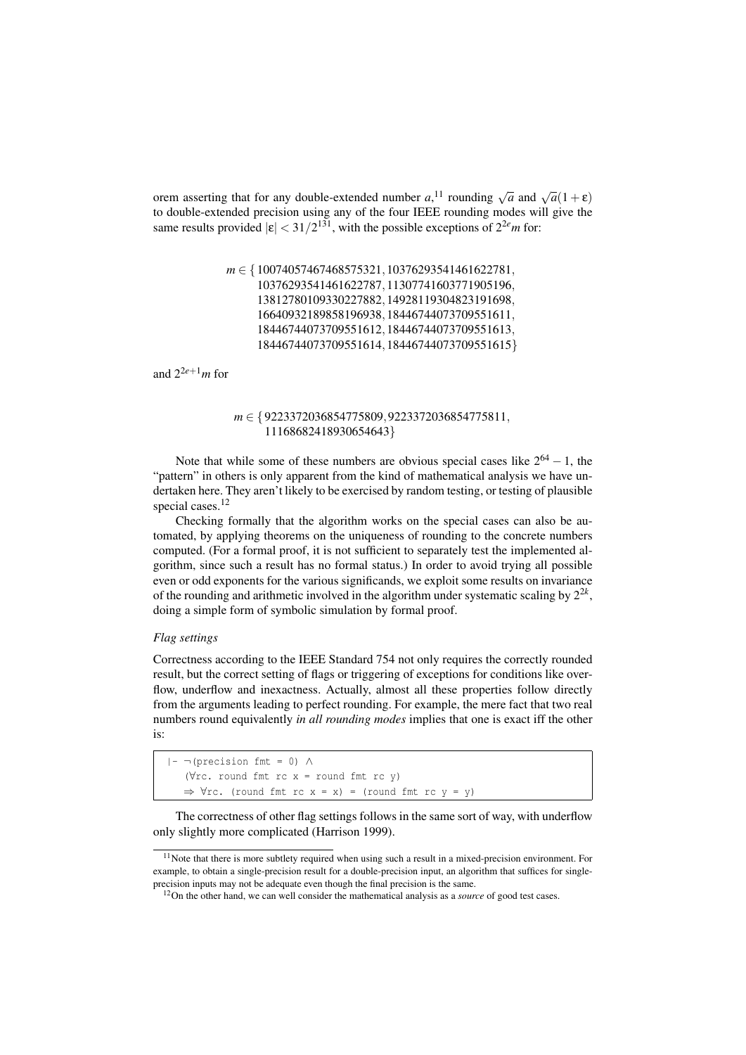orem asserting that for any double-extended number  $a$ ,<sup>11</sup> rounding  $\sqrt{a}$  and  $\sqrt{a}(1+\epsilon)$ to double-extended precision using any of the four IEEE rounding modes will give the same results provided  $|\varepsilon| < 31/2^{131}$ , with the possible exceptions of  $2^{2e}m$  for:

> *m* ∈ {10074057467468575321,10376293541461622781, ,11307741603771905196, ,14928119304823191698, ,18446744073709551611, ,18446744073709551613, ,18446744073709551615}

and 22*e*+1*m* for

# *m* ∈ {9223372036854775809,9223372036854775811, 11168682418930654643}

Note that while some of these numbers are obvious special cases like  $2^{64} - 1$ , the "pattern" in others is only apparent from the kind of mathematical analysis we have undertaken here. They aren't likely to be exercised by random testing, or testing of plausible special cases.<sup>12</sup>

Checking formally that the algorithm works on the special cases can also be automated, by applying theorems on the uniqueness of rounding to the concrete numbers computed. (For a formal proof, it is not sufficient to separately test the implemented algorithm, since such a result has no formal status.) In order to avoid trying all possible even or odd exponents for the various significands, we exploit some results on invariance of the rounding and arithmetic involved in the algorithm under systematic scaling by  $2^{2k}$ , doing a simple form of symbolic simulation by formal proof.

## *Flag settings*

Correctness according to the IEEE Standard 754 not only requires the correctly rounded result, but the correct setting of flags or triggering of exceptions for conditions like overflow, underflow and inexactness. Actually, almost all these properties follow directly from the arguments leading to perfect rounding. For example, the mere fact that two real numbers round equivalently *in all rounding modes* implies that one is exact iff the other is:

|- ¬(precision fmt = 0) ∧ (∀rc. round fmt rc x = round fmt rc y)  $\Rightarrow$   $\forall$ rc. (round fmt rc x = x) = (round fmt rc y = y)

The correctness of other flag settings follows in the same sort of way, with underflow only slightly more complicated (Harrison 1999).

 $11$ Note that there is more subtlety required when using such a result in a mixed-precision environment. For example, to obtain a single-precision result for a double-precision input, an algorithm that suffices for singleprecision inputs may not be adequate even though the final precision is the same.

<sup>12</sup>On the other hand, we can well consider the mathematical analysis as a *source* of good test cases.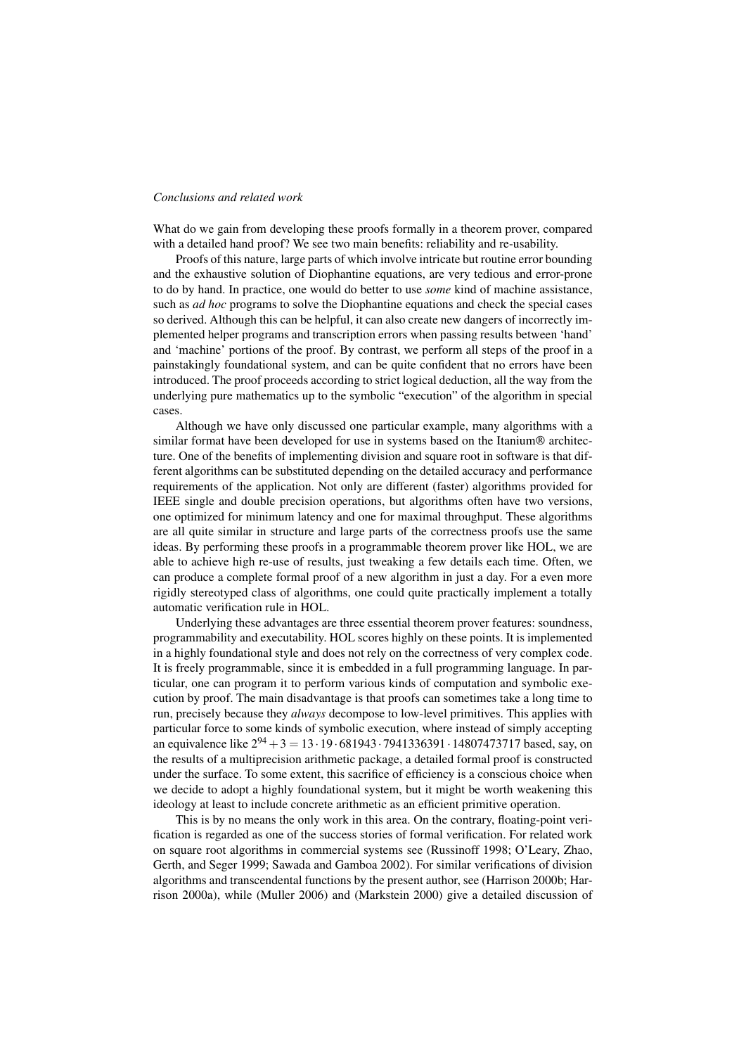# *Conclusions and related work*

What do we gain from developing these proofs formally in a theorem prover, compared with a detailed hand proof? We see two main benefits: reliability and re-usability.

Proofs of this nature, large parts of which involve intricate but routine error bounding and the exhaustive solution of Diophantine equations, are very tedious and error-prone to do by hand. In practice, one would do better to use *some* kind of machine assistance, such as *ad hoc* programs to solve the Diophantine equations and check the special cases so derived. Although this can be helpful, it can also create new dangers of incorrectly implemented helper programs and transcription errors when passing results between 'hand' and 'machine' portions of the proof. By contrast, we perform all steps of the proof in a painstakingly foundational system, and can be quite confident that no errors have been introduced. The proof proceeds according to strict logical deduction, all the way from the underlying pure mathematics up to the symbolic "execution" of the algorithm in special cases.

Although we have only discussed one particular example, many algorithms with a similar format have been developed for use in systems based on the Itanium ® architecture. One of the benefits of implementing division and square root in software is that different algorithms can be substituted depending on the detailed accuracy and performance requirements of the application. Not only are different (faster) algorithms provided for IEEE single and double precision operations, but algorithms often have two versions, one optimized for minimum latency and one for maximal throughput. These algorithms are all quite similar in structure and large parts of the correctness proofs use the same ideas. By performing these proofs in a programmable theorem prover like HOL, we are able to achieve high re-use of results, just tweaking a few details each time. Often, we can produce a complete formal proof of a new algorithm in just a day. For a even more rigidly stereotyped class of algorithms, one could quite practically implement a totally automatic verification rule in HOL.

Underlying these advantages are three essential theorem prover features: soundness, programmability and executability. HOL scores highly on these points. It is implemented in a highly foundational style and does not rely on the correctness of very complex code. It is freely programmable, since it is embedded in a full programming language. In particular, one can program it to perform various kinds of computation and symbolic execution by proof. The main disadvantage is that proofs can sometimes take a long time to run, precisely because they *always* decompose to low-level primitives. This applies with particular force to some kinds of symbolic execution, where instead of simply accepting an equivalence like  $2^{94} + 3 = 13 \cdot 19 \cdot 681943 \cdot 7941336391 \cdot 14807473717$  based, say, on the results of a multiprecision arithmetic package, a detailed formal proof is constructed under the surface. To some extent, this sacrifice of efficiency is a conscious choice when we decide to adopt a highly foundational system, but it might be worth weakening this ideology at least to include concrete arithmetic as an efficient primitive operation.

This is by no means the only work in this area. On the contrary, floating-point verification is regarded as one of the success stories of formal verification. For related work on square root algorithms in commercial systems see (Russinoff 1998; O'Leary, Zhao, Gerth, and Seger 1999; Sawada and Gamboa 2002). For similar verifications of division algorithms and transcendental functions by the present author, see (Harrison 2000b; Harrison 2000a), while (Muller 2006) and (Markstein 2000) give a detailed discussion of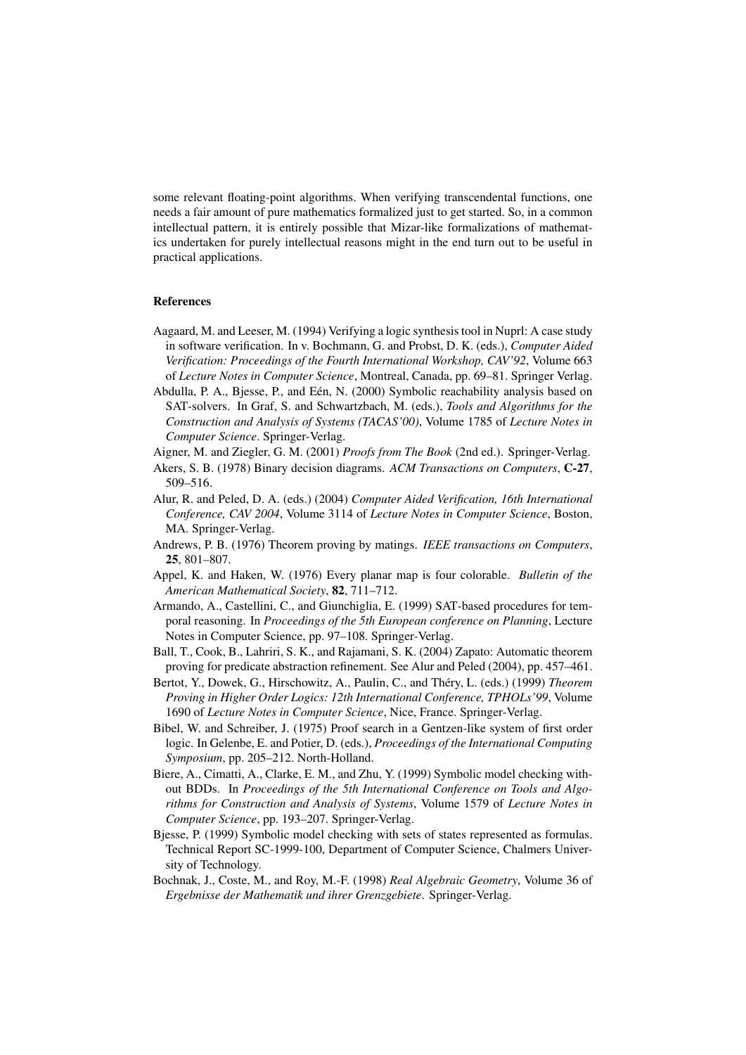some relevant floating-point algorithms. When verifying transcendental functions, one needs a fair amount of pure mathematics formalized just to get started. So, in a common intellectual pattern, it is entirely possible that Mizar-like formalizations of mathematics undertaken for purely intellectual reasons might in the end turn out to be useful in practical applications.

## References

- Aagaard, M. and Leeser, M. (1994) Verifying a logic synthesis tool in Nuprl: A case study in software verification. In v. Bochmann, G. and Probst, D. K. (eds.), *Computer Aided Verification: Proceedings of the Fourth International Workshop, CAV'92*, Volume 663 of *Lecture Notes in Computer Science*, Montreal, Canada, pp. 69–81. Springer Verlag.
- Abdulla, P. A., Bjesse, P., and Eén, N. (2000) Symbolic reachability analysis based on SAT-solvers. In Graf, S. and Schwartzbach, M. (eds.), *Tools and Algorithms for the Construction and Analysis of Systems (TACAS'00)*, Volume 1785 of *Lecture Notes in Computer Science*. Springer-Verlag.
- Aigner, M. and Ziegler, G. M. (2001) *Proofs from The Book* (2nd ed.). Springer-Verlag.
- Akers, S. B. (1978) Binary decision diagrams. *ACM Transactions on Computers*, C-27, 509–516.
- Alur, R. and Peled, D. A. (eds.) (2004) *Computer Aided Verification, 16th International Conference, CAV 2004*, Volume 3114 of *Lecture Notes in Computer Science*, Boston, MA. Springer-Verlag.
- Andrews, P. B. (1976) Theorem proving by matings. *IEEE transactions on Computers*, 25, 801–807.
- Appel, K. and Haken, W. (1976) Every planar map is four colorable. *Bulletin of the American Mathematical Society*, 82, 711–712.
- Armando, A., Castellini, C., and Giunchiglia, E. (1999) SAT-based procedures for temporal reasoning. In *Proceedings of the 5th European conference on Planning*, Lecture Notes in Computer Science, pp. 97–108. Springer-Verlag.
- Ball, T., Cook, B., Lahriri, S. K., and Rajamani, S. K. (2004) Zapato: Automatic theorem proving for predicate abstraction refinement. See Alur and Peled (2004), pp. 457–461.
- Bertot, Y., Dowek, G., Hirschowitz, A., Paulin, C., and Théry, L. (eds.) (1999) Theorem *Proving in Higher Order Logics: 12th International Conference, TPHOLs'99*, Volume 1690 of *Lecture Notes in Computer Science*, Nice, France. Springer-Verlag.
- Bibel, W. and Schreiber, J. (1975) Proof search in a Gentzen-like system of first order logic. In Gelenbe, E. and Potier, D. (eds.), *Proceedings of the International Computing Symposium*, pp. 205–212. North-Holland.
- Biere, A., Cimatti, A., Clarke, E. M., and Zhu, Y. (1999) Symbolic model checking without BDDs. In *Proceedings of the 5th International Conference on Tools and Algorithms for Construction and Analysis of Systems*, Volume 1579 of *Lecture Notes in Computer Science*, pp. 193–207. Springer-Verlag.
- Bjesse, P. (1999) Symbolic model checking with sets of states represented as formulas. Technical Report SC-1999-100, Department of Computer Science, Chalmers University of Technology.
- Bochnak, J., Coste, M., and Roy, M.-F. (1998) *Real Algebraic Geometry*, Volume 36 of *Ergebnisse der Mathematik und ihrer Grenzgebiete*. Springer-Verlag.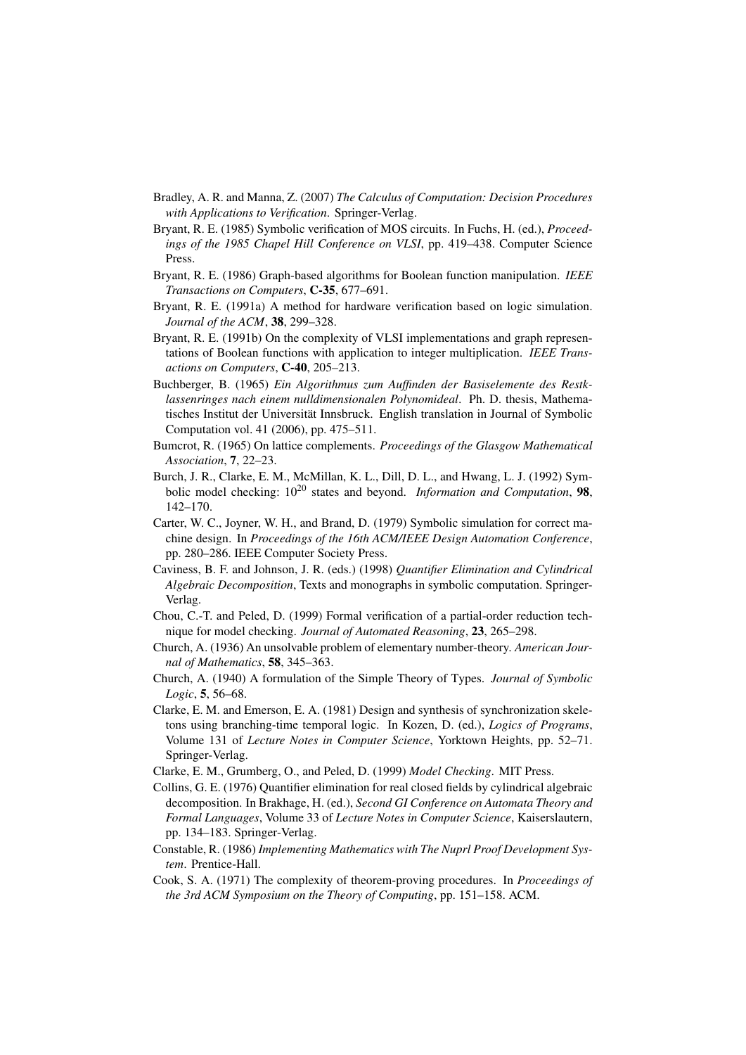- Bradley, A. R. and Manna, Z. (2007) *The Calculus of Computation: Decision Procedures with Applications to Verification*. Springer-Verlag.
- Bryant, R. E. (1985) Symbolic verification of MOS circuits. In Fuchs, H. (ed.), *Proceedings of the 1985 Chapel Hill Conference on VLSI*, pp. 419–438. Computer Science Press.
- Bryant, R. E. (1986) Graph-based algorithms for Boolean function manipulation. *IEEE Transactions on Computers*, C-35, 677–691.
- Bryant, R. E. (1991a) A method for hardware verification based on logic simulation. *Journal of the ACM*, 38, 299–328.
- Bryant, R. E. (1991b) On the complexity of VLSI implementations and graph representations of Boolean functions with application to integer multiplication. *IEEE Transactions on Computers*, C-40, 205–213.
- Buchberger, B. (1965) *Ein Algorithmus zum Auffinden der Basiselemente des Restklassenringes nach einem nulldimensionalen Polynomideal*. Ph. D. thesis, Mathematisches Institut der Universitat Innsbruck. English translation in Journal of Symbolic ¨ Computation vol. 41 (2006), pp. 475–511.
- Bumcrot, R. (1965) On lattice complements. *Proceedings of the Glasgow Mathematical Association*, 7, 22–23.
- Burch, J. R., Clarke, E. M., McMillan, K. L., Dill, D. L., and Hwang, L. J. (1992) Symbolic model checking: 10<sup>20</sup> states and beyond. *Information and Computation*, 98, 142–170.
- Carter, W. C., Joyner, W. H., and Brand, D. (1979) Symbolic simulation for correct machine design. In *Proceedings of the 16th ACM/IEEE Design Automation Conference*, pp. 280–286. IEEE Computer Society Press.
- Caviness, B. F. and Johnson, J. R. (eds.) (1998) *Quantifier Elimination and Cylindrical Algebraic Decomposition*, Texts and monographs in symbolic computation. Springer-Verlag.
- Chou, C.-T. and Peled, D. (1999) Formal verification of a partial-order reduction technique for model checking. *Journal of Automated Reasoning*, 23, 265–298.
- Church, A. (1936) An unsolvable problem of elementary number-theory. *American Journal of Mathematics*, 58, 345–363.
- Church, A. (1940) A formulation of the Simple Theory of Types. *Journal of Symbolic Logic*, 5, 56–68.
- Clarke, E. M. and Emerson, E. A. (1981) Design and synthesis of synchronization skeletons using branching-time temporal logic. In Kozen, D. (ed.), *Logics of Programs*, Volume 131 of *Lecture Notes in Computer Science*, Yorktown Heights, pp. 52–71. Springer-Verlag.
- Clarke, E. M., Grumberg, O., and Peled, D. (1999) *Model Checking*. MIT Press.
- Collins, G. E. (1976) Quantifier elimination for real closed fields by cylindrical algebraic decomposition. In Brakhage, H. (ed.), *Second GI Conference on Automata Theory and Formal Languages*, Volume 33 of *Lecture Notes in Computer Science*, Kaiserslautern, pp. 134–183. Springer-Verlag.
- Constable, R. (1986) *Implementing Mathematics with The Nuprl Proof Development System*. Prentice-Hall.
- Cook, S. A. (1971) The complexity of theorem-proving procedures. In *Proceedings of the 3rd ACM Symposium on the Theory of Computing*, pp. 151–158. ACM.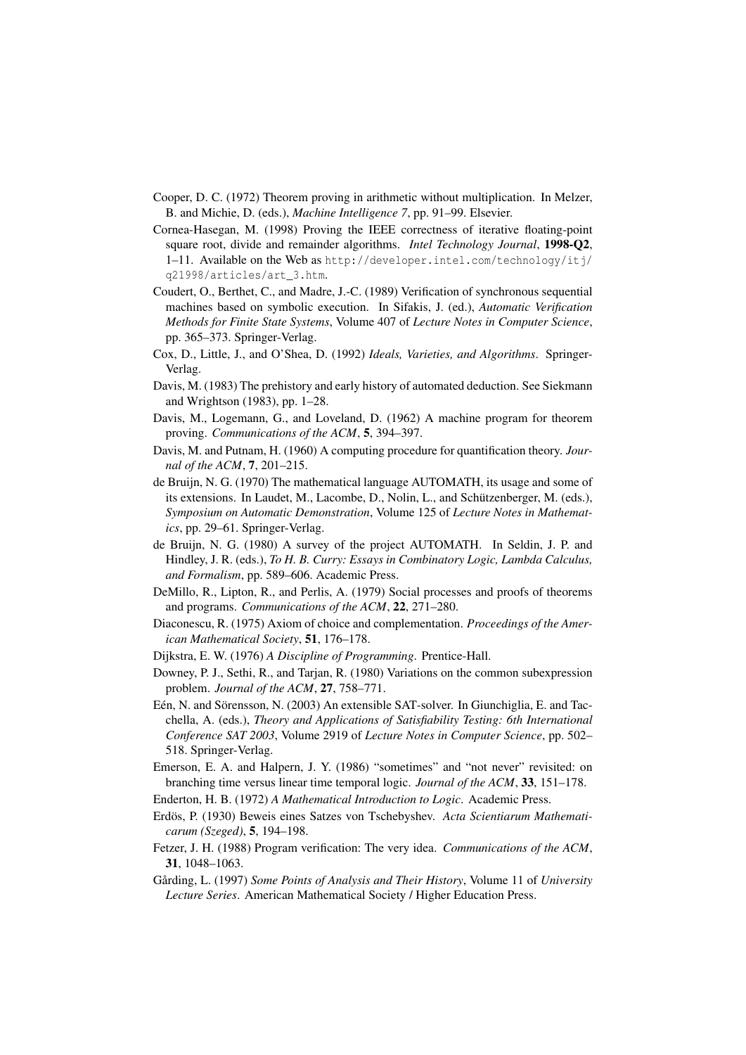- Cooper, D. C. (1972) Theorem proving in arithmetic without multiplication. In Melzer, B. and Michie, D. (eds.), *Machine Intelligence 7*, pp. 91–99. Elsevier.
- Cornea-Hasegan, M. (1998) Proving the IEEE correctness of iterative floating-point square root, divide and remainder algorithms. *Intel Technology Journal*, 1998-Q2, 1–11. Available on the Web as http://developer.intel.com/technology/itj/ q21998/articles/art\_3.htm.
- Coudert, O., Berthet, C., and Madre, J.-C. (1989) Verification of synchronous sequential machines based on symbolic execution. In Sifakis, J. (ed.), *Automatic Verification Methods for Finite State Systems*, Volume 407 of *Lecture Notes in Computer Science*, pp. 365–373. Springer-Verlag.
- Cox, D., Little, J., and O'Shea, D. (1992) *Ideals, Varieties, and Algorithms*. Springer-Verlag.
- Davis, M. (1983) The prehistory and early history of automated deduction. See Siekmann and Wrightson (1983), pp. 1–28.
- Davis, M., Logemann, G., and Loveland, D. (1962) A machine program for theorem proving. *Communications of the ACM*, 5, 394–397.
- Davis, M. and Putnam, H. (1960) A computing procedure for quantification theory. *Journal of the ACM*, 7, 201–215.
- de Bruijn, N. G. (1970) The mathematical language AUTOMATH, its usage and some of its extensions. In Laudet, M., Lacombe, D., Nolin, L., and Schützenberger, M. (eds.), *Symposium on Automatic Demonstration*, Volume 125 of *Lecture Notes in Mathematics*, pp. 29–61. Springer-Verlag.
- de Bruijn, N. G. (1980) A survey of the project AUTOMATH. In Seldin, J. P. and Hindley, J. R. (eds.), *To H. B. Curry: Essays in Combinatory Logic, Lambda Calculus, and Formalism*, pp. 589–606. Academic Press.
- DeMillo, R., Lipton, R., and Perlis, A. (1979) Social processes and proofs of theorems and programs. *Communications of the ACM*, 22, 271–280.
- Diaconescu, R. (1975) Axiom of choice and complementation. *Proceedings of the American Mathematical Society*, 51, 176–178.
- Dijkstra, E. W. (1976) *A Discipline of Programming*. Prentice-Hall.
- Downey, P. J., Sethi, R., and Tarjan, R. (1980) Variations on the common subexpression problem. *Journal of the ACM*, 27, 758–771.
- Eén, N. and Sörensson, N. (2003) An extensible SAT-solver. In Giunchiglia, E. and Tacchella, A. (eds.), *Theory and Applications of Satisfiability Testing: 6th International Conference SAT 2003*, Volume 2919 of *Lecture Notes in Computer Science*, pp. 502– 518. Springer-Verlag.
- Emerson, E. A. and Halpern, J. Y. (1986) "sometimes" and "not never" revisited: on branching time versus linear time temporal logic. *Journal of the ACM*, 33, 151–178.
- Enderton, H. B. (1972) *A Mathematical Introduction to Logic*. Academic Press.
- Erdös, P. (1930) Beweis eines Satzes von Tschebyshev. Acta Scientiarum Mathemati*carum (Szeged)*, 5, 194–198.
- Fetzer, J. H. (1988) Program verification: The very idea. *Communications of the ACM*, 31, 1048–1063.
- Gårding, L. (1997) Some Points of Analysis and Their History, Volume 11 of University *Lecture Series*. American Mathematical Society / Higher Education Press.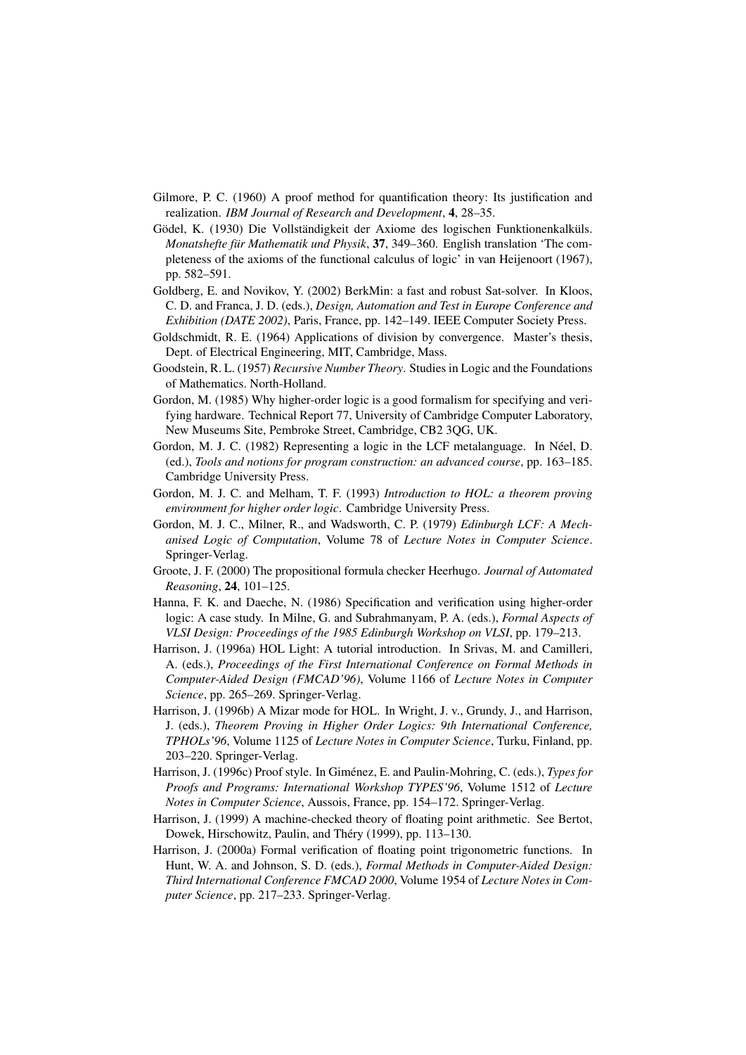- Gilmore, P. C. (1960) A proof method for quantification theory: Its justification and realization. *IBM Journal of Research and Development*, 4, 28–35.
- Gödel, K. (1930) Die Vollständigkeit der Axiome des logischen Funktionenkalküls. *Monatshefte fur Mathematik und Physik*, 37, 349–360. English translation 'The completeness of the axioms of the functional calculus of logic' in van Heijenoort (1967), pp. 582–591.
- Goldberg, E. and Novikov, Y. (2002) BerkMin: a fast and robust Sat-solver. In Kloos, C. D. and Franca, J. D. (eds.), *Design, Automation and Test in Europe Conference and Exhibition (DATE 2002)*, Paris, France, pp. 142–149. IEEE Computer Society Press.
- Goldschmidt, R. E. (1964) Applications of division by convergence. Master's thesis, Dept. of Electrical Engineering, MIT, Cambridge, Mass.
- Goodstein, R. L. (1957) *Recursive Number Theory*. Studies in Logic and the Foundations of Mathematics. North-Holland.
- Gordon, M. (1985) Why higher-order logic is a good formalism for specifying and verifying hardware. Technical Report 77, University of Cambridge Computer Laboratory, New Museums Site, Pembroke Street, Cambridge, CB2 3QG, UK.
- Gordon, M. J. C. (1982) Representing a logic in the LCF metalanguage. In Néel, D. (ed.), *Tools and notions for program construction: an advanced course*, pp. 163–185. Cambridge University Press.
- Gordon, M. J. C. and Melham, T. F. (1993) *Introduction to HOL: a theorem proving environment for higher order logic*. Cambridge University Press.
- Gordon, M. J. C., Milner, R., and Wadsworth, C. P. (1979) *Edinburgh LCF: A Mechanised Logic of Computation*, Volume 78 of *Lecture Notes in Computer Science*. Springer-Verlag.
- Groote, J. F. (2000) The propositional formula checker Heerhugo. *Journal of Automated Reasoning*, 24, 101–125.
- Hanna, F. K. and Daeche, N. (1986) Specification and verification using higher-order logic: A case study. In Milne, G. and Subrahmanyam, P. A. (eds.), *Formal Aspects of VLSI Design: Proceedings of the 1985 Edinburgh Workshop on VLSI*, pp. 179–213.
- Harrison, J. (1996a) HOL Light: A tutorial introduction. In Srivas, M. and Camilleri, A. (eds.), *Proceedings of the First International Conference on Formal Methods in Computer-Aided Design (FMCAD'96)*, Volume 1166 of *Lecture Notes in Computer Science*, pp. 265–269. Springer-Verlag.
- Harrison, J. (1996b) A Mizar mode for HOL. In Wright, J. v., Grundy, J., and Harrison, J. (eds.), *Theorem Proving in Higher Order Logics: 9th International Conference, TPHOLs'96*, Volume 1125 of *Lecture Notes in Computer Science*, Turku, Finland, pp. 203–220. Springer-Verlag.
- Harrison, J. (1996c) Proof style. In Giménez, E. and Paulin-Mohring, C. (eds.), *Types for Proofs and Programs: International Workshop TYPES'96*, Volume 1512 of *Lecture Notes in Computer Science*, Aussois, France, pp. 154–172. Springer-Verlag.
- Harrison, J. (1999) A machine-checked theory of floating point arithmetic. See Bertot, Dowek, Hirschowitz, Paulin, and Théry (1999), pp. 113-130.
- Harrison, J. (2000a) Formal verification of floating point trigonometric functions. In Hunt, W. A. and Johnson, S. D. (eds.), *Formal Methods in Computer-Aided Design: Third International Conference FMCAD 2000*, Volume 1954 of *Lecture Notes in Computer Science*, pp. 217–233. Springer-Verlag.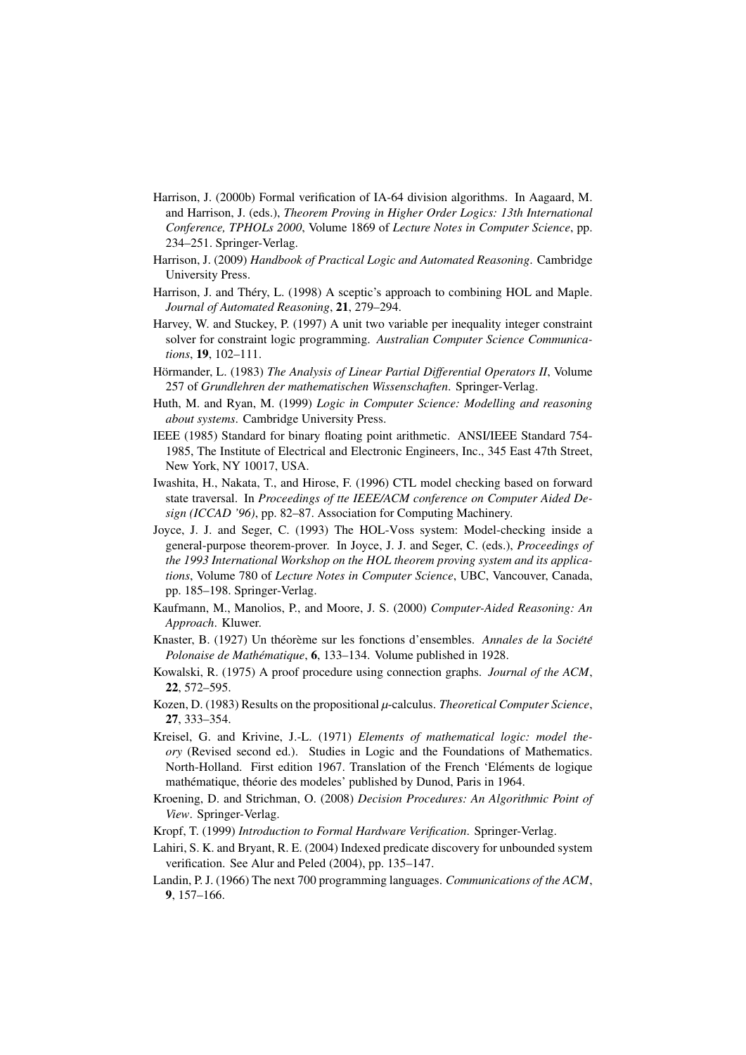- Harrison, J. (2000b) Formal verification of IA-64 division algorithms. In Aagaard, M. and Harrison, J. (eds.), *Theorem Proving in Higher Order Logics: 13th International Conference, TPHOLs 2000*, Volume 1869 of *Lecture Notes in Computer Science*, pp. 234–251. Springer-Verlag.
- Harrison, J. (2009) *Handbook of Practical Logic and Automated Reasoning*. Cambridge University Press.
- Harrison, J. and Théry, L. (1998) A sceptic's approach to combining HOL and Maple. *Journal of Automated Reasoning*, 21, 279–294.
- Harvey, W. and Stuckey, P. (1997) A unit two variable per inequality integer constraint solver for constraint logic programming. *Australian Computer Science Communications*, 19, 102–111.
- Hörmander, L. (1983) The Analysis of Linear Partial Differential Operators II, Volume 257 of *Grundlehren der mathematischen Wissenschaften*. Springer-Verlag.
- Huth, M. and Ryan, M. (1999) *Logic in Computer Science: Modelling and reasoning about systems*. Cambridge University Press.
- IEEE (1985) Standard for binary floating point arithmetic. ANSI/IEEE Standard 754- 1985, The Institute of Electrical and Electronic Engineers, Inc., 345 East 47th Street, New York, NY 10017, USA.
- Iwashita, H., Nakata, T., and Hirose, F. (1996) CTL model checking based on forward state traversal. In *Proceedings of tte IEEE/ACM conference on Computer Aided Design (ICCAD '96)*, pp. 82–87. Association for Computing Machinery.
- Joyce, J. J. and Seger, C. (1993) The HOL-Voss system: Model-checking inside a general-purpose theorem-prover. In Joyce, J. J. and Seger, C. (eds.), *Proceedings of the 1993 International Workshop on the HOL theorem proving system and its applications*, Volume 780 of *Lecture Notes in Computer Science*, UBC, Vancouver, Canada, pp. 185–198. Springer-Verlag.
- Kaufmann, M., Manolios, P., and Moore, J. S. (2000) *Computer-Aided Reasoning: An Approach*. Kluwer.
- Knaster, B. (1927) Un théorème sur les fonctions d'ensembles. Annales de la Société *Polonaise de Mathématique*, 6, 133–134. Volume published in 1928.
- Kowalski, R. (1975) A proof procedure using connection graphs. *Journal of the ACM*, 22, 572–595.
- Kozen, D. (1983) Results on the propositional *µ*-calculus. *Theoretical Computer Science*, 27, 333–354.
- Kreisel, G. and Krivine, J.-L. (1971) *Elements of mathematical logic: model theory* (Revised second ed.). Studies in Logic and the Foundations of Mathematics. North-Holland. First edition 1967. Translation of the French 'Eléments de logique mathématique, théorie des modeles' published by Dunod, Paris in 1964.
- Kroening, D. and Strichman, O. (2008) *Decision Procedures: An Algorithmic Point of View*. Springer-Verlag.
- Kropf, T. (1999) *Introduction to Formal Hardware Verification*. Springer-Verlag.
- Lahiri, S. K. and Bryant, R. E. (2004) Indexed predicate discovery for unbounded system verification. See Alur and Peled (2004), pp. 135–147.
- Landin, P. J. (1966) The next 700 programming languages. *Communications of the ACM*, 9, 157–166.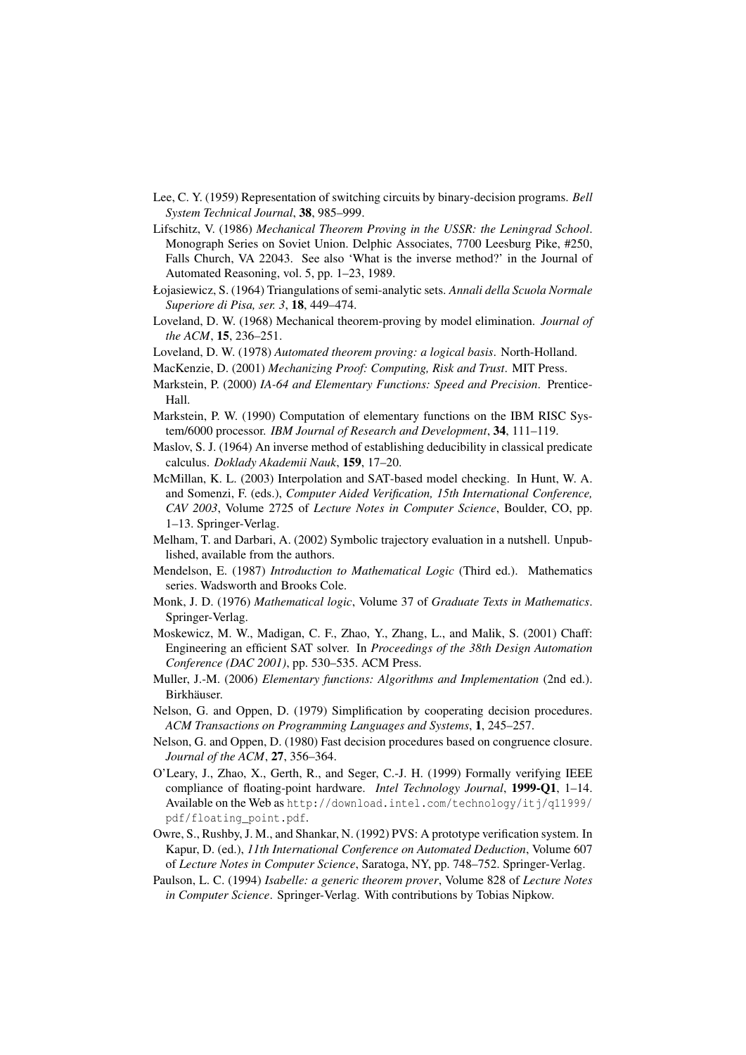- Lee, C. Y. (1959) Representation of switching circuits by binary-decision programs. *Bell System Technical Journal*, 38, 985–999.
- Lifschitz, V. (1986) *Mechanical Theorem Proving in the USSR: the Leningrad School*. Monograph Series on Soviet Union. Delphic Associates, 7700 Leesburg Pike, #250, Falls Church, VA 22043. See also 'What is the inverse method?' in the Journal of Automated Reasoning, vol. 5, pp. 1–23, 1989.
- Łojasiewicz, S. (1964) Triangulations of semi-analytic sets. *Annali della Scuola Normale Superiore di Pisa, ser. 3*, 18, 449–474.
- Loveland, D. W. (1968) Mechanical theorem-proving by model elimination. *Journal of the ACM*, 15, 236–251.
- Loveland, D. W. (1978) *Automated theorem proving: a logical basis*. North-Holland.
- MacKenzie, D. (2001) *Mechanizing Proof: Computing, Risk and Trust*. MIT Press.
- Markstein, P. (2000) *IA-64 and Elementary Functions: Speed and Precision*. Prentice-Hall.
- Markstein, P. W. (1990) Computation of elementary functions on the IBM RISC System/6000 processor. *IBM Journal of Research and Development*, 34, 111–119.
- Maslov, S. J. (1964) An inverse method of establishing deducibility in classical predicate calculus. *Doklady Akademii Nauk*, 159, 17–20.
- McMillan, K. L. (2003) Interpolation and SAT-based model checking. In Hunt, W. A. and Somenzi, F. (eds.), *Computer Aided Verification, 15th International Conference, CAV 2003*, Volume 2725 of *Lecture Notes in Computer Science*, Boulder, CO, pp. 1–13. Springer-Verlag.
- Melham, T. and Darbari, A. (2002) Symbolic trajectory evaluation in a nutshell. Unpublished, available from the authors.
- Mendelson, E. (1987) *Introduction to Mathematical Logic* (Third ed.). Mathematics series. Wadsworth and Brooks Cole.
- Monk, J. D. (1976) *Mathematical logic*, Volume 37 of *Graduate Texts in Mathematics*. Springer-Verlag.
- Moskewicz, M. W., Madigan, C. F., Zhao, Y., Zhang, L., and Malik, S. (2001) Chaff: Engineering an efficient SAT solver. In *Proceedings of the 38th Design Automation Conference (DAC 2001)*, pp. 530–535. ACM Press.
- Muller, J.-M. (2006) *Elementary functions: Algorithms and Implementation* (2nd ed.). Birkhäuser.
- Nelson, G. and Oppen, D. (1979) Simplification by cooperating decision procedures. *ACM Transactions on Programming Languages and Systems*, 1, 245–257.
- Nelson, G. and Oppen, D. (1980) Fast decision procedures based on congruence closure. *Journal of the ACM*, 27, 356–364.
- O'Leary, J., Zhao, X., Gerth, R., and Seger, C.-J. H. (1999) Formally verifying IEEE compliance of floating-point hardware. *Intel Technology Journal*, 1999-Q1, 1–14. Available on the Web as http://download.intel.com/technology/itj/q11999/ pdf/floating\_point.pdf.
- Owre, S., Rushby, J. M., and Shankar, N. (1992) PVS: A prototype verification system. In Kapur, D. (ed.), *11th International Conference on Automated Deduction*, Volume 607 of *Lecture Notes in Computer Science*, Saratoga, NY, pp. 748–752. Springer-Verlag.
- Paulson, L. C. (1994) *Isabelle: a generic theorem prover*, Volume 828 of *Lecture Notes in Computer Science*. Springer-Verlag. With contributions by Tobias Nipkow.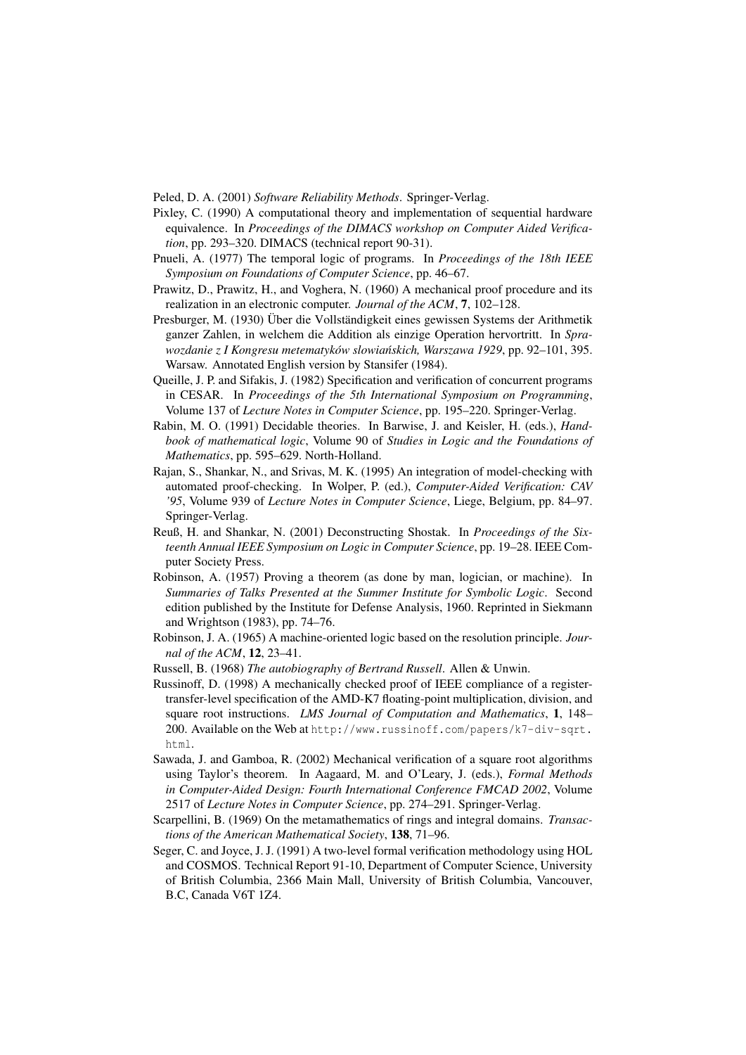- Peled, D. A. (2001) *Software Reliability Methods*. Springer-Verlag.
- Pixley, C. (1990) A computational theory and implementation of sequential hardware equivalence. In *Proceedings of the DIMACS workshop on Computer Aided Verification*, pp. 293–320. DIMACS (technical report 90-31).
- Pnueli, A. (1977) The temporal logic of programs. In *Proceedings of the 18th IEEE Symposium on Foundations of Computer Science*, pp. 46–67.
- Prawitz, D., Prawitz, H., and Voghera, N. (1960) A mechanical proof procedure and its realization in an electronic computer. *Journal of the ACM*, 7, 102–128.
- Presburger, M. (1930) Über die Vollständigkeit eines gewissen Systems der Arithmetik ganzer Zahlen, in welchem die Addition als einzige Operation hervortritt. In *Sprawozdanie z I Kongresu metematykow slowia ´ nskich, Warszawa 1929 ´* , pp. 92–101, 395. Warsaw. Annotated English version by Stansifer (1984).
- Queille, J. P. and Sifakis, J. (1982) Specification and verification of concurrent programs in CESAR. In *Proceedings of the 5th International Symposium on Programming*, Volume 137 of *Lecture Notes in Computer Science*, pp. 195–220. Springer-Verlag.
- Rabin, M. O. (1991) Decidable theories. In Barwise, J. and Keisler, H. (eds.), *Handbook of mathematical logic*, Volume 90 of *Studies in Logic and the Foundations of Mathematics*, pp. 595–629. North-Holland.
- Rajan, S., Shankar, N., and Srivas, M. K. (1995) An integration of model-checking with automated proof-checking. In Wolper, P. (ed.), *Computer-Aided Verification: CAV '95*, Volume 939 of *Lecture Notes in Computer Science*, Liege, Belgium, pp. 84–97. Springer-Verlag.
- Reuß, H. and Shankar, N. (2001) Deconstructing Shostak. In *Proceedings of the Sixteenth Annual IEEE Symposium on Logic in Computer Science*, pp. 19–28. IEEE Computer Society Press.
- Robinson, A. (1957) Proving a theorem (as done by man, logician, or machine). In *Summaries of Talks Presented at the Summer Institute for Symbolic Logic*. Second edition published by the Institute for Defense Analysis, 1960. Reprinted in Siekmann and Wrightson (1983), pp. 74–76.
- Robinson, J. A. (1965) A machine-oriented logic based on the resolution principle. *Journal of the ACM*, 12, 23–41.
- Russell, B. (1968) *The autobiography of Bertrand Russell*. Allen & Unwin.
- Russinoff, D. (1998) A mechanically checked proof of IEEE compliance of a registertransfer-level specification of the AMD-K7 floating-point multiplication, division, and square root instructions. *LMS Journal of Computation and Mathematics*, 1, 148– 200. Available on the Web at http://www.russinoff.com/papers/k7-div-sqrt. html.
- Sawada, J. and Gamboa, R. (2002) Mechanical verification of a square root algorithms using Taylor's theorem. In Aagaard, M. and O'Leary, J. (eds.), *Formal Methods in Computer-Aided Design: Fourth International Conference FMCAD 2002*, Volume 2517 of *Lecture Notes in Computer Science*, pp. 274–291. Springer-Verlag.
- Scarpellini, B. (1969) On the metamathematics of rings and integral domains. *Transactions of the American Mathematical Society*, 138, 71–96.
- Seger, C. and Joyce, J. J. (1991) A two-level formal verification methodology using HOL and COSMOS. Technical Report 91-10, Department of Computer Science, University of British Columbia, 2366 Main Mall, University of British Columbia, Vancouver, B.C, Canada V6T 1Z4.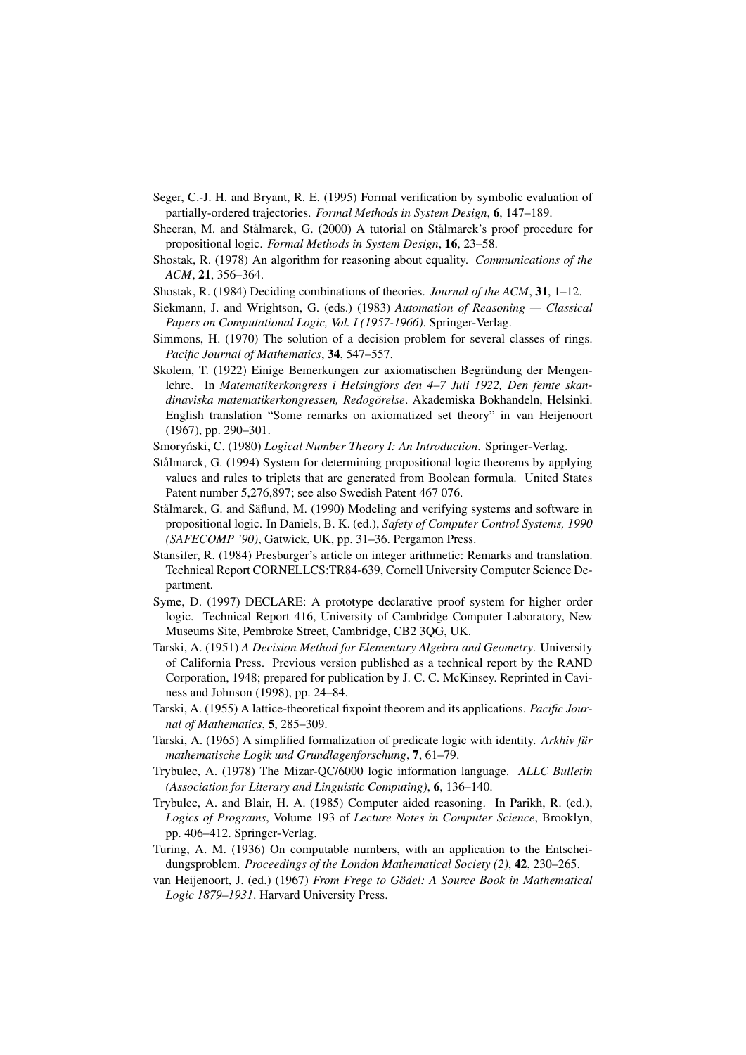- Seger, C.-J. H. and Bryant, R. E. (1995) Formal verification by symbolic evaluation of partially-ordered trajectories. *Formal Methods in System Design*, 6, 147–189.
- Sheeran, M. and Stålmarck, G. (2000) A tutorial on Stålmarck's proof procedure for propositional logic. *Formal Methods in System Design*, 16, 23–58.
- Shostak, R. (1978) An algorithm for reasoning about equality. *Communications of the ACM*, 21, 356–364.
- Shostak, R. (1984) Deciding combinations of theories. *Journal of the ACM*, 31, 1–12.
- Siekmann, J. and Wrightson, G. (eds.) (1983) *Automation of Reasoning Classical Papers on Computational Logic, Vol. I (1957-1966)*. Springer-Verlag.
- Simmons, H. (1970) The solution of a decision problem for several classes of rings. *Pacific Journal of Mathematics*, 34, 547–557.
- Skolem, T. (1922) Einige Bemerkungen zur axiomatischen Begrundung der Mengen- ¨ lehre. In *Matematikerkongress i Helsingfors den 4–7 Juli 1922, Den femte skandinaviska matematikerkongressen, Redogorelse ¨* . Akademiska Bokhandeln, Helsinki. English translation "Some remarks on axiomatized set theory" in van Heijenoort (1967), pp. 290–301.
- Smoryński, C. (1980) *Logical Number Theory I: An Introduction*. Springer-Verlag.
- Stålmarck, G. (1994) System for determining propositional logic theorems by applying values and rules to triplets that are generated from Boolean formula. United States Patent number 5,276,897; see also Swedish Patent 467 076.
- Stålmarck, G. and Säflund, M. (1990) Modeling and verifying systems and software in propositional logic. In Daniels, B. K. (ed.), *Safety of Computer Control Systems, 1990 (SAFECOMP '90)*, Gatwick, UK, pp. 31–36. Pergamon Press.
- Stansifer, R. (1984) Presburger's article on integer arithmetic: Remarks and translation. Technical Report CORNELLCS:TR84-639, Cornell University Computer Science Department.
- Syme, D. (1997) DECLARE: A prototype declarative proof system for higher order logic. Technical Report 416, University of Cambridge Computer Laboratory, New Museums Site, Pembroke Street, Cambridge, CB2 3QG, UK.
- Tarski, A. (1951) *A Decision Method for Elementary Algebra and Geometry*. University of California Press. Previous version published as a technical report by the RAND Corporation, 1948; prepared for publication by J. C. C. McKinsey. Reprinted in Caviness and Johnson (1998), pp. 24–84.
- Tarski, A. (1955) A lattice-theoretical fixpoint theorem and its applications. *Pacific Journal of Mathematics*, 5, 285–309.
- Tarski, A. (1965) A simplified formalization of predicate logic with identity. *Arkhiv für mathematische Logik und Grundlagenforschung*, 7, 61–79.
- Trybulec, A. (1978) The Mizar-QC/6000 logic information language. *ALLC Bulletin (Association for Literary and Linguistic Computing)*, 6, 136–140.
- Trybulec, A. and Blair, H. A. (1985) Computer aided reasoning. In Parikh, R. (ed.), *Logics of Programs*, Volume 193 of *Lecture Notes in Computer Science*, Brooklyn, pp. 406–412. Springer-Verlag.
- Turing, A. M. (1936) On computable numbers, with an application to the Entscheidungsproblem. *Proceedings of the London Mathematical Society (2)*, 42, 230–265.
- van Heijenoort, J. (ed.) (1967) *From Frege to Godel: A Source Book in Mathematical ¨ Logic 1879–1931*. Harvard University Press.